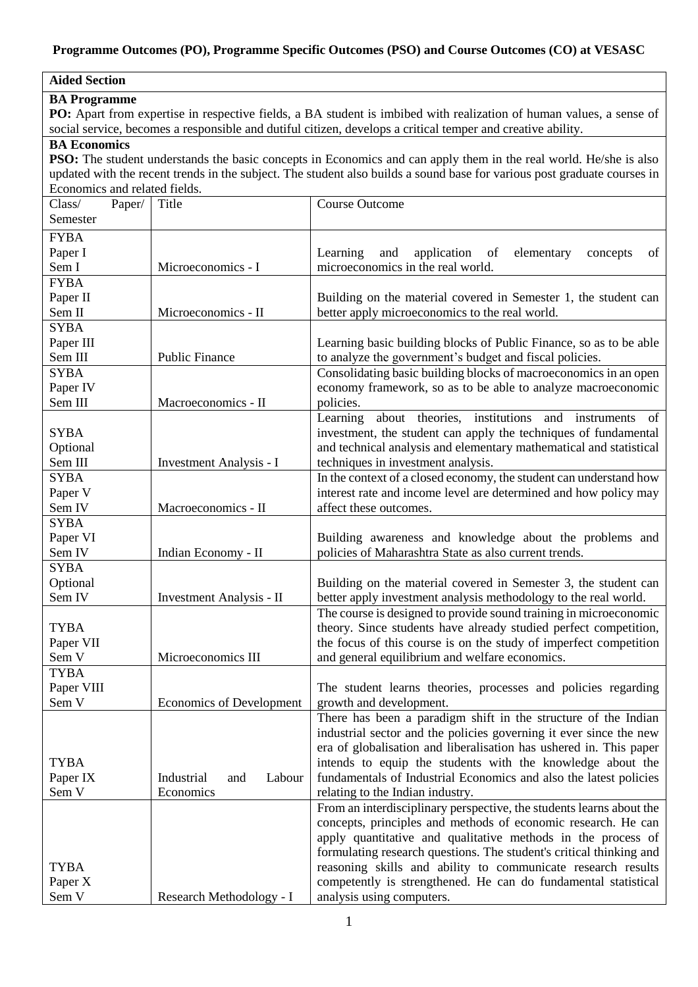### **Programme Outcomes (PO), Programme Specific Outcomes (PSO) and Course Outcomes (CO) at VESASC**

# **Aided Section**

#### **BA Programme**

PO: Apart from expertise in respective fields, a BA student is imbibed with realization of human values, a sense of social service, becomes a responsible and dutiful citizen, develops a critical temper and creative ability.

## **BA Economics**

**PSO:** The student understands the basic concepts in Economics and can apply them in the real world. He/she is also updated with the recent trends in the subject. The student also builds a sound base for various post graduate courses in Economics and related fields.

| Class/           | Paper/ | Title                           | Course Outcome                                                                              |
|------------------|--------|---------------------------------|---------------------------------------------------------------------------------------------|
| Semester         |        |                                 |                                                                                             |
| <b>FYBA</b>      |        |                                 |                                                                                             |
| Paper I          |        |                                 | Learning<br>and<br>application<br>of<br>elementary<br>concepts<br>of                        |
| Sem I            |        | Microeconomics - I              | microeconomics in the real world.                                                           |
| <b>FYBA</b>      |        |                                 |                                                                                             |
| Paper II         |        |                                 | Building on the material covered in Semester 1, the student can                             |
| Sem II           |        | Microeconomics - II             | better apply microeconomics to the real world.                                              |
| <b>SYBA</b>      |        |                                 |                                                                                             |
| Paper III        |        |                                 | Learning basic building blocks of Public Finance, so as to be able                          |
| Sem III          |        | <b>Public Finance</b>           | to analyze the government's budget and fiscal policies.                                     |
| <b>SYBA</b>      |        |                                 | Consolidating basic building blocks of macroeconomics in an open                            |
| Paper IV         |        |                                 | economy framework, so as to be able to analyze macroeconomic                                |
| Sem III          |        | Macroeconomics - II             | policies.                                                                                   |
|                  |        |                                 | Learning<br>about theories, institutions and instruments<br>of                              |
| <b>SYBA</b>      |        |                                 | investment, the student can apply the techniques of fundamental                             |
| Optional         |        |                                 | and technical analysis and elementary mathematical and statistical                          |
| Sem III          |        | Investment Analysis - I         | techniques in investment analysis.                                                          |
| <b>SYBA</b>      |        |                                 | In the context of a closed economy, the student can understand how                          |
| Paper V          |        |                                 | interest rate and income level are determined and how policy may                            |
| Sem IV           |        | Macroeconomics - II             | affect these outcomes.                                                                      |
| <b>SYBA</b>      |        |                                 |                                                                                             |
| Paper VI         |        |                                 | Building awareness and knowledge about the problems and                                     |
| Sem IV           |        | Indian Economy - II             | policies of Maharashtra State as also current trends.                                       |
| <b>SYBA</b>      |        |                                 |                                                                                             |
| Optional         |        |                                 | Building on the material covered in Semester 3, the student can                             |
| Sem IV           |        | Investment Analysis - II        | better apply investment analysis methodology to the real world.                             |
|                  |        |                                 | The course is designed to provide sound training in microeconomic                           |
| <b>TYBA</b>      |        |                                 | theory. Since students have already studied perfect competition,                            |
| Paper VII        |        |                                 | the focus of this course is on the study of imperfect competition                           |
| Sem V            |        | Microeconomics III              | and general equilibrium and welfare economics.                                              |
| <b>TYBA</b>      |        |                                 |                                                                                             |
| Paper VIII       |        |                                 | The student learns theories, processes and policies regarding                               |
| Sem V            |        | <b>Economics of Development</b> | growth and development.                                                                     |
|                  |        |                                 | There has been a paradigm shift in the structure of the Indian                              |
|                  |        |                                 | industrial sector and the policies governing it ever since the new                          |
|                  |        |                                 | era of globalisation and liberalisation has ushered in. This paper                          |
| <b>TYBA</b>      |        |                                 | intends to equip the students with the knowledge about the                                  |
| Paper IX         |        | Industrial<br>Labour<br>and     | fundamentals of Industrial Economics and also the latest policies                           |
| Sem V            |        | Economics                       | relating to the Indian industry.                                                            |
|                  |        |                                 | From an interdisciplinary perspective, the students learns about the                        |
|                  |        |                                 | concepts, principles and methods of economic research. He can                               |
|                  |        |                                 | apply quantitative and qualitative methods in the process of                                |
|                  |        |                                 | formulating research questions. The student's critical thinking and                         |
| <b>TYBA</b>      |        |                                 | reasoning skills and ability to communicate research results                                |
| Paper X<br>Sem V |        | Research Methodology - I        | competently is strengthened. He can do fundamental statistical<br>analysis using computers. |
|                  |        |                                 |                                                                                             |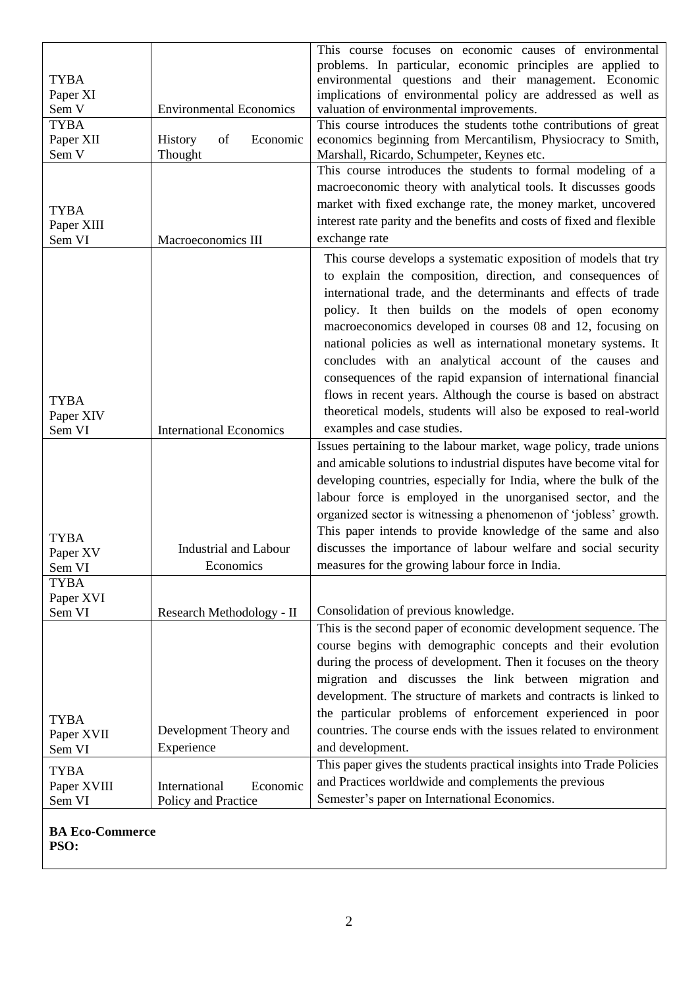|                            |                                | This course focuses on economic causes of environmental                                                               |
|----------------------------|--------------------------------|-----------------------------------------------------------------------------------------------------------------------|
| <b>TYBA</b>                |                                | problems. In particular, economic principles are applied to<br>environmental questions and their management. Economic |
| Paper XI                   |                                | implications of environmental policy are addressed as well as                                                         |
| Sem V                      | <b>Environmental Economics</b> | valuation of environmental improvements.                                                                              |
| <b>TYBA</b>                |                                | This course introduces the students tothe contributions of great                                                      |
| Paper XII                  | Economic<br>History<br>of      | economics beginning from Mercantilism, Physiocracy to Smith,                                                          |
| Sem V                      | Thought                        | Marshall, Ricardo, Schumpeter, Keynes etc.                                                                            |
|                            |                                | This course introduces the students to formal modeling of a                                                           |
|                            |                                | macroeconomic theory with analytical tools. It discusses goods                                                        |
| <b>TYBA</b>                |                                | market with fixed exchange rate, the money market, uncovered                                                          |
| Paper XIII                 |                                | interest rate parity and the benefits and costs of fixed and flexible                                                 |
| Sem VI                     | Macroeconomics III             | exchange rate                                                                                                         |
|                            |                                | This course develops a systematic exposition of models that try                                                       |
|                            |                                | to explain the composition, direction, and consequences of                                                            |
|                            |                                | international trade, and the determinants and effects of trade                                                        |
|                            |                                | policy. It then builds on the models of open economy                                                                  |
|                            |                                | macroeconomics developed in courses 08 and 12, focusing on                                                            |
|                            |                                | national policies as well as international monetary systems. It                                                       |
|                            |                                | concludes with an analytical account of the causes and                                                                |
|                            |                                |                                                                                                                       |
|                            |                                | consequences of the rapid expansion of international financial                                                        |
| <b>TYBA</b>                |                                | flows in recent years. Although the course is based on abstract                                                       |
| Paper XIV                  |                                | theoretical models, students will also be exposed to real-world                                                       |
| Sem VI                     | <b>International Economics</b> | examples and case studies.                                                                                            |
|                            |                                | Issues pertaining to the labour market, wage policy, trade unions                                                     |
|                            |                                | and amicable solutions to industrial disputes have become vital for                                                   |
|                            |                                | developing countries, especially for India, where the bulk of the                                                     |
|                            |                                | labour force is employed in the unorganised sector, and the                                                           |
|                            |                                | organized sector is witnessing a phenomenon of 'jobless' growth.                                                      |
| <b>TYBA</b>                |                                | This paper intends to provide knowledge of the same and also                                                          |
| Paper XV                   | <b>Industrial and Labour</b>   | discusses the importance of labour welfare and social security                                                        |
| Sem VI                     | Economics                      | measures for the growing labour force in India.                                                                       |
| <b>TYBA</b>                |                                |                                                                                                                       |
| Paper XVI                  |                                |                                                                                                                       |
| Sem VI                     | Research Methodology - II      | Consolidation of previous knowledge.                                                                                  |
|                            |                                | This is the second paper of economic development sequence. The                                                        |
|                            |                                | course begins with demographic concepts and their evolution                                                           |
|                            |                                | during the process of development. Then it focuses on the theory                                                      |
|                            |                                | migration and discusses the link between migration and                                                                |
|                            |                                | development. The structure of markets and contracts is linked to                                                      |
| <b>TYBA</b>                |                                | the particular problems of enforcement experienced in poor                                                            |
| Paper XVII                 | Development Theory and         | countries. The course ends with the issues related to environment                                                     |
| Sem VI                     | Experience                     | and development.                                                                                                      |
|                            |                                | This paper gives the students practical insights into Trade Policies                                                  |
| <b>TYBA</b><br>Paper XVIII | International<br>Economic      | and Practices worldwide and complements the previous                                                                  |
| Sem VI                     | Policy and Practice            | Semester's paper on International Economics.                                                                          |
|                            |                                |                                                                                                                       |
| <b>BA Eco-Commerce</b>     |                                |                                                                                                                       |

**PSO:**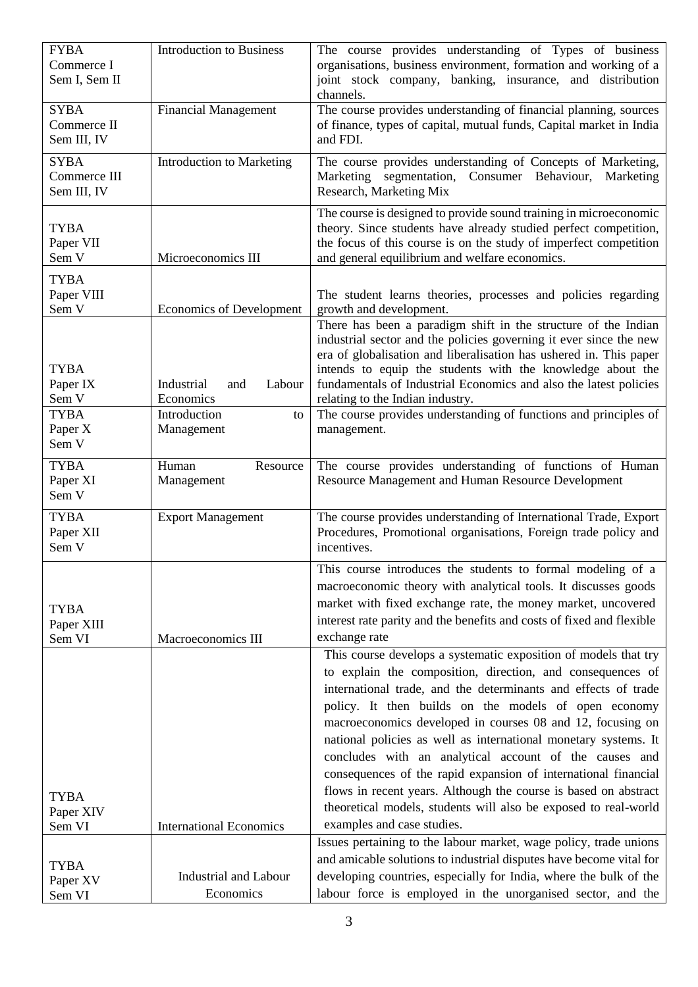| <b>FYBA</b><br>Commerce I   | <b>Introduction to Business</b>           | The course provides understanding of Types of business<br>organisations, business environment, formation and working of a                |
|-----------------------------|-------------------------------------------|------------------------------------------------------------------------------------------------------------------------------------------|
| Sem I, Sem II               |                                           | joint stock company, banking, insurance, and distribution<br>channels.                                                                   |
| <b>SYBA</b>                 | <b>Financial Management</b>               | The course provides understanding of financial planning, sources                                                                         |
| Commerce II<br>Sem III, IV  |                                           | of finance, types of capital, mutual funds, Capital market in India<br>and FDI.                                                          |
| <b>SYBA</b><br>Commerce III | <b>Introduction to Marketing</b>          | The course provides understanding of Concepts of Marketing,<br>Marketing segmentation, Consumer Behaviour,<br>Marketing                  |
| Sem III, IV                 |                                           | Research, Marketing Mix                                                                                                                  |
| <b>TYBA</b>                 |                                           | The course is designed to provide sound training in microeconomic<br>theory. Since students have already studied perfect competition,    |
| Paper VII                   |                                           | the focus of this course is on the study of imperfect competition                                                                        |
| Sem V                       | Microeconomics III                        | and general equilibrium and welfare economics.                                                                                           |
| <b>TYBA</b>                 |                                           |                                                                                                                                          |
| Paper VIII<br>Sem V         | <b>Economics of Development</b>           | The student learns theories, processes and policies regarding<br>growth and development.                                                 |
|                             |                                           | There has been a paradigm shift in the structure of the Indian                                                                           |
|                             |                                           | industrial sector and the policies governing it ever since the new<br>era of globalisation and liberalisation has ushered in. This paper |
| <b>TYBA</b>                 |                                           | intends to equip the students with the knowledge about the                                                                               |
| Paper IX                    | Industrial<br>Labour<br>and               | fundamentals of Industrial Economics and also the latest policies                                                                        |
| Sem V                       | Economics                                 | relating to the Indian industry.                                                                                                         |
| <b>TYBA</b><br>Paper X      | Introduction<br>to<br>Management          | The course provides understanding of functions and principles of<br>management.                                                          |
| Sem V                       |                                           |                                                                                                                                          |
| <b>TYBA</b>                 | Human<br>Resource                         | The course provides understanding of functions of Human                                                                                  |
| Paper XI<br>Sem V           | Management                                | Resource Management and Human Resource Development                                                                                       |
| <b>TYBA</b>                 | <b>Export Management</b>                  | The course provides understanding of International Trade, Export                                                                         |
| Paper XII                   |                                           | Procedures, Promotional organisations, Foreign trade policy and                                                                          |
| Sem V                       |                                           | incentives.                                                                                                                              |
|                             |                                           | This course introduces the students to formal modeling of a                                                                              |
|                             |                                           | macroeconomic theory with analytical tools. It discusses goods<br>market with fixed exchange rate, the money market, uncovered           |
| <b>TYBA</b>                 |                                           | interest rate parity and the benefits and costs of fixed and flexible                                                                    |
| Paper XIII<br>Sem VI        | Macroeconomics III                        | exchange rate                                                                                                                            |
|                             |                                           | This course develops a systematic exposition of models that try                                                                          |
|                             |                                           | to explain the composition, direction, and consequences of                                                                               |
|                             |                                           | international trade, and the determinants and effects of trade                                                                           |
|                             |                                           | policy. It then builds on the models of open economy                                                                                     |
|                             |                                           | macroeconomics developed in courses 08 and 12, focusing on<br>national policies as well as international monetary systems. It            |
|                             |                                           | concludes with an analytical account of the causes and                                                                                   |
|                             |                                           | consequences of the rapid expansion of international financial                                                                           |
| <b>TYBA</b>                 |                                           | flows in recent years. Although the course is based on abstract                                                                          |
| Paper XIV                   |                                           | theoretical models, students will also be exposed to real-world                                                                          |
| Sem VI                      | <b>International Economics</b>            | examples and case studies.                                                                                                               |
|                             |                                           | Issues pertaining to the labour market, wage policy, trade unions                                                                        |
| <b>TYBA</b>                 |                                           |                                                                                                                                          |
|                             |                                           | and amicable solutions to industrial disputes have become vital for                                                                      |
| Paper XV<br>Sem VI          | <b>Industrial and Labour</b><br>Economics | developing countries, especially for India, where the bulk of the<br>labour force is employed in the unorganised sector, and the         |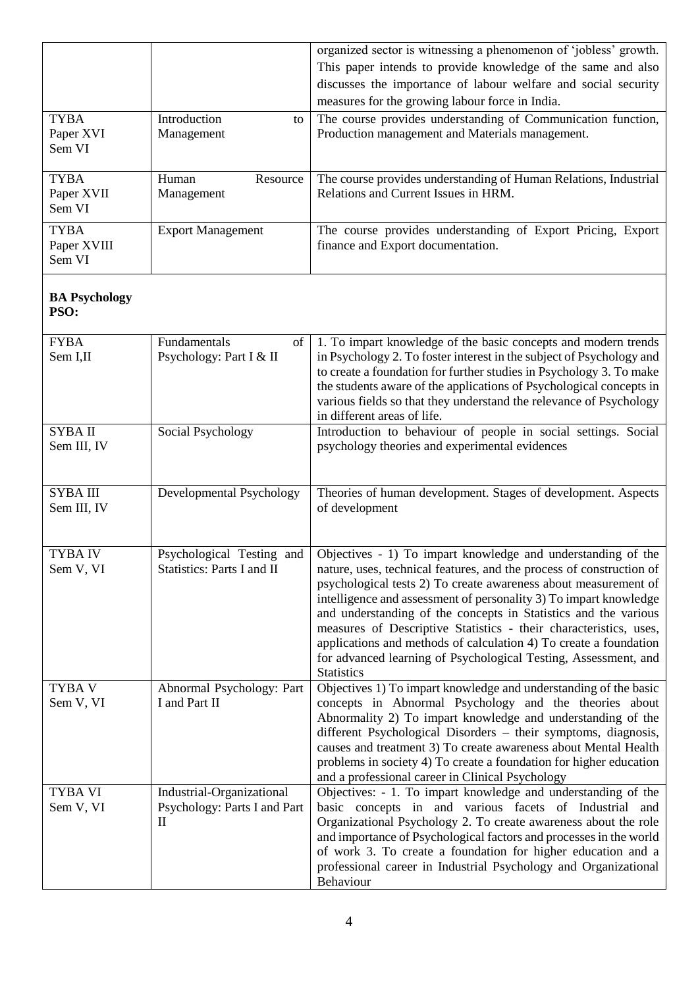|                            |                                            | organized sector is witnessing a phenomenon of 'jobless' growth.                                                                     |
|----------------------------|--------------------------------------------|--------------------------------------------------------------------------------------------------------------------------------------|
|                            |                                            | This paper intends to provide knowledge of the same and also                                                                         |
|                            |                                            | discusses the importance of labour welfare and social security                                                                       |
|                            |                                            | measures for the growing labour force in India.                                                                                      |
| <b>TYBA</b><br>Paper XVI   | Introduction<br>to<br>Management           | The course provides understanding of Communication function,<br>Production management and Materials management.                      |
| Sem VI                     |                                            |                                                                                                                                      |
|                            |                                            |                                                                                                                                      |
| <b>TYBA</b>                | Resource<br>Human                          | The course provides understanding of Human Relations, Industrial                                                                     |
| Paper XVII<br>Sem VI       | Management                                 | Relations and Current Issues in HRM.                                                                                                 |
|                            |                                            |                                                                                                                                      |
| <b>TYBA</b><br>Paper XVIII | <b>Export Management</b>                   | The course provides understanding of Export Pricing, Export<br>finance and Export documentation.                                     |
| Sem VI                     |                                            |                                                                                                                                      |
|                            |                                            |                                                                                                                                      |
| <b>BA Psychology</b>       |                                            |                                                                                                                                      |
| PSO:                       |                                            |                                                                                                                                      |
| <b>FYBA</b>                | Fundamentals<br>of                         | 1. To impart knowledge of the basic concepts and modern trends                                                                       |
| Sem I,II                   | Psychology: Part I & II                    | in Psychology 2. To foster interest in the subject of Psychology and                                                                 |
|                            |                                            | to create a foundation for further studies in Psychology 3. To make                                                                  |
|                            |                                            | the students aware of the applications of Psychological concepts in                                                                  |
|                            |                                            | various fields so that they understand the relevance of Psychology                                                                   |
| <b>SYBA II</b>             | Social Psychology                          | in different areas of life.<br>Introduction to behaviour of people in social settings. Social                                        |
| Sem III, IV                |                                            | psychology theories and experimental evidences                                                                                       |
|                            |                                            |                                                                                                                                      |
|                            |                                            |                                                                                                                                      |
| SYBA III                   | Developmental Psychology                   | Theories of human development. Stages of development. Aspects                                                                        |
| Sem III, IV                |                                            | of development                                                                                                                       |
|                            |                                            |                                                                                                                                      |
| <b>TYBA IV</b>             | Psychological Testing and                  | Objectives - 1) To impart knowledge and understanding of the                                                                         |
| Sem V, VI                  | Statistics: Parts I and II                 | nature, uses, technical features, and the process of construction of                                                                 |
|                            |                                            | psychological tests 2) To create awareness about measurement of                                                                      |
|                            |                                            | intelligence and assessment of personality 3) To impart knowledge<br>and understanding of the concepts in Statistics and the various |
|                            |                                            | measures of Descriptive Statistics - their characteristics, uses,                                                                    |
|                            |                                            | applications and methods of calculation 4) To create a foundation                                                                    |
|                            |                                            | for advanced learning of Psychological Testing, Assessment, and                                                                      |
|                            |                                            | <b>Statistics</b>                                                                                                                    |
| TYBA V<br>Sem V, VI        | Abnormal Psychology: Part<br>I and Part II | Objectives 1) To impart knowledge and understanding of the basic<br>concepts in Abnormal Psychology and the theories about           |
|                            |                                            | Abnormality 2) To impart knowledge and understanding of the                                                                          |
|                            |                                            | different Psychological Disorders – their symptoms, diagnosis,                                                                       |
|                            |                                            | causes and treatment 3) To create awareness about Mental Health                                                                      |
|                            |                                            | problems in society 4) To create a foundation for higher education                                                                   |
|                            |                                            | and a professional career in Clinical Psychology                                                                                     |
| TYBA VI                    | Industrial-Organizational                  | Objectives: - 1. To impart knowledge and understanding of the                                                                        |
| Sem V, VI                  | Psychology: Parts I and Part<br>$\rm II$   | basic concepts in and various facets of Industrial and<br>Organizational Psychology 2. To create awareness about the role            |
|                            |                                            | and importance of Psychological factors and processes in the world                                                                   |
|                            |                                            | of work 3. To create a foundation for higher education and a                                                                         |
|                            |                                            | professional career in Industrial Psychology and Organizational                                                                      |
|                            |                                            | Behaviour                                                                                                                            |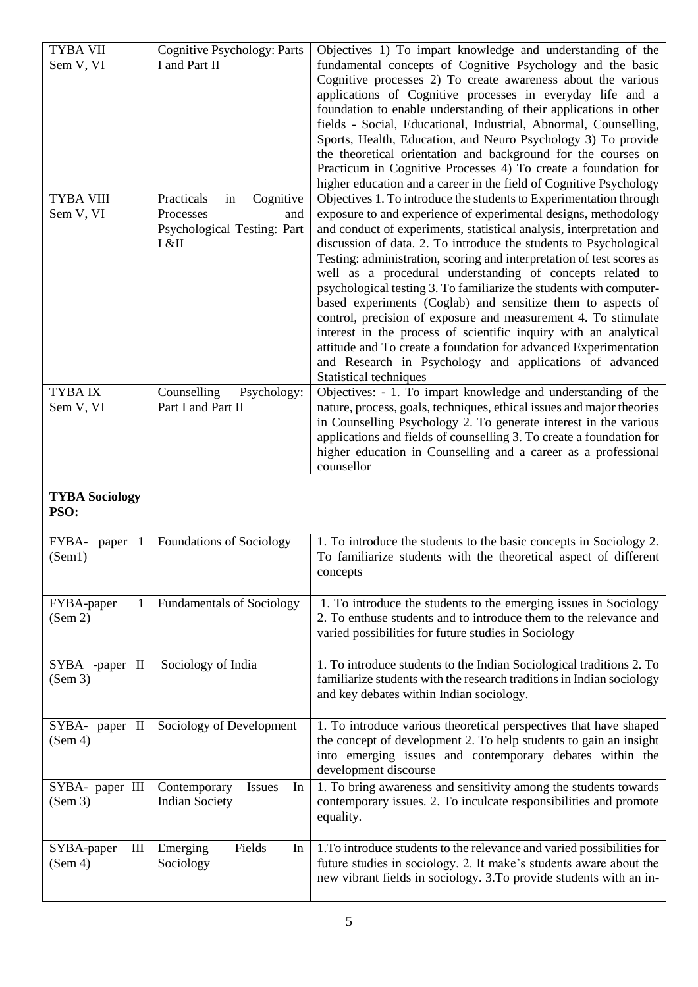| <b>TYBA VII</b><br>Sem V, VI  | <b>Cognitive Psychology: Parts</b><br>I and Part II                                       | Objectives 1) To impart knowledge and understanding of the<br>fundamental concepts of Cognitive Psychology and the basic<br>Cognitive processes 2) To create awareness about the various<br>applications of Cognitive processes in everyday life and a<br>foundation to enable understanding of their applications in other<br>fields - Social, Educational, Industrial, Abnormal, Counselling,<br>Sports, Health, Education, and Neuro Psychology 3) To provide<br>the theoretical orientation and background for the courses on<br>Practicum in Cognitive Processes 4) To create a foundation for<br>higher education and a career in the field of Cognitive Psychology                                                                                                                                                                                     |
|-------------------------------|-------------------------------------------------------------------------------------------|---------------------------------------------------------------------------------------------------------------------------------------------------------------------------------------------------------------------------------------------------------------------------------------------------------------------------------------------------------------------------------------------------------------------------------------------------------------------------------------------------------------------------------------------------------------------------------------------------------------------------------------------------------------------------------------------------------------------------------------------------------------------------------------------------------------------------------------------------------------|
| <b>TYBA VIII</b><br>Sem V, VI | Practicals<br>in<br>Cognitive<br>Processes<br>and<br>Psychological Testing: Part<br>I &II | Objectives 1. To introduce the students to Experimentation through<br>exposure to and experience of experimental designs, methodology<br>and conduct of experiments, statistical analysis, interpretation and<br>discussion of data. 2. To introduce the students to Psychological<br>Testing: administration, scoring and interpretation of test scores as<br>well as a procedural understanding of concepts related to<br>psychological testing 3. To familiarize the students with computer-<br>based experiments (Coglab) and sensitize them to aspects of<br>control, precision of exposure and measurement 4. To stimulate<br>interest in the process of scientific inquiry with an analytical<br>attitude and To create a foundation for advanced Experimentation<br>and Research in Psychology and applications of advanced<br>Statistical techniques |
| <b>TYBAIX</b><br>Sem V, VI    | Counselling<br>Psychology:<br>Part I and Part II                                          | Objectives: - 1. To impart knowledge and understanding of the<br>nature, process, goals, techniques, ethical issues and major theories<br>in Counselling Psychology 2. To generate interest in the various<br>applications and fields of counselling 3. To create a foundation for<br>higher education in Counselling and a career as a professional<br>counsellor                                                                                                                                                                                                                                                                                                                                                                                                                                                                                            |
| <b>TYBA Sociology</b><br>PSO: |                                                                                           |                                                                                                                                                                                                                                                                                                                                                                                                                                                                                                                                                                                                                                                                                                                                                                                                                                                               |
| FYBA-<br>paper 1<br>(Sem1)    | Foundations of Sociology                                                                  | 1. To introduce the students to the basic concepts in Sociology 2.<br>To familiarize students with the theoretical aspect of different<br>concepts                                                                                                                                                                                                                                                                                                                                                                                                                                                                                                                                                                                                                                                                                                            |
| FYBA-paper<br>1<br>(Sem 2)    | <b>Fundamentals of Sociology</b>                                                          | 1. To introduce the students to the emerging issues in Sociology<br>2. To enthuse students and to introduce them to the relevance and<br>varied possibilities for future studies in Sociology                                                                                                                                                                                                                                                                                                                                                                                                                                                                                                                                                                                                                                                                 |
| SYBA -paper II<br>(Sem 3)     | Sociology of India                                                                        | 1. To introduce students to the Indian Sociological traditions 2. To<br>familiarize students with the research traditions in Indian sociology<br>and key debates within Indian sociology.                                                                                                                                                                                                                                                                                                                                                                                                                                                                                                                                                                                                                                                                     |
| SYBA- paper II<br>(Sem 4)     | Sociology of Development                                                                  | 1. To introduce various theoretical perspectives that have shaped<br>the concept of development 2. To help students to gain an insight<br>into emerging issues and contemporary debates within the<br>development discourse                                                                                                                                                                                                                                                                                                                                                                                                                                                                                                                                                                                                                                   |
| SYBA- paper III<br>(Sem 3)    | Contemporary<br><b>Issues</b><br>In<br><b>Indian Society</b>                              | 1. To bring awareness and sensitivity among the students towards<br>contemporary issues. 2. To inculcate responsibilities and promote<br>equality.                                                                                                                                                                                                                                                                                                                                                                                                                                                                                                                                                                                                                                                                                                            |
| SYBA-paper<br>Ш<br>(Sem 4)    | Fields<br>Emerging<br>In<br>Sociology                                                     | 1. To introduce students to the relevance and varied possibilities for<br>future studies in sociology. 2. It make's students aware about the<br>new vibrant fields in sociology. 3. To provide students with an in-                                                                                                                                                                                                                                                                                                                                                                                                                                                                                                                                                                                                                                           |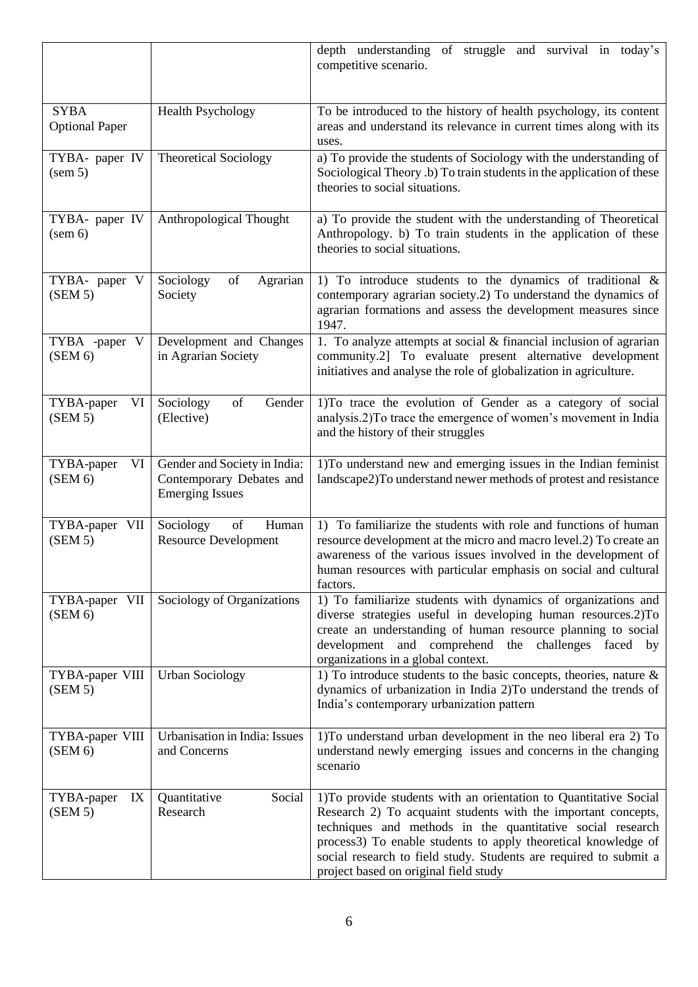|                                        |                                                                                    | depth understanding of struggle and survival in today's<br>competitive scenario.                                                                                                                                                                                                                                                                                                 |
|----------------------------------------|------------------------------------------------------------------------------------|----------------------------------------------------------------------------------------------------------------------------------------------------------------------------------------------------------------------------------------------------------------------------------------------------------------------------------------------------------------------------------|
| <b>SYBA</b><br><b>Optional Paper</b>   | <b>Health Psychology</b>                                                           | To be introduced to the history of health psychology, its content<br>areas and understand its relevance in current times along with its<br>uses.                                                                                                                                                                                                                                 |
| TYBA- paper IV<br>(sem 5)              | <b>Theoretical Sociology</b>                                                       | a) To provide the students of Sociology with the understanding of<br>Sociological Theory .b) To train students in the application of these<br>theories to social situations.                                                                                                                                                                                                     |
| TYBA- paper IV<br>(sem 6)              | Anthropological Thought                                                            | a) To provide the student with the understanding of Theoretical<br>Anthropology. b) To train students in the application of these<br>theories to social situations.                                                                                                                                                                                                              |
| TYBA- paper V<br>(SEM 5)               | Sociology<br>of<br>Agrarian<br>Society                                             | 1) To introduce students to the dynamics of traditional $\&$<br>contemporary agrarian society.2) To understand the dynamics of<br>agrarian formations and assess the development measures since<br>1947.                                                                                                                                                                         |
| TYBA -paper<br>$\mathbf{V}$<br>(SEM 6) | Development and Changes<br>in Agrarian Society                                     | 1. To analyze attempts at social $&$ financial inclusion of agrarian<br>community.2] To evaluate present alternative development<br>initiatives and analyse the role of globalization in agriculture.                                                                                                                                                                            |
| TYBA-paper<br>VI<br>(SEM 5)            | of<br>Gender<br>Sociology<br>(Elective)                                            | 1) To trace the evolution of Gender as a category of social<br>analysis.2) To trace the emergence of women's movement in India<br>and the history of their struggles                                                                                                                                                                                                             |
| TYBA-paper<br>VI<br>(SEM 6)            | Gender and Society in India:<br>Contemporary Debates and<br><b>Emerging Issues</b> | 1) To understand new and emerging issues in the Indian feminist<br>landscape2)To understand newer methods of protest and resistance                                                                                                                                                                                                                                              |
| TYBA-paper VII<br>(SEM 5)              | of<br>Human<br>Sociology<br><b>Resource Development</b>                            | 1) To familiarize the students with role and functions of human<br>resource development at the micro and macro level.2) To create an<br>awareness of the various issues involved in the development of<br>human resources with particular emphasis on social and cultural<br>factors.                                                                                            |
| TYBA-paper VII<br>(SEM 6)              | Sociology of Organizations                                                         | 1) To familiarize students with dynamics of organizations and<br>diverse strategies useful in developing human resources.2)To<br>create an understanding of human resource planning to social<br>development<br>and comprehend the<br>challenges faced by<br>organizations in a global context.                                                                                  |
| TYBA-paper VIII<br>(SEM 5)             | <b>Urban Sociology</b>                                                             | 1) To introduce students to the basic concepts, theories, nature $\&$<br>dynamics of urbanization in India 2) To understand the trends of<br>India's contemporary urbanization pattern                                                                                                                                                                                           |
| TYBA-paper VIII<br>(SEM 6)             | Urbanisation in India: Issues<br>and Concerns                                      | 1) To understand urban development in the neo liberal era 2) To<br>understand newly emerging issues and concerns in the changing<br>scenario                                                                                                                                                                                                                                     |
| TYBA-paper<br>IX<br>(SEM 5)            | Social<br>Quantitative<br>Research                                                 | 1) To provide students with an orientation to Quantitative Social<br>Research 2) To acquaint students with the important concepts,<br>techniques and methods in the quantitative social research<br>process3) To enable students to apply theoretical knowledge of<br>social research to field study. Students are required to submit a<br>project based on original field study |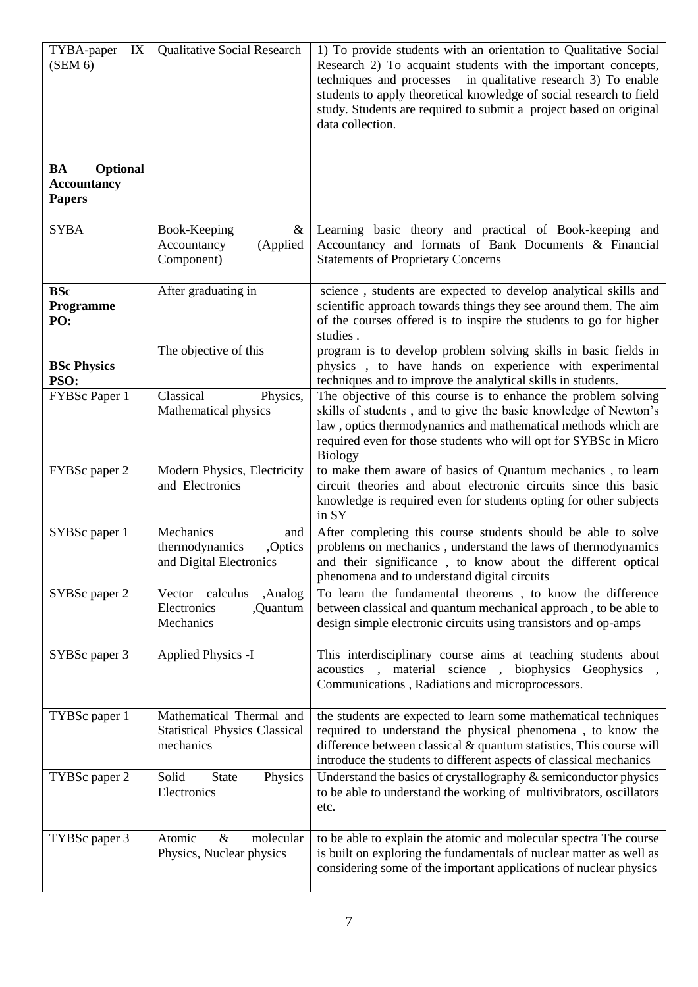| IX<br>TYBA-paper<br>(SEM 6)                           | Qualitative Social Research                                                   | 1) To provide students with an orientation to Qualitative Social<br>Research 2) To acquaint students with the important concepts,<br>techniques and processes in qualitative research 3) To enable<br>students to apply theoretical knowledge of social research to field<br>study. Students are required to submit a project based on original<br>data collection. |
|-------------------------------------------------------|-------------------------------------------------------------------------------|---------------------------------------------------------------------------------------------------------------------------------------------------------------------------------------------------------------------------------------------------------------------------------------------------------------------------------------------------------------------|
| Optional<br>BA<br><b>Accountancy</b><br><b>Papers</b> |                                                                               |                                                                                                                                                                                                                                                                                                                                                                     |
| <b>SYBA</b>                                           | Book-Keeping<br>$\&$<br>(Applied<br>Accountancy<br>Component)                 | Learning basic theory and practical of Book-keeping and<br>Accountancy and formats of Bank Documents & Financial<br><b>Statements of Proprietary Concerns</b>                                                                                                                                                                                                       |
| <b>BSc</b><br>Programme<br>PO:                        | After graduating in                                                           | science, students are expected to develop analytical skills and<br>scientific approach towards things they see around them. The aim<br>of the courses offered is to inspire the students to go for higher<br>studies.                                                                                                                                               |
| <b>BSc Physics</b><br>PSO:                            | The objective of this                                                         | program is to develop problem solving skills in basic fields in<br>physics, to have hands on experience with experimental<br>techniques and to improve the analytical skills in students.                                                                                                                                                                           |
| FYBSc Paper 1                                         | Classical<br>Physics,<br>Mathematical physics                                 | The objective of this course is to enhance the problem solving<br>skills of students, and to give the basic knowledge of Newton's<br>law, optics thermodynamics and mathematical methods which are<br>required even for those students who will opt for SYBSc in Micro<br><b>Biology</b>                                                                            |
| FYBSc paper 2                                         | Modern Physics, Electricity<br>and Electronics                                | to make them aware of basics of Quantum mechanics, to learn<br>circuit theories and about electronic circuits since this basic<br>knowledge is required even for students opting for other subjects<br>in SY                                                                                                                                                        |
| SYBSc paper 1                                         | Mechanics<br>and<br>thermodynamics<br>,Optics<br>and Digital Electronics      | After completing this course students should be able to solve<br>problems on mechanics, understand the laws of thermodynamics<br>and their significance, to know about the different optical<br>phenomena and to understand digital circuits                                                                                                                        |
| SYBSc paper 2                                         | Vector calculus<br>,Analog<br>Electronics<br>,Quantum<br>Mechanics            | To learn the fundamental theorems, to know the difference<br>between classical and quantum mechanical approach, to be able to<br>design simple electronic circuits using transistors and op-amps                                                                                                                                                                    |
| SYBSc paper 3                                         | <b>Applied Physics -I</b>                                                     | This interdisciplinary course aims at teaching students about<br>acoustics, material science, biophysics Geophysics<br>Communications, Radiations and microprocessors.                                                                                                                                                                                              |
| TYBSc paper 1                                         | Mathematical Thermal and<br><b>Statistical Physics Classical</b><br>mechanics | the students are expected to learn some mathematical techniques<br>required to understand the physical phenomena, to know the<br>difference between classical & quantum statistics, This course will<br>introduce the students to different aspects of classical mechanics                                                                                          |
| TYBSc paper 2                                         | <b>State</b><br>Solid<br>Physics<br>Electronics                               | Understand the basics of crystallography $\&$ semiconductor physics<br>to be able to understand the working of multivibrators, oscillators<br>etc.                                                                                                                                                                                                                  |
| TYBSc paper 3                                         | molecular<br>Atomic<br>$\&$<br>Physics, Nuclear physics                       | to be able to explain the atomic and molecular spectra The course<br>is built on exploring the fundamentals of nuclear matter as well as<br>considering some of the important applications of nuclear physics                                                                                                                                                       |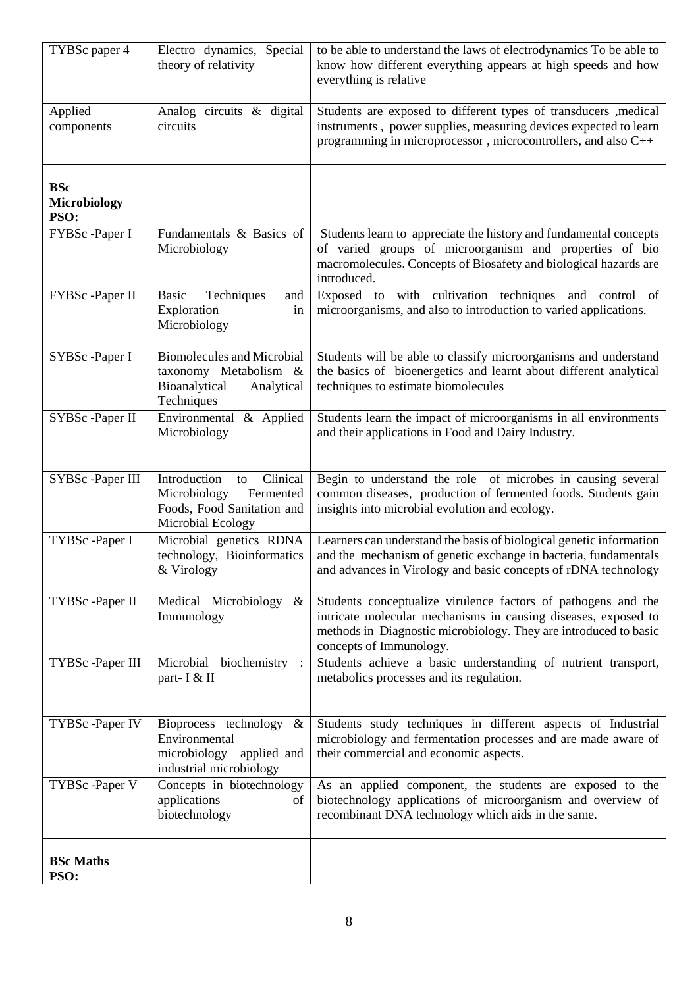| TYBSc paper 4                             | Electro dynamics, Special<br>theory of relativity                                                              | to be able to understand the laws of electrodynamics To be able to<br>know how different everything appears at high speeds and how<br>everything is relative                                                                   |
|-------------------------------------------|----------------------------------------------------------------------------------------------------------------|--------------------------------------------------------------------------------------------------------------------------------------------------------------------------------------------------------------------------------|
| Applied<br>components                     | Analog circuits & digital<br>circuits                                                                          | Students are exposed to different types of transducers , medical<br>instruments, power supplies, measuring devices expected to learn<br>programming in microprocessor, microcontrollers, and also C++                          |
| <b>BSc</b><br><b>Microbiology</b><br>PSO: |                                                                                                                |                                                                                                                                                                                                                                |
| FYBSc -Paper I                            | Fundamentals & Basics of<br>Microbiology                                                                       | Students learn to appreciate the history and fundamental concepts<br>of varied groups of microorganism and properties of bio<br>macromolecules. Concepts of Biosafety and biological hazards are<br>introduced.                |
| FYBSc -Paper II                           | Basic<br>Techniques<br>and<br>Exploration<br>in<br>Microbiology                                                | Exposed to with cultivation techniques and control of<br>microorganisms, and also to introduction to varied applications.                                                                                                      |
| SYBSc -Paper I                            | <b>Biomolecules and Microbial</b><br>taxonomy Metabolism &<br>Bioanalytical<br>Analytical<br>Techniques        | Students will be able to classify microorganisms and understand<br>the basics of bioenergetics and learnt about different analytical<br>techniques to estimate biomolecules                                                    |
| SYBSc -Paper II                           | Environmental & Applied<br>Microbiology                                                                        | Students learn the impact of microorganisms in all environments<br>and their applications in Food and Dairy Industry.                                                                                                          |
| SYBSc -Paper III                          | Clinical<br>Introduction<br>to<br>Microbiology<br>Fermented<br>Foods, Food Sanitation and<br>Microbial Ecology | Begin to understand the role of microbes in causing several<br>common diseases, production of fermented foods. Students gain<br>insights into microbial evolution and ecology.                                                 |
| TYBSc -Paper I                            | Microbial genetics RDNA<br>technology, Bioinformatics<br>& Virology                                            | Learners can understand the basis of biological genetic information<br>and the mechanism of genetic exchange in bacteria, fundamentals<br>and advances in Virology and basic concepts of rDNA technology                       |
| TYBSc -Paper II                           | Medical Microbiology<br>$\&$<br>Immunology                                                                     | Students conceptualize virulence factors of pathogens and the<br>intricate molecular mechanisms in causing diseases, exposed to<br>methods in Diagnostic microbiology. They are introduced to basic<br>concepts of Immunology. |
| TYBSc -Paper III                          | Microbial biochemistry :<br>part- I & II                                                                       | Students achieve a basic understanding of nutrient transport,<br>metabolics processes and its regulation.                                                                                                                      |
| TYBSc -Paper IV                           | Bioprocess technology $\&$<br>Environmental<br>microbiology<br>applied and<br>industrial microbiology          | Students study techniques in different aspects of Industrial<br>microbiology and fermentation processes and are made aware of<br>their commercial and economic aspects.                                                        |
| TYBSc -Paper V                            | Concepts in biotechnology<br>applications<br>of<br>biotechnology                                               | As an applied component, the students are exposed to the<br>biotechnology applications of microorganism and overview of<br>recombinant DNA technology which aids in the same.                                                  |
| <b>BSc Maths</b><br>PSO:                  |                                                                                                                |                                                                                                                                                                                                                                |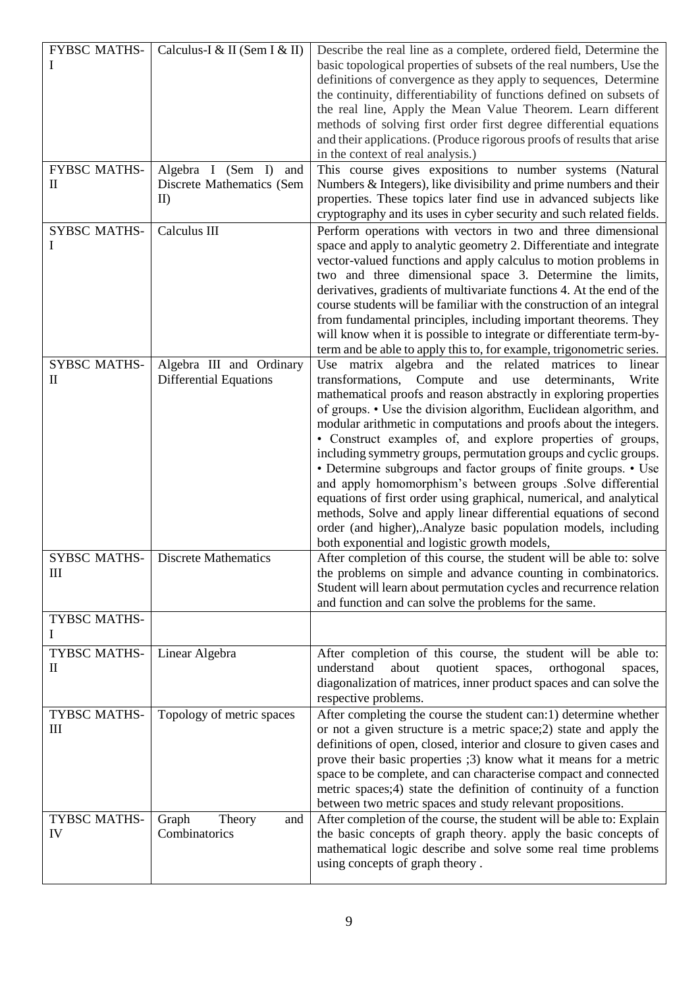| <b>FYBSC MATHS-</b>             | Calculus-I & II (Sem I & II)  | Describe the real line as a complete, ordered field, Determine the     |
|---------------------------------|-------------------------------|------------------------------------------------------------------------|
|                                 |                               |                                                                        |
| Ι                               |                               | basic topological properties of subsets of the real numbers, Use the   |
|                                 |                               | definitions of convergence as they apply to sequences, Determine       |
|                                 |                               | the continuity, differentiability of functions defined on subsets of   |
|                                 |                               | the real line, Apply the Mean Value Theorem. Learn different           |
|                                 |                               | methods of solving first order first degree differential equations     |
|                                 |                               |                                                                        |
|                                 |                               | and their applications. (Produce rigorous proofs of results that arise |
|                                 |                               | in the context of real analysis.)                                      |
| <b>FYBSC MATHS-</b>             | Algebra I (Sem I)<br>and      | This course gives expositions to number systems (Natural               |
| П                               | Discrete Mathematics (Sem     | Numbers & Integers), like divisibility and prime numbers and their     |
|                                 | II                            | properties. These topics later find use in advanced subjects like      |
|                                 |                               | cryptography and its uses in cyber security and such related fields.   |
| <b>SYBSC MATHS-</b>             | Calculus III                  |                                                                        |
|                                 |                               | Perform operations with vectors in two and three dimensional           |
| I                               |                               | space and apply to analytic geometry 2. Differentiate and integrate    |
|                                 |                               | vector-valued functions and apply calculus to motion problems in       |
|                                 |                               | two and three dimensional space 3. Determine the limits,               |
|                                 |                               | derivatives, gradients of multivariate functions 4. At the end of the  |
|                                 |                               | course students will be familiar with the construction of an integral  |
|                                 |                               | from fundamental principles, including important theorems. They        |
|                                 |                               |                                                                        |
|                                 |                               | will know when it is possible to integrate or differentiate term-by-   |
|                                 |                               | term and be able to apply this to, for example, trigonometric series.  |
| <b>SYBSC MATHS-</b>             | Algebra III and Ordinary      | Use matrix algebra and the related matrices to<br>linear               |
| П                               | <b>Differential Equations</b> | transformations, Compute<br>and<br>use<br>determinants,<br>Write       |
|                                 |                               | mathematical proofs and reason abstractly in exploring properties      |
|                                 |                               | of groups. • Use the division algorithm, Euclidean algorithm, and      |
|                                 |                               | modular arithmetic in computations and proofs about the integers.      |
|                                 |                               |                                                                        |
|                                 |                               | • Construct examples of, and explore properties of groups,             |
|                                 |                               | including symmetry groups, permutation groups and cyclic groups.       |
|                                 |                               | • Determine subgroups and factor groups of finite groups. • Use        |
|                                 |                               | and apply homomorphism's between groups .Solve differential            |
|                                 |                               | equations of first order using graphical, numerical, and analytical    |
|                                 |                               | methods, Solve and apply linear differential equations of second       |
|                                 |                               | order (and higher), Analyze basic population models, including         |
|                                 |                               | both exponential and logistic growth models,                           |
| <b>SYBSC MATHS-</b>             | <b>Discrete Mathematics</b>   |                                                                        |
|                                 |                               | After completion of this course, the student will be able to: solve    |
| $\mathop{\rm III}$              |                               | the problems on simple and advance counting in combinatorics.          |
|                                 |                               | Student will learn about permutation cycles and recurrence relation    |
|                                 |                               | and function and can solve the problems for the same.                  |
| TYBSC MATHS-                    |                               |                                                                        |
|                                 |                               |                                                                        |
| TYBSC MATHS-                    | Linear Algebra                | After completion of this course, the student will be able to:          |
| $\mathop{\mathrm{II}}\nolimits$ |                               | understand<br>about<br>quotient<br>orthogonal<br>spaces,<br>spaces,    |
|                                 |                               |                                                                        |
|                                 |                               | diagonalization of matrices, inner product spaces and can solve the    |
|                                 |                               | respective problems.                                                   |
| TYBSC MATHS-                    | Topology of metric spaces     | After completing the course the student can:1) determine whether       |
| Ш                               |                               | or not a given structure is a metric space; 2) state and apply the     |
|                                 |                               | definitions of open, closed, interior and closure to given cases and   |
|                                 |                               | prove their basic properties (3) know what it means for a metric       |
|                                 |                               |                                                                        |
|                                 |                               | space to be complete, and can characterise compact and connected       |
|                                 |                               | metric spaces;4) state the definition of continuity of a function      |
|                                 |                               | between two metric spaces and study relevant propositions.             |
| TYBSC MATHS-                    | Graph<br>Theory<br>and        | After completion of the course, the student will be able to: Explain   |
| IV                              | Combinatorics                 | the basic concepts of graph theory. apply the basic concepts of        |
|                                 |                               | mathematical logic describe and solve some real time problems          |
|                                 |                               |                                                                        |
|                                 |                               | using concepts of graph theory.                                        |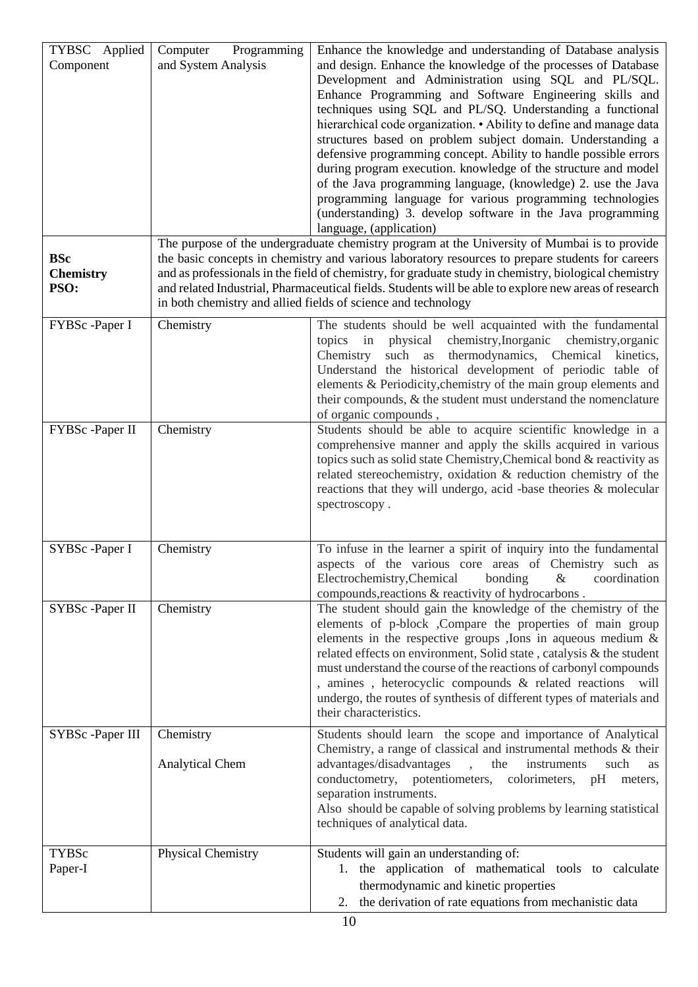| TYBSC Applied<br>Component<br><b>BSc</b><br><b>Chemistry</b><br>PSO: | Programming<br>Computer<br>and System Analysis | Enhance the knowledge and understanding of Database analysis<br>and design. Enhance the knowledge of the processes of Database<br>Development and Administration using SQL and PL/SQL.<br>Enhance Programming and Software Engineering skills and<br>techniques using SQL and PL/SQ. Understanding a functional<br>hierarchical code organization. • Ability to define and manage data<br>structures based on problem subject domain. Understanding a<br>defensive programming concept. Ability to handle possible errors<br>during program execution. knowledge of the structure and model<br>of the Java programming language, (knowledge) 2. use the Java<br>programming language for various programming technologies<br>(understanding) 3. develop software in the Java programming<br>language, (application)<br>The purpose of the undergraduate chemistry program at the University of Mumbai is to provide<br>the basic concepts in chemistry and various laboratory resources to prepare students for careers<br>and as professionals in the field of chemistry, for graduate study in chemistry, biological chemistry<br>and related Industrial, Pharmaceutical fields. Students will be able to explore new areas of research<br>in both chemistry and allied fields of science and technology |
|----------------------------------------------------------------------|------------------------------------------------|------------------------------------------------------------------------------------------------------------------------------------------------------------------------------------------------------------------------------------------------------------------------------------------------------------------------------------------------------------------------------------------------------------------------------------------------------------------------------------------------------------------------------------------------------------------------------------------------------------------------------------------------------------------------------------------------------------------------------------------------------------------------------------------------------------------------------------------------------------------------------------------------------------------------------------------------------------------------------------------------------------------------------------------------------------------------------------------------------------------------------------------------------------------------------------------------------------------------------------------------------------------------------------------------------------|
| FYBSc-Paper I                                                        | Chemistry                                      | The students should be well acquainted with the fundamental<br>topics in physical chemistry, Inorganic chemistry, organic<br>such as thermodynamics, Chemical kinetics,<br>Chemistry<br>Understand the historical development of periodic table of<br>elements & Periodicity, chemistry of the main group elements and<br>their compounds, & the student must understand the nomenclature<br>of organic compounds,                                                                                                                                                                                                                                                                                                                                                                                                                                                                                                                                                                                                                                                                                                                                                                                                                                                                                         |
| FYBSc -Paper II                                                      | Chemistry                                      | Students should be able to acquire scientific knowledge in a<br>comprehensive manner and apply the skills acquired in various<br>topics such as solid state Chemistry, Chemical bond & reactivity as<br>related stereochemistry, oxidation & reduction chemistry of the<br>reactions that they will undergo, acid -base theories & molecular<br>spectroscopy.                                                                                                                                                                                                                                                                                                                                                                                                                                                                                                                                                                                                                                                                                                                                                                                                                                                                                                                                              |
| SYBSc -Paper I                                                       | Chemistry                                      | To infuse in the learner a spirit of inquiry into the fundamental<br>aspects of the various core areas of Chemistry such as<br>Electrochemistry, Chemical<br>bonding<br>$\&$<br>coordination<br>compounds, reactions & reactivity of hydrocarbons.                                                                                                                                                                                                                                                                                                                                                                                                                                                                                                                                                                                                                                                                                                                                                                                                                                                                                                                                                                                                                                                         |
| SYBSc -Paper II                                                      | Chemistry                                      | The student should gain the knowledge of the chemistry of the<br>elements of p-block , Compare the properties of main group<br>elements in the respective groups , Ions in aqueous medium $\&$<br>related effects on environment, Solid state, catalysis & the student<br>must understand the course of the reactions of carbonyl compounds<br>, amines, heterocyclic compounds & related reactions<br>will<br>undergo, the routes of synthesis of different types of materials and<br>their characteristics.                                                                                                                                                                                                                                                                                                                                                                                                                                                                                                                                                                                                                                                                                                                                                                                              |
| SYBSc -Paper III                                                     | Chemistry<br><b>Analytical Chem</b>            | Students should learn the scope and importance of Analytical<br>Chemistry, a range of classical and instrumental methods & their<br>advantages/disadvantages<br>the<br>instruments<br>such<br>as<br>conductometry, potentiometers, colorimeters, pH<br>meters,<br>separation instruments.<br>Also should be capable of solving problems by learning statistical<br>techniques of analytical data.                                                                                                                                                                                                                                                                                                                                                                                                                                                                                                                                                                                                                                                                                                                                                                                                                                                                                                          |
| <b>TYBSc</b><br>Paper-I                                              | Physical Chemistry                             | Students will gain an understanding of:<br>1. the application of mathematical tools to calculate<br>thermodynamic and kinetic properties<br>the derivation of rate equations from mechanistic data<br>2.                                                                                                                                                                                                                                                                                                                                                                                                                                                                                                                                                                                                                                                                                                                                                                                                                                                                                                                                                                                                                                                                                                   |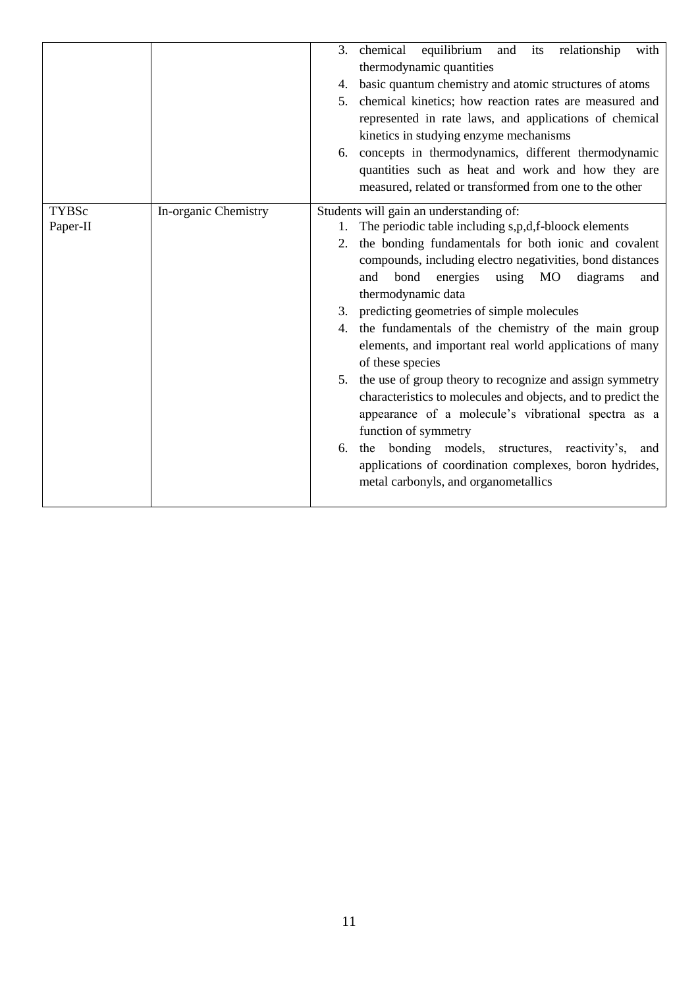|                          |                      | chemical<br>equilibrium and<br>relationship<br>its<br>with<br>3.<br>thermodynamic quantities<br>basic quantum chemistry and atomic structures of atoms<br>4.<br>5. chemical kinetics; how reaction rates are measured and<br>represented in rate laws, and applications of chemical<br>kinetics in studying enzyme mechanisms<br>6. concepts in thermodynamics, different thermodynamic<br>quantities such as heat and work and how they are<br>measured, related or transformed from one to the other                                                                                                                                                                                                                                                                                                                                                                                   |
|--------------------------|----------------------|------------------------------------------------------------------------------------------------------------------------------------------------------------------------------------------------------------------------------------------------------------------------------------------------------------------------------------------------------------------------------------------------------------------------------------------------------------------------------------------------------------------------------------------------------------------------------------------------------------------------------------------------------------------------------------------------------------------------------------------------------------------------------------------------------------------------------------------------------------------------------------------|
| <b>TYBSc</b><br>Paper-II | In-organic Chemistry | Students will gain an understanding of:<br>1. The periodic table including s,p,d,f-bloock elements<br>2. the bonding fundamentals for both ionic and covalent<br>compounds, including electro negativities, bond distances<br>bond<br>using<br>MO<br>diagrams<br>and<br>energies<br>and<br>thermodynamic data<br>3. predicting geometries of simple molecules<br>the fundamentals of the chemistry of the main group<br>4.<br>elements, and important real world applications of many<br>of these species<br>5. the use of group theory to recognize and assign symmetry<br>characteristics to molecules and objects, and to predict the<br>appearance of a molecule's vibrational spectra as a<br>function of symmetry<br>the bonding models, structures, reactivity's,<br>6.<br>and<br>applications of coordination complexes, boron hydrides,<br>metal carbonyls, and organometallics |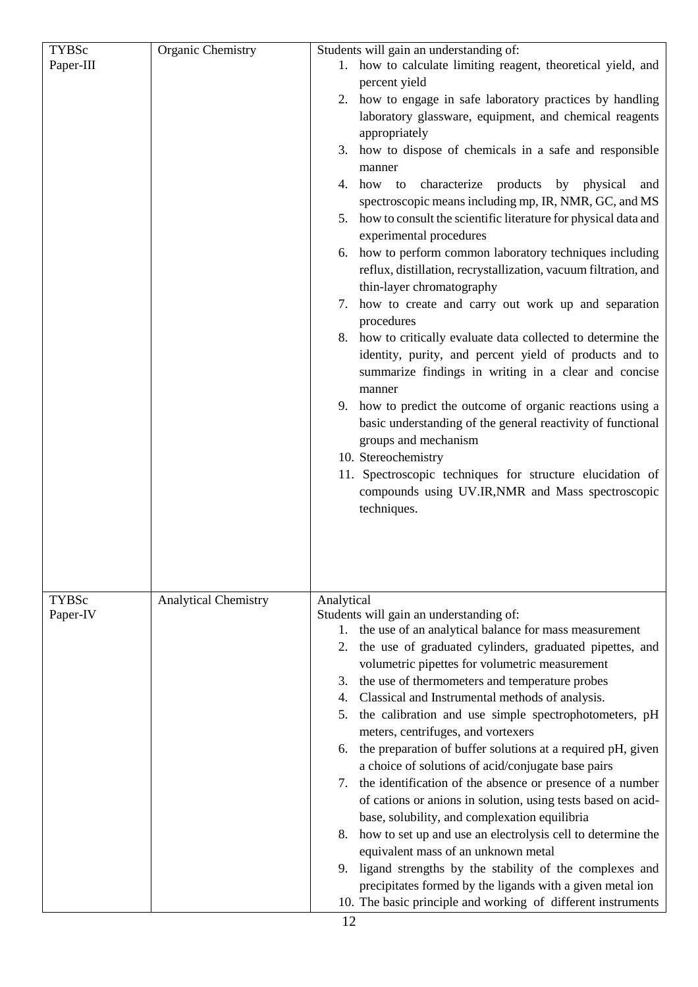| <b>TYBSc</b><br>Paper-III | <b>Organic Chemistry</b>    | Students will gain an understanding of:<br>1. how to calculate limiting reagent, theoretical yield, and                                                                                                                                                                                                                                                                                                                                                                                                                                                                                                                                                                                                                                                                                                                                                                                                                                                                                                                                                                                                                                                                                 |
|---------------------------|-----------------------------|-----------------------------------------------------------------------------------------------------------------------------------------------------------------------------------------------------------------------------------------------------------------------------------------------------------------------------------------------------------------------------------------------------------------------------------------------------------------------------------------------------------------------------------------------------------------------------------------------------------------------------------------------------------------------------------------------------------------------------------------------------------------------------------------------------------------------------------------------------------------------------------------------------------------------------------------------------------------------------------------------------------------------------------------------------------------------------------------------------------------------------------------------------------------------------------------|
|                           |                             | percent yield<br>2. how to engage in safe laboratory practices by handling<br>laboratory glassware, equipment, and chemical reagents<br>appropriately<br>3. how to dispose of chemicals in a safe and responsible<br>manner<br>4. how to characterize products by physical<br>and<br>spectroscopic means including mp, IR, NMR, GC, and MS<br>5. how to consult the scientific literature for physical data and<br>experimental procedures<br>6. how to perform common laboratory techniques including<br>reflux, distillation, recrystallization, vacuum filtration, and<br>thin-layer chromatography<br>7. how to create and carry out work up and separation<br>procedures<br>8. how to critically evaluate data collected to determine the<br>identity, purity, and percent yield of products and to<br>summarize findings in writing in a clear and concise<br>manner<br>9. how to predict the outcome of organic reactions using a<br>basic understanding of the general reactivity of functional<br>groups and mechanism<br>10. Stereochemistry<br>11. Spectroscopic techniques for structure elucidation of<br>compounds using UV.IR, NMR and Mass spectroscopic<br>techniques. |
| <b>TYBSc</b><br>Paper-IV  | <b>Analytical Chemistry</b> | Analytical<br>Students will gain an understanding of:<br>1. the use of an analytical balance for mass measurement<br>2. the use of graduated cylinders, graduated pipettes, and<br>volumetric pipettes for volumetric measurement<br>3. the use of thermometers and temperature probes<br>4. Classical and Instrumental methods of analysis.<br>5. the calibration and use simple spectrophotometers, pH<br>meters, centrifuges, and vortexers<br>6. the preparation of buffer solutions at a required pH, given<br>a choice of solutions of acid/conjugate base pairs<br>7. the identification of the absence or presence of a number<br>of cations or anions in solution, using tests based on acid-<br>base, solubility, and complexation equilibria<br>8. how to set up and use an electrolysis cell to determine the<br>equivalent mass of an unknown metal<br>9. ligand strengths by the stability of the complexes and<br>precipitates formed by the ligands with a given metal ion<br>10. The basic principle and working of different instruments                                                                                                                              |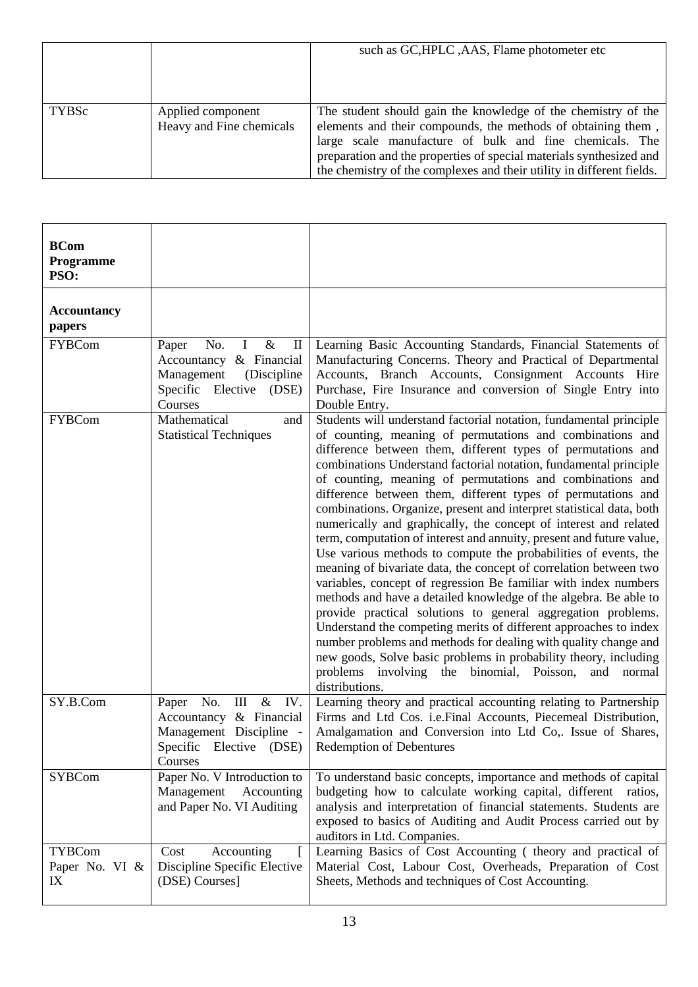|       |                                               | such as GC, HPLC, AAS, Flame photometer etc                                                                                                                                                                                                                                                                                              |
|-------|-----------------------------------------------|------------------------------------------------------------------------------------------------------------------------------------------------------------------------------------------------------------------------------------------------------------------------------------------------------------------------------------------|
| TYBSc | Applied component<br>Heavy and Fine chemicals | The student should gain the knowledge of the chemistry of the<br>elements and their compounds, the methods of obtaining them,<br>large scale manufacture of bulk and fine chemicals. The<br>preparation and the properties of special materials synthesized and<br>the chemistry of the complexes and their utility in different fields. |

| <b>BCom</b><br>Programme<br>PSO:      |                                                                                                                                                |                                                                                                                                                                                                                                                                                                                                                                                                                                                                                                                                                                                                                                                                                                                                                                                                                                                                                                                                                                                                                                                                                                                                                                                                                                                           |
|---------------------------------------|------------------------------------------------------------------------------------------------------------------------------------------------|-----------------------------------------------------------------------------------------------------------------------------------------------------------------------------------------------------------------------------------------------------------------------------------------------------------------------------------------------------------------------------------------------------------------------------------------------------------------------------------------------------------------------------------------------------------------------------------------------------------------------------------------------------------------------------------------------------------------------------------------------------------------------------------------------------------------------------------------------------------------------------------------------------------------------------------------------------------------------------------------------------------------------------------------------------------------------------------------------------------------------------------------------------------------------------------------------------------------------------------------------------------|
| <b>Accountancy</b><br>papers          |                                                                                                                                                |                                                                                                                                                                                                                                                                                                                                                                                                                                                                                                                                                                                                                                                                                                                                                                                                                                                                                                                                                                                                                                                                                                                                                                                                                                                           |
| <b>FYBCom</b>                         | $\&$<br>$\bf{I}$<br>$\mathbf{I}$<br>Paper<br>No.<br>Accountancy & Financial<br>Management<br>(Discipline<br>Specific Elective (DSE)<br>Courses | Learning Basic Accounting Standards, Financial Statements of<br>Manufacturing Concerns. Theory and Practical of Departmental<br>Accounts, Branch Accounts, Consignment Accounts Hire<br>Purchase, Fire Insurance and conversion of Single Entry into<br>Double Entry.                                                                                                                                                                                                                                                                                                                                                                                                                                                                                                                                                                                                                                                                                                                                                                                                                                                                                                                                                                                     |
| <b>FYBCom</b>                         | Mathematical<br>and<br><b>Statistical Techniques</b>                                                                                           | Students will understand factorial notation, fundamental principle<br>of counting, meaning of permutations and combinations and<br>difference between them, different types of permutations and<br>combinations Understand factorial notation, fundamental principle<br>of counting, meaning of permutations and combinations and<br>difference between them, different types of permutations and<br>combinations. Organize, present and interpret statistical data, both<br>numerically and graphically, the concept of interest and related<br>term, computation of interest and annuity, present and future value,<br>Use various methods to compute the probabilities of events, the<br>meaning of bivariate data, the concept of correlation between two<br>variables, concept of regression Be familiar with index numbers<br>methods and have a detailed knowledge of the algebra. Be able to<br>provide practical solutions to general aggregation problems.<br>Understand the competing merits of different approaches to index<br>number problems and methods for dealing with quality change and<br>new goods, Solve basic problems in probability theory, including<br>problems involving the binomial, Poisson, and normal<br>distributions. |
| SY.B.Com                              | No.<br>$\mathop{\rm III}$<br>$\&$<br>Paper<br>IV.<br>Accountancy & Financial<br>Management Discipline -<br>Specific Elective (DSE)<br>Courses  | Learning theory and practical accounting relating to Partnership<br>Firms and Ltd Cos. i.e. Final Accounts, Piecemeal Distribution,<br>Amalgamation and Conversion into Ltd Co,. Issue of Shares,<br><b>Redemption of Debentures</b>                                                                                                                                                                                                                                                                                                                                                                                                                                                                                                                                                                                                                                                                                                                                                                                                                                                                                                                                                                                                                      |
| <b>SYBCom</b>                         | Paper No. V Introduction to<br>Management Accounting<br>and Paper No. VI Auditing                                                              | To understand basic concepts, importance and methods of capital<br>budgeting how to calculate working capital, different ratios,<br>analysis and interpretation of financial statements. Students are<br>exposed to basics of Auditing and Audit Process carried out by<br>auditors in Ltd. Companies.                                                                                                                                                                                                                                                                                                                                                                                                                                                                                                                                                                                                                                                                                                                                                                                                                                                                                                                                                    |
| <b>TYBCom</b><br>Paper No. VI &<br>IX | Accounting<br>Cost<br>Discipline Specific Elective<br>(DSE) Courses]                                                                           | Learning Basics of Cost Accounting (theory and practical of<br>Material Cost, Labour Cost, Overheads, Preparation of Cost<br>Sheets, Methods and techniques of Cost Accounting.                                                                                                                                                                                                                                                                                                                                                                                                                                                                                                                                                                                                                                                                                                                                                                                                                                                                                                                                                                                                                                                                           |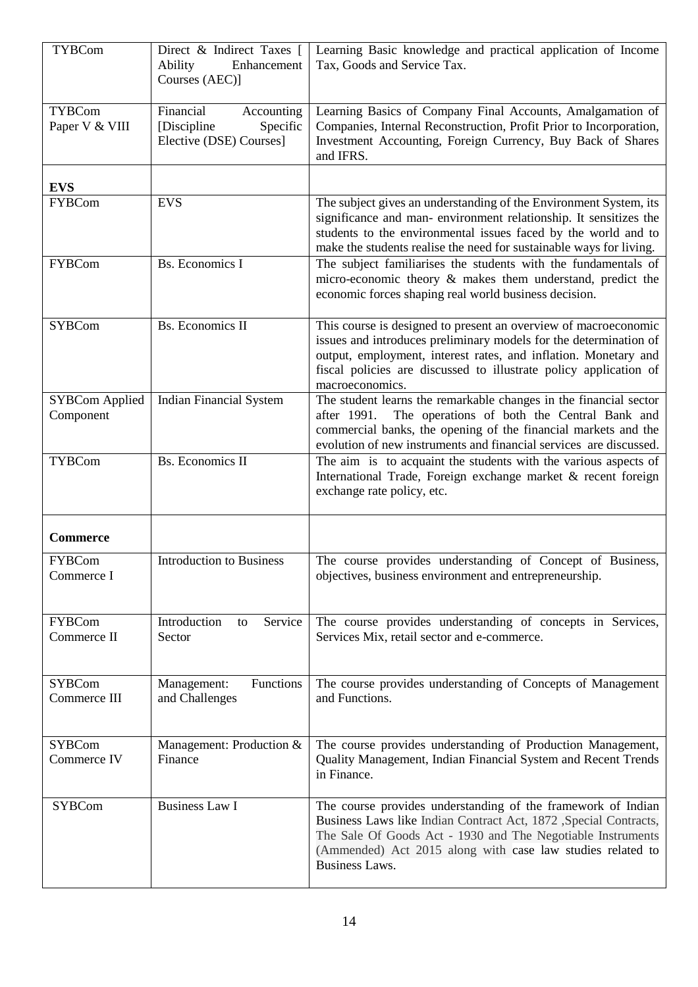| <b>TYBCom</b>                      | Direct & Indirect Taxes [<br>Ability<br>Enhancement<br>Courses (AEC)]          | Learning Basic knowledge and practical application of Income<br>Tax, Goods and Service Tax.                                                                                                                                                                                                     |
|------------------------------------|--------------------------------------------------------------------------------|-------------------------------------------------------------------------------------------------------------------------------------------------------------------------------------------------------------------------------------------------------------------------------------------------|
| <b>TYBCom</b><br>Paper V & VIII    | Financial<br>Accounting<br>Specific<br>[Discipline]<br>Elective (DSE) Courses] | Learning Basics of Company Final Accounts, Amalgamation of<br>Companies, Internal Reconstruction, Profit Prior to Incorporation,<br>Investment Accounting, Foreign Currency, Buy Back of Shares<br>and IFRS.                                                                                    |
| <b>EVS</b>                         |                                                                                |                                                                                                                                                                                                                                                                                                 |
| <b>FYBCom</b>                      | <b>EVS</b>                                                                     | The subject gives an understanding of the Environment System, its<br>significance and man- environment relationship. It sensitizes the<br>students to the environmental issues faced by the world and to<br>make the students realise the need for sustainable ways for living.                 |
| <b>FYBCom</b>                      | <b>Bs.</b> Economics I                                                         | The subject familiarises the students with the fundamentals of<br>micro-economic theory & makes them understand, predict the<br>economic forces shaping real world business decision.                                                                                                           |
| <b>SYBCom</b>                      | <b>Bs.</b> Economics II                                                        | This course is designed to present an overview of macroeconomic<br>issues and introduces preliminary models for the determination of<br>output, employment, interest rates, and inflation. Monetary and<br>fiscal policies are discussed to illustrate policy application of<br>macroeconomics. |
| <b>SYBCom Applied</b><br>Component | <b>Indian Financial System</b>                                                 | The student learns the remarkable changes in the financial sector<br>The operations of both the Central Bank and<br>after 1991.<br>commercial banks, the opening of the financial markets and the<br>evolution of new instruments and financial services are discussed.                         |
| <b>TYBCom</b>                      | <b>Bs.</b> Economics II                                                        | The aim is to acquaint the students with the various aspects of<br>International Trade, Foreign exchange market & recent foreign<br>exchange rate policy, etc.                                                                                                                                  |
| <b>Commerce</b>                    |                                                                                |                                                                                                                                                                                                                                                                                                 |
| <b>FYBCom</b><br>Commerce I        | Introduction to Business                                                       | The course provides understanding of Concept of Business,<br>objectives, business environment and entrepreneurship.                                                                                                                                                                             |
| <b>FYBCom</b><br>Commerce II       | Introduction<br>Service<br>to<br>Sector                                        | The course provides understanding of concepts in Services,<br>Services Mix, retail sector and e-commerce.                                                                                                                                                                                       |
| <b>SYBCom</b><br>Commerce III      | Functions<br>Management:<br>and Challenges                                     | The course provides understanding of Concepts of Management<br>and Functions.                                                                                                                                                                                                                   |
| <b>SYBCom</b><br>Commerce IV       | Management: Production &<br>Finance                                            | The course provides understanding of Production Management,<br>Quality Management, Indian Financial System and Recent Trends<br>in Finance.                                                                                                                                                     |
| <b>SYBCom</b>                      | <b>Business Law I</b>                                                          | The course provides understanding of the framework of Indian<br>Business Laws like Indian Contract Act, 1872 ,Special Contracts,<br>The Sale Of Goods Act - 1930 and The Negotiable Instruments<br>(Ammended) Act 2015 along with case law studies related to<br><b>Business Laws.</b>          |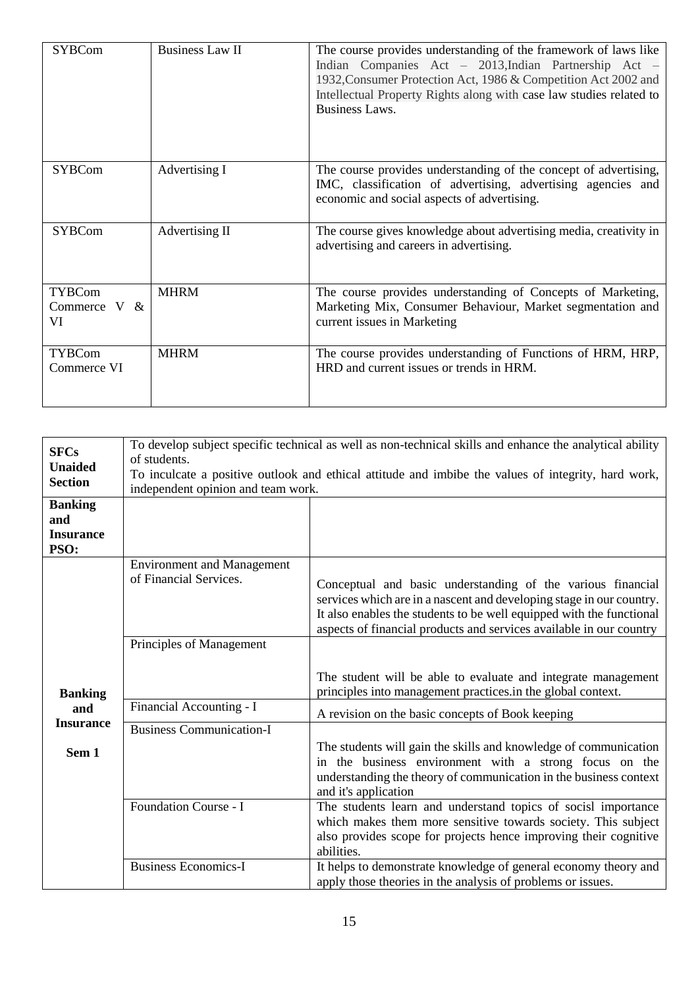| <b>SYBCom</b>                         | <b>Business Law II</b> | The course provides understanding of the framework of laws like<br>Indian Companies Act - 2013, Indian Partnership Act -<br>1932, Consumer Protection Act, 1986 & Competition Act 2002 and<br>Intellectual Property Rights along with case law studies related to<br>Business Laws. |
|---------------------------------------|------------------------|-------------------------------------------------------------------------------------------------------------------------------------------------------------------------------------------------------------------------------------------------------------------------------------|
| <b>SYBCom</b>                         | Advertising I          | The course provides understanding of the concept of advertising,<br>IMC, classification of advertising, advertising agencies and<br>economic and social aspects of advertising.                                                                                                     |
| <b>SYBCom</b>                         | Advertising II         | The course gives knowledge about advertising media, creativity in<br>advertising and careers in advertising.                                                                                                                                                                        |
| <b>TYBCom</b><br>Commerce $V &$<br>VI | <b>MHRM</b>            | The course provides understanding of Concepts of Marketing,<br>Marketing Mix, Consumer Behaviour, Market segmentation and<br>current issues in Marketing                                                                                                                            |
| <b>TYBCom</b><br>Commerce VI          | <b>MHRM</b>            | The course provides understanding of Functions of HRM, HRP,<br>HRD and current issues or trends in HRM.                                                                                                                                                                             |

| <b>SFCs</b>                                       | of students.                                                                                                                              | To develop subject specific technical as well as non-technical skills and enhance the analytical ability |  |
|---------------------------------------------------|-------------------------------------------------------------------------------------------------------------------------------------------|----------------------------------------------------------------------------------------------------------|--|
| <b>Unaided</b><br><b>Section</b>                  | To inculcate a positive outlook and ethical attitude and imbibe the values of integrity, hard work,<br>independent opinion and team work. |                                                                                                          |  |
| <b>Banking</b><br>and<br><b>Insurance</b><br>PSO: |                                                                                                                                           |                                                                                                          |  |
|                                                   | <b>Environment and Management</b>                                                                                                         |                                                                                                          |  |
|                                                   | of Financial Services.                                                                                                                    | Conceptual and basic understanding of the various financial                                              |  |
|                                                   |                                                                                                                                           | services which are in a nascent and developing stage in our country.                                     |  |
|                                                   |                                                                                                                                           | It also enables the students to be well equipped with the functional                                     |  |
|                                                   |                                                                                                                                           | aspects of financial products and services available in our country                                      |  |
|                                                   | Principles of Management                                                                                                                  |                                                                                                          |  |
|                                                   |                                                                                                                                           |                                                                                                          |  |
|                                                   |                                                                                                                                           | The student will be able to evaluate and integrate management                                            |  |
| <b>Banking</b>                                    |                                                                                                                                           | principles into management practices.in the global context.                                              |  |
| and                                               | Financial Accounting - I                                                                                                                  | A revision on the basic concepts of Book keeping                                                         |  |
| <b>Insurance</b>                                  | <b>Business Communication-I</b>                                                                                                           |                                                                                                          |  |
| Sem 1                                             |                                                                                                                                           | The students will gain the skills and knowledge of communication                                         |  |
|                                                   |                                                                                                                                           | in the business environment with a strong focus on the                                                   |  |
|                                                   |                                                                                                                                           | understanding the theory of communication in the business context                                        |  |
|                                                   |                                                                                                                                           | and it's application                                                                                     |  |
|                                                   | Foundation Course - I                                                                                                                     | The students learn and understand topics of socisl importance                                            |  |
|                                                   |                                                                                                                                           | which makes them more sensitive towards society. This subject                                            |  |
|                                                   |                                                                                                                                           | also provides scope for projects hence improving their cognitive<br>abilities.                           |  |
|                                                   | <b>Business Economics-I</b>                                                                                                               | It helps to demonstrate knowledge of general economy theory and                                          |  |
|                                                   |                                                                                                                                           | apply those theories in the analysis of problems or issues.                                              |  |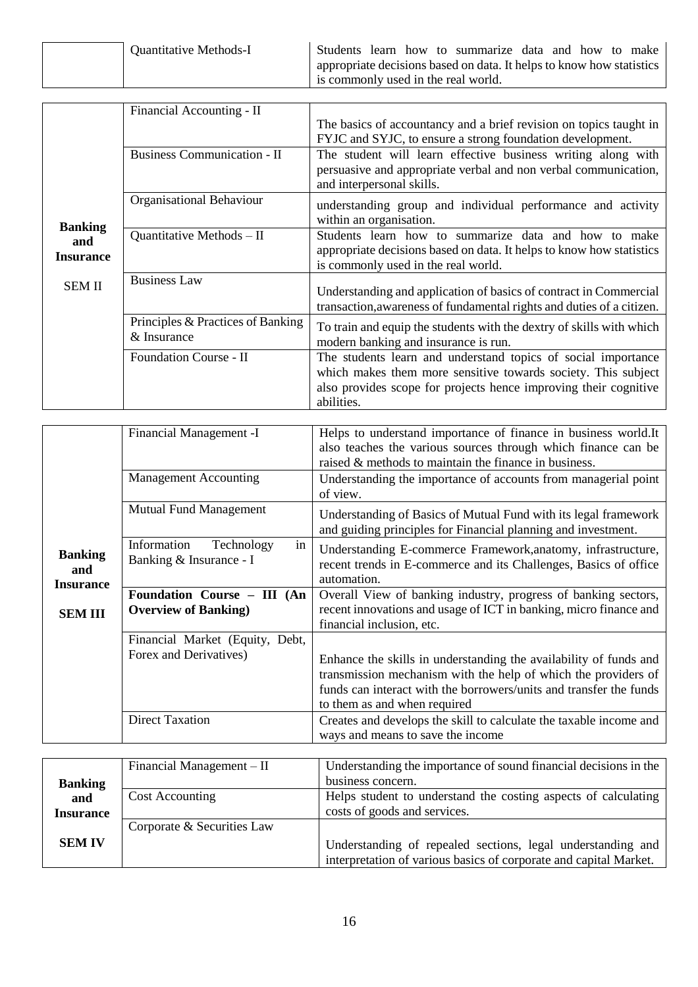| <b>Quantitative Methods-I</b> | Students learn how to summarize data and how to make                 |
|-------------------------------|----------------------------------------------------------------------|
|                               | appropriate decisions based on data. It helps to know how statistics |
|                               | is commonly used in the real world.                                  |

|                                           | Financial Accounting - II                        | The basics of accountancy and a brief revision on topics taught in<br>FYJC and SYJC, to ensure a strong foundation development.                                                                                  |
|-------------------------------------------|--------------------------------------------------|------------------------------------------------------------------------------------------------------------------------------------------------------------------------------------------------------------------|
|                                           | <b>Business Communication - II</b>               | The student will learn effective business writing along with<br>persuasive and appropriate verbal and non verbal communication,<br>and interpersonal skills.                                                     |
|                                           | Organisational Behaviour                         | understanding group and individual performance and activity<br>within an organisation.                                                                                                                           |
| <b>Banking</b><br>and<br><b>Insurance</b> | Quantitative Methods - II                        | Students learn how to summarize data and how to make<br>appropriate decisions based on data. It helps to know how statistics<br>is commonly used in the real world.                                              |
| <b>SEM II</b>                             | <b>Business Law</b>                              | Understanding and application of basics of contract in Commercial<br>transaction, awareness of fundamental rights and duties of a citizen.                                                                       |
|                                           | Principles & Practices of Banking<br>& Insurance | To train and equip the students with the dextry of skills with which<br>modern banking and insurance is run.                                                                                                     |
|                                           | <b>Foundation Course - II</b>                    | The students learn and understand topics of social importance<br>which makes them more sensitive towards society. This subject<br>also provides scope for projects hence improving their cognitive<br>abilities. |

|                                           | Financial Management -I                                    | Helps to understand importance of finance in business world. It<br>also teaches the various sources through which finance can be<br>raised & methods to maintain the finance in business.                                                 |
|-------------------------------------------|------------------------------------------------------------|-------------------------------------------------------------------------------------------------------------------------------------------------------------------------------------------------------------------------------------------|
|                                           | <b>Management Accounting</b>                               | Understanding the importance of accounts from managerial point<br>of view.                                                                                                                                                                |
|                                           | <b>Mutual Fund Management</b>                              | Understanding of Basics of Mutual Fund with its legal framework<br>and guiding principles for Financial planning and investment.                                                                                                          |
| <b>Banking</b><br>and<br><b>Insurance</b> | in<br>Information<br>Technology<br>Banking & Insurance - I | Understanding E-commerce Framework, anatomy, infrastructure,<br>recent trends in E-commerce and its Challenges, Basics of office<br>automation.                                                                                           |
|                                           | Foundation Course - III (An                                | Overall View of banking industry, progress of banking sectors,                                                                                                                                                                            |
| <b>SEM III</b>                            | <b>Overview of Banking</b> )                               | recent innovations and usage of ICT in banking, micro finance and<br>financial inclusion, etc.                                                                                                                                            |
|                                           |                                                            |                                                                                                                                                                                                                                           |
|                                           | Financial Market (Equity, Debt,                            |                                                                                                                                                                                                                                           |
|                                           | Forex and Derivatives)                                     | Enhance the skills in understanding the availability of funds and<br>transmission mechanism with the help of which the providers of<br>funds can interact with the borrowers/units and transfer the funds<br>to them as and when required |
|                                           | <b>Direct Taxation</b>                                     | Creates and develops the skill to calculate the taxable income and<br>ways and means to save the income                                                                                                                                   |

|                  | Financial Management $-$ II | Understanding the importance of sound financial decisions in the                                                                 |
|------------------|-----------------------------|----------------------------------------------------------------------------------------------------------------------------------|
| <b>Banking</b>   |                             | business concern.                                                                                                                |
| and              | Cost Accounting             | Helps student to understand the costing aspects of calculating                                                                   |
| <b>Insurance</b> |                             | costs of goods and services.                                                                                                     |
|                  | Corporate & Securities Law  |                                                                                                                                  |
| <b>SEM IV</b>    |                             | Understanding of repealed sections, legal understanding and<br>interpretation of various basics of corporate and capital Market. |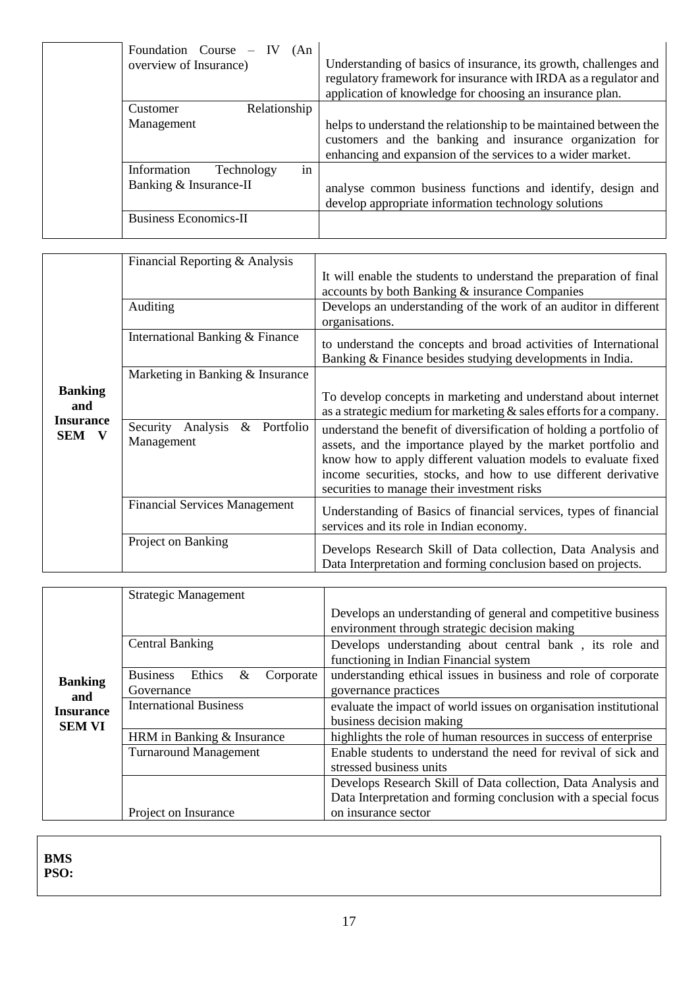| Foundation Course $-$<br>- IV<br>(An)<br>overview of Insurance) | Understanding of basics of insurance, its growth, challenges and<br>regulatory framework for insurance with IRDA as a regulator and<br>application of knowledge for choosing an insurance plan. |
|-----------------------------------------------------------------|-------------------------------------------------------------------------------------------------------------------------------------------------------------------------------------------------|
| Relationship<br>Customer                                        |                                                                                                                                                                                                 |
| Management                                                      | helps to understand the relationship to be maintained between the<br>customers and the banking and insurance organization for<br>enhancing and expansion of the services to a wider market.     |
| in<br>Information<br>Technology                                 |                                                                                                                                                                                                 |
| Banking & Insurance-II                                          | analyse common business functions and identify, design and<br>develop appropriate information technology solutions                                                                              |
| <b>Business Economics-II</b>                                    |                                                                                                                                                                                                 |

|                                                    | Financial Reporting & Analysis                       |                                                                                                                                                                                                                                                                                                                         |
|----------------------------------------------------|------------------------------------------------------|-------------------------------------------------------------------------------------------------------------------------------------------------------------------------------------------------------------------------------------------------------------------------------------------------------------------------|
|                                                    |                                                      | It will enable the students to understand the preparation of final<br>accounts by both Banking & insurance Companies                                                                                                                                                                                                    |
|                                                    |                                                      |                                                                                                                                                                                                                                                                                                                         |
|                                                    | Auditing                                             | Develops an understanding of the work of an auditor in different<br>organisations.                                                                                                                                                                                                                                      |
|                                                    | International Banking & Finance                      | to understand the concepts and broad activities of International<br>Banking & Finance besides studying developments in India.                                                                                                                                                                                           |
|                                                    | Marketing in Banking & Insurance                     |                                                                                                                                                                                                                                                                                                                         |
| <b>Banking</b><br>and<br><b>Insurance</b><br>SEM V |                                                      | To develop concepts in marketing and understand about internet<br>as a strategic medium for marketing $&$ sales efforts for a company.                                                                                                                                                                                  |
|                                                    | Analysis<br>Security<br>Portfolio<br>&<br>Management | understand the benefit of diversification of holding a portfolio of<br>assets, and the importance played by the market portfolio and<br>know how to apply different valuation models to evaluate fixed<br>income securities, stocks, and how to use different derivative<br>securities to manage their investment risks |
|                                                    | <b>Financial Services Management</b>                 | Understanding of Basics of financial services, types of financial<br>services and its role in Indian economy.                                                                                                                                                                                                           |
|                                                    | Project on Banking                                   | Develops Research Skill of Data collection, Data Analysis and<br>Data Interpretation and forming conclusion based on projects.                                                                                                                                                                                          |

|                                   | <b>Strategic Management</b>                        |                                                                                                                |
|-----------------------------------|----------------------------------------------------|----------------------------------------------------------------------------------------------------------------|
|                                   |                                                    | Develops an understanding of general and competitive business<br>environment through strategic decision making |
|                                   | <b>Central Banking</b>                             | Develops understanding about central bank, its role and<br>functioning in Indian Financial system              |
| <b>Banking</b><br>and             | Business Ethics<br>$\&$<br>Corporate<br>Governance | understanding ethical issues in business and role of corporate<br>governance practices                         |
| <b>Insurance</b><br><b>SEM VI</b> | <b>International Business</b>                      | evaluate the impact of world issues on organisation institutional<br>business decision making                  |
|                                   | HRM in Banking & Insurance                         | highlights the role of human resources in success of enterprise                                                |
|                                   | <b>Turnaround Management</b>                       | Enable students to understand the need for revival of sick and<br>stressed business units                      |
|                                   |                                                    | Develops Research Skill of Data collection, Data Analysis and                                                  |
|                                   |                                                    | Data Interpretation and forming conclusion with a special focus                                                |
|                                   | Project on Insurance                               | on insurance sector                                                                                            |

**BMS PSO:**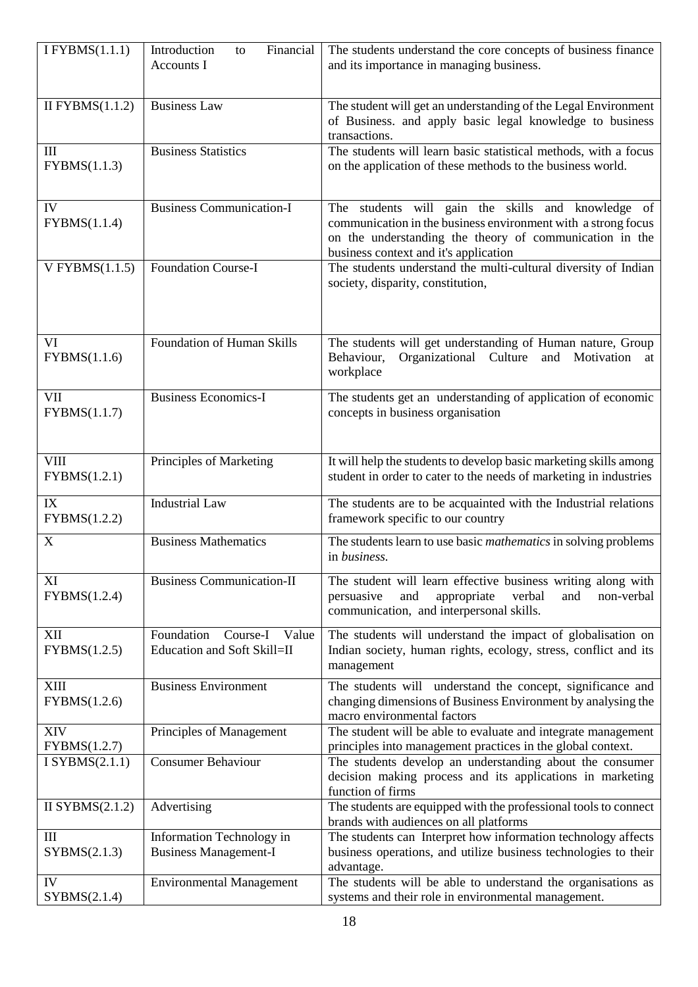| I FYBMS $(1.1.1)$                  | Financial<br>Introduction<br>to<br>Accounts I                  | The students understand the core concepts of business finance<br>and its importance in managing business.                                                                                                               |
|------------------------------------|----------------------------------------------------------------|-------------------------------------------------------------------------------------------------------------------------------------------------------------------------------------------------------------------------|
|                                    |                                                                |                                                                                                                                                                                                                         |
| $\overline{II}$ FYBMS(1.1.2)       | <b>Business Law</b>                                            | The student will get an understanding of the Legal Environment<br>of Business. and apply basic legal knowledge to business<br>transactions.                                                                             |
| III<br>FYBMS(1.1.3)                | <b>Business Statistics</b>                                     | The students will learn basic statistical methods, with a focus<br>on the application of these methods to the business world.                                                                                           |
| IV<br>FYBMS(1.1.4)                 | <b>Business Communication-I</b>                                | The students will gain the skills and knowledge of<br>communication in the business environment with a strong focus<br>on the understanding the theory of communication in the<br>business context and it's application |
| V FYBMS $(1.1.5)$                  | <b>Foundation Course-I</b>                                     | The students understand the multi-cultural diversity of Indian<br>society, disparity, constitution,                                                                                                                     |
| VI<br>FYBMS(1.1.6)                 | Foundation of Human Skills                                     | The students will get understanding of Human nature, Group<br>Organizational Culture<br>Behaviour,<br>and Motivation<br>at<br>workplace                                                                                 |
| VII<br>FYBMS(1.1.7)                | <b>Business Economics-I</b>                                    | The students get an understanding of application of economic<br>concepts in business organisation                                                                                                                       |
| <b>VIII</b><br>FYBMS(1.2.1)        | Principles of Marketing                                        | It will help the students to develop basic marketing skills among<br>student in order to cater to the needs of marketing in industries                                                                                  |
| IX<br>FYBMS(1.2.2)                 | <b>Industrial Law</b>                                          | The students are to be acquainted with the Industrial relations<br>framework specific to our country                                                                                                                    |
| $\mathbf X$                        | <b>Business Mathematics</b>                                    | The students learn to use basic <i>mathematics</i> in solving problems<br>in business.                                                                                                                                  |
| XI<br>FYBMS(1.2.4)                 | <b>Business Communication-II</b>                               | The student will learn effective business writing along with<br>persuasive<br>and<br>appropriate<br>verbal<br>and<br>non-verbal<br>communication, and interpersonal skills.                                             |
| XII<br>FYBMS(1.2.5)                | Foundation<br>Course-I<br>Value<br>Education and Soft Skill=II | The students will understand the impact of globalisation on<br>Indian society, human rights, ecology, stress, conflict and its<br>management                                                                            |
| XIII<br>FYBMS(1.2.6)               | <b>Business Environment</b>                                    | The students will understand the concept, significance and<br>changing dimensions of Business Environment by analysing the<br>macro environmental factors                                                               |
| XIV<br>FYBMS(1.2.7)                | Principles of Management                                       | The student will be able to evaluate and integrate management<br>principles into management practices in the global context.                                                                                            |
| I SYBMS $(2.1.1)$                  | <b>Consumer Behaviour</b>                                      | The students develop an understanding about the consumer<br>decision making process and its applications in marketing<br>function of firms                                                                              |
| II SYBMS $(2.1.2)$                 | Advertising                                                    | The students are equipped with the professional tools to connect<br>brands with audiences on all platforms                                                                                                              |
| $\mathop{\rm III}$<br>SYBMS(2.1.3) | Information Technology in<br><b>Business Management-I</b>      | The students can Interpret how information technology affects<br>business operations, and utilize business technologies to their<br>advantage.                                                                          |
| IV<br>SYBMS(2.1.4)                 | <b>Environmental Management</b>                                | The students will be able to understand the organisations as<br>systems and their role in environmental management.                                                                                                     |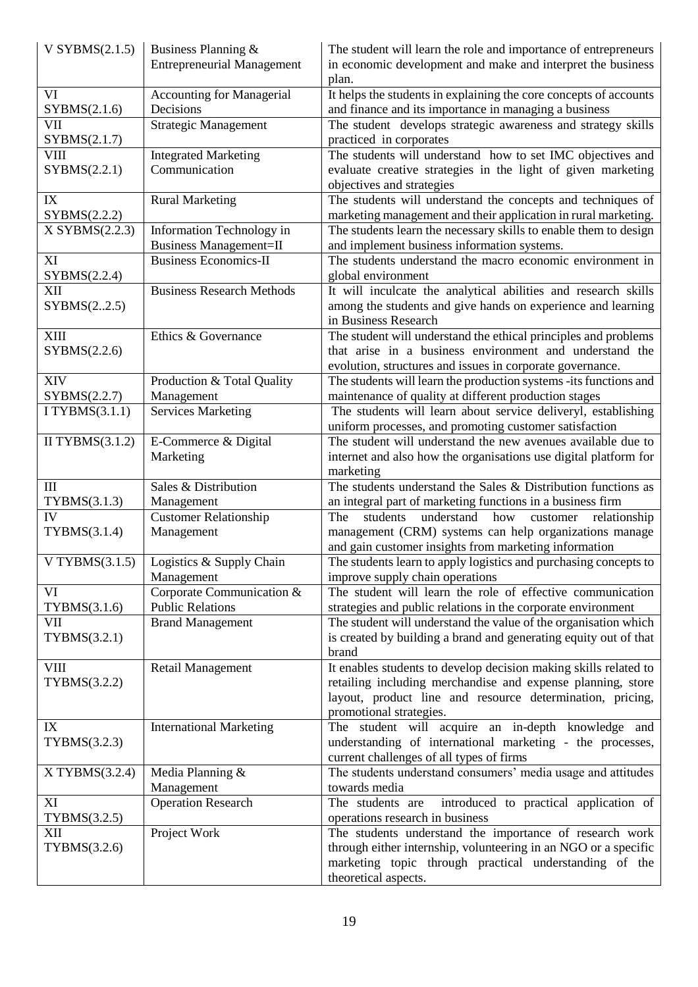| V SYBMS $(2.1.5)$  | Business Planning &<br><b>Entrepreneurial Management</b> | The student will learn the role and importance of entrepreneurs<br>in economic development and make and interpret the business |
|--------------------|----------------------------------------------------------|--------------------------------------------------------------------------------------------------------------------------------|
|                    |                                                          | plan.                                                                                                                          |
| VI                 | <b>Accounting for Managerial</b>                         | It helps the students in explaining the core concepts of accounts                                                              |
| SYBMS(2.1.6)       | Decisions                                                | and finance and its importance in managing a business                                                                          |
| VII                | <b>Strategic Management</b>                              | The student develops strategic awareness and strategy skills                                                                   |
| SYBMS(2.1.7)       |                                                          | practiced in corporates                                                                                                        |
| VIII               | <b>Integrated Marketing</b>                              | The students will understand how to set IMC objectives and                                                                     |
| SYBMS(2.2.1)       | Communication                                            | evaluate creative strategies in the light of given marketing                                                                   |
|                    |                                                          | objectives and strategies                                                                                                      |
| IX                 | <b>Rural Marketing</b>                                   | The students will understand the concepts and techniques of                                                                    |
| SYBMS(2.2.2)       |                                                          | marketing management and their application in rural marketing.                                                                 |
| X SYBMS(2.2.3)     | Information Technology in                                | The students learn the necessary skills to enable them to design                                                               |
|                    | <b>Business Management=II</b>                            | and implement business information systems.                                                                                    |
| XI                 | <b>Business Economics-II</b>                             | The students understand the macro economic environment in                                                                      |
| SYBMS(2.2.4)       |                                                          | global environment                                                                                                             |
| XII                | <b>Business Research Methods</b>                         | It will inculcate the analytical abilities and research skills                                                                 |
| SYBMS(22.5)        |                                                          | among the students and give hands on experience and learning                                                                   |
|                    |                                                          | in Business Research                                                                                                           |
| <b>XIII</b>        | Ethics & Governance                                      | The student will understand the ethical principles and problems                                                                |
| SYBMS(2.2.6)       |                                                          | that arise in a business environment and understand the                                                                        |
|                    |                                                          | evolution, structures and issues in corporate governance.                                                                      |
| <b>XIV</b>         | Production & Total Quality                               | The students will learn the production systems -its functions and                                                              |
| SYBMS(2.2.7)       | Management                                               | maintenance of quality at different production stages                                                                          |
| I TYBMS $(3.1.1)$  | <b>Services Marketing</b>                                | The students will learn about service deliveryl, establishing                                                                  |
|                    |                                                          | uniform processes, and promoting customer satisfaction                                                                         |
| II TYBMS $(3.1.2)$ | E-Commerce & Digital                                     | The student will understand the new avenues available due to                                                                   |
|                    | Marketing                                                | internet and also how the organisations use digital platform for                                                               |
|                    |                                                          | marketing                                                                                                                      |
| III                | Sales & Distribution                                     | The students understand the Sales & Distribution functions as                                                                  |
| TYBMS(3.1.3)       | Management                                               | an integral part of marketing functions in a business firm                                                                     |
| IV                 | <b>Customer Relationship</b>                             | understand<br>how<br>customer relationship<br>The<br>students                                                                  |
| TYBMS(3.1.4)       | Management                                               | management (CRM) systems can help organizations manage                                                                         |
|                    |                                                          | and gain customer insights from marketing information                                                                          |
| V TYBMS $(3.1.5)$  | Logistics & Supply Chain                                 | The students learn to apply logistics and purchasing concepts to                                                               |
|                    | Management                                               | improve supply chain operations                                                                                                |
| VI                 | Corporate Communication &                                | The student will learn the role of effective communication                                                                     |
| TYBMS(3.1.6)       | <b>Public Relations</b>                                  | strategies and public relations in the corporate environment                                                                   |
| VII                | <b>Brand Management</b>                                  | The student will understand the value of the organisation which                                                                |
| TYBMS(3.2.1)       |                                                          | is created by building a brand and generating equity out of that                                                               |
|                    |                                                          | brand                                                                                                                          |
| VIII               | Retail Management                                        | It enables students to develop decision making skills related to                                                               |
| TYBMS(3.2.2)       |                                                          | retailing including merchandise and expense planning, store                                                                    |
|                    |                                                          | layout, product line and resource determination, pricing,                                                                      |
|                    |                                                          | promotional strategies.                                                                                                        |
| IX                 | <b>International Marketing</b>                           | The student will acquire an in-depth knowledge and                                                                             |
| TYBMS(3.2.3)       |                                                          | understanding of international marketing - the processes,                                                                      |
|                    |                                                          | current challenges of all types of firms                                                                                       |
| X TYBMS(3.2.4)     | Media Planning &                                         | The students understand consumers' media usage and attitudes                                                                   |
|                    | Management                                               | towards media                                                                                                                  |
| XI                 | <b>Operation Research</b>                                | The students are<br>introduced to practical application of                                                                     |
| TYBMS(3.2.5)       |                                                          | operations research in business                                                                                                |
| XII                | Project Work                                             | The students understand the importance of research work                                                                        |
|                    |                                                          | through either internship, volunteering in an NGO or a specific                                                                |
| TYBMS(3.2.6)       |                                                          |                                                                                                                                |
|                    |                                                          | marketing topic through practical understanding of the                                                                         |
|                    |                                                          | theoretical aspects.                                                                                                           |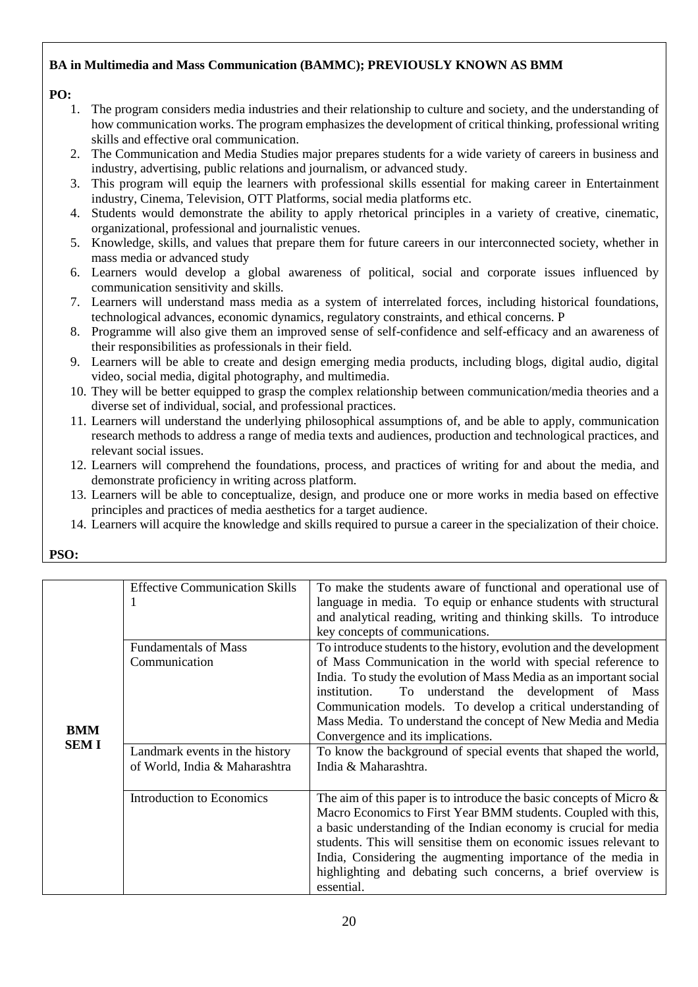## **BA in Multimedia and Mass Communication (BAMMC); PREVIOUSLY KNOWN AS BMM**

### **PO:**

- 1. The program considers media industries and their relationship to culture and society, and the understanding of how communication works. The program emphasizes the development of critical thinking, professional writing skills and effective oral communication.
- 2. The Communication and Media Studies major prepares students for a wide variety of careers in business and industry, advertising, public relations and journalism, or advanced study.
- 3. This program will equip the learners with professional skills essential for making career in Entertainment industry, Cinema, Television, OTT Platforms, social media platforms etc.
- 4. Students would demonstrate the ability to apply rhetorical principles in a variety of creative, cinematic, organizational, professional and journalistic venues.
- 5. Knowledge, skills, and values that prepare them for future careers in our interconnected society, whether in mass media or advanced study
- 6. Learners would develop a global awareness of political, social and corporate issues influenced by communication sensitivity and skills.
- 7. Learners will understand mass media as a system of interrelated forces, including historical foundations, technological advances, economic dynamics, regulatory constraints, and ethical concerns. P
- 8. Programme will also give them an improved sense of self-confidence and self-efficacy and an awareness of their responsibilities as professionals in their field.
- 9. Learners will be able to create and design emerging media products, including blogs, digital audio, digital video, social media, digital photography, and multimedia.
- 10. They will be better equipped to grasp the complex relationship between communication/media theories and a diverse set of individual, social, and professional practices.
- 11. Learners will understand the underlying philosophical assumptions of, and be able to apply, communication research methods to address a range of media texts and audiences, production and technological practices, and relevant social issues.
- 12. Learners will comprehend the foundations, process, and practices of writing for and about the media, and demonstrate proficiency in writing across platform.
- 13. Learners will be able to conceptualize, design, and produce one or more works in media based on effective principles and practices of media aesthetics for a target audience.
- 14. Learners will acquire the knowledge and skills required to pursue a career in the specialization of their choice.

| י |  |
|---|--|
|   |  |

|             | <b>Effective Communication Skills</b> | To make the students aware of functional and operational use of<br>language in media. To equip or enhance students with structural<br>and analytical reading, writing and thinking skills. To introduce<br>key concepts of communications. |
|-------------|---------------------------------------|--------------------------------------------------------------------------------------------------------------------------------------------------------------------------------------------------------------------------------------------|
|             | <b>Fundamentals of Mass</b>           | To introduce students to the history, evolution and the development                                                                                                                                                                        |
|             | Communication                         | of Mass Communication in the world with special reference to                                                                                                                                                                               |
|             |                                       | India. To study the evolution of Mass Media as an important social                                                                                                                                                                         |
|             |                                       | To understand the development of Mass<br>institution.                                                                                                                                                                                      |
|             |                                       | Communication models. To develop a critical understanding of                                                                                                                                                                               |
| <b>BMM</b>  |                                       | Mass Media. To understand the concept of New Media and Media                                                                                                                                                                               |
| <b>SEMI</b> |                                       | Convergence and its implications.                                                                                                                                                                                                          |
|             | Landmark events in the history        | To know the background of special events that shaped the world,                                                                                                                                                                            |
|             | of World, India & Maharashtra         | India & Maharashtra.                                                                                                                                                                                                                       |
|             |                                       |                                                                                                                                                                                                                                            |
|             | Introduction to Economics             | The aim of this paper is to introduce the basic concepts of Micro $\&$<br>Macro Economics to First Year BMM students. Coupled with this,                                                                                                   |
|             |                                       | a basic understanding of the Indian economy is crucial for media                                                                                                                                                                           |
|             |                                       | students. This will sensitise them on economic issues relevant to                                                                                                                                                                          |
|             |                                       | India, Considering the augmenting importance of the media in                                                                                                                                                                               |
|             |                                       | highlighting and debating such concerns, a brief overview is<br>essential.                                                                                                                                                                 |
|             |                                       |                                                                                                                                                                                                                                            |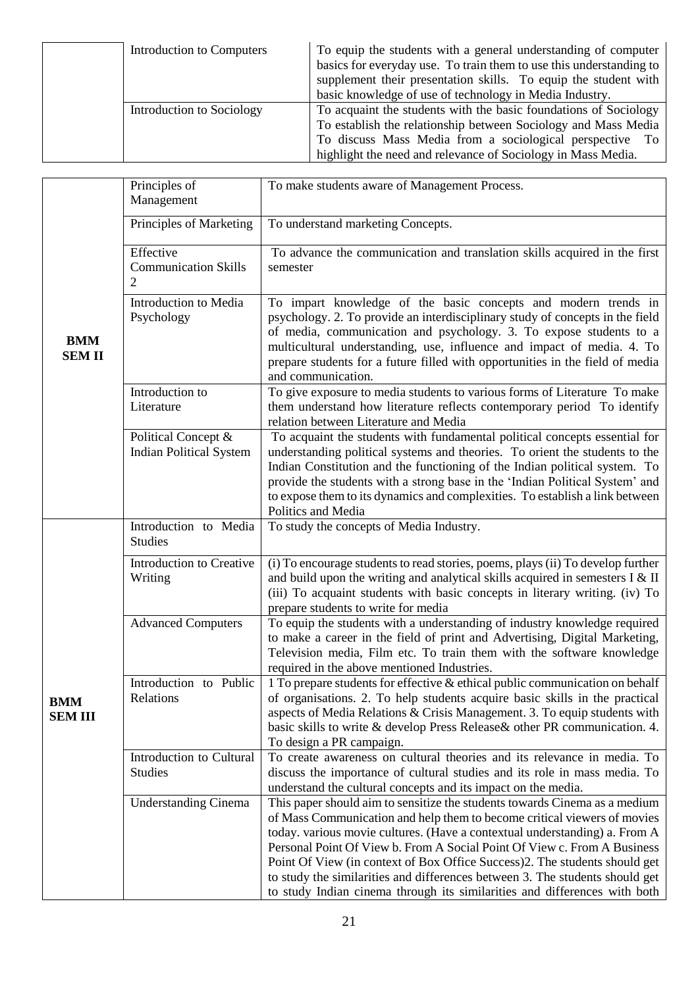| Introduction to Computers | To equip the students with a general understanding of computer<br>basics for everyday use. To train them to use this understanding to<br>supplement their presentation skills. To equip the student with<br>basic knowledge of use of technology in Media Industry. |
|---------------------------|---------------------------------------------------------------------------------------------------------------------------------------------------------------------------------------------------------------------------------------------------------------------|
| Introduction to Sociology | To acquaint the students with the basic foundations of Sociology<br>To establish the relationship between Sociology and Mass Media<br>To discuss Mass Media from a sociological perspective To<br>highlight the need and relevance of Sociology in Mass Media.      |

| <b>BMM</b><br><b>SEMII</b> | Principles of<br>Management                                | To make students aware of Management Process.                                                                                                                                                                                                                                                                                                                                                                                                                                                                                                               |
|----------------------------|------------------------------------------------------------|-------------------------------------------------------------------------------------------------------------------------------------------------------------------------------------------------------------------------------------------------------------------------------------------------------------------------------------------------------------------------------------------------------------------------------------------------------------------------------------------------------------------------------------------------------------|
|                            | Principles of Marketing                                    | To understand marketing Concepts.                                                                                                                                                                                                                                                                                                                                                                                                                                                                                                                           |
|                            | Effective<br><b>Communication Skills</b><br>$\overline{2}$ | To advance the communication and translation skills acquired in the first<br>semester                                                                                                                                                                                                                                                                                                                                                                                                                                                                       |
|                            | Introduction to Media<br>Psychology                        | To impart knowledge of the basic concepts and modern trends in<br>psychology. 2. To provide an interdisciplinary study of concepts in the field<br>of media, communication and psychology. 3. To expose students to a<br>multicultural understanding, use, influence and impact of media. 4. To<br>prepare students for a future filled with opportunities in the field of media<br>and communication.                                                                                                                                                      |
|                            | Introduction to<br>Literature                              | To give exposure to media students to various forms of Literature To make<br>them understand how literature reflects contemporary period To identify<br>relation between Literature and Media                                                                                                                                                                                                                                                                                                                                                               |
|                            | Political Concept &<br><b>Indian Political System</b>      | To acquaint the students with fundamental political concepts essential for<br>understanding political systems and theories. To orient the students to the<br>Indian Constitution and the functioning of the Indian political system. To<br>provide the students with a strong base in the 'Indian Political System' and<br>to expose them to its dynamics and complexities. To establish a link between<br>Politics and Media                                                                                                                               |
|                            | Introduction to Media<br><b>Studies</b>                    | To study the concepts of Media Industry.                                                                                                                                                                                                                                                                                                                                                                                                                                                                                                                    |
| BMM<br><b>SEM III</b>      | Introduction to Creative<br>Writing                        | (i) To encourage students to read stories, poems, plays (ii) To develop further<br>and build upon the writing and analytical skills acquired in semesters $I < II$<br>(iii) To acquaint students with basic concepts in literary writing. (iv) To<br>prepare students to write for media                                                                                                                                                                                                                                                                    |
|                            | <b>Advanced Computers</b>                                  | To equip the students with a understanding of industry knowledge required<br>to make a career in the field of print and Advertising, Digital Marketing,<br>Television media, Film etc. To train them with the software knowledge<br>required in the above mentioned Industries.                                                                                                                                                                                                                                                                             |
|                            | Introduction to Public<br>Relations                        | 1 To prepare students for effective & ethical public communication on behalf<br>of organisations. 2. To help students acquire basic skills in the practical<br>aspects of Media Relations & Crisis Management. 3. To equip students with<br>basic skills to write & develop Press Release& other PR communication. 4.<br>To design a PR campaign.                                                                                                                                                                                                           |
|                            | Introduction to Cultural<br><b>Studies</b>                 | To create awareness on cultural theories and its relevance in media. To<br>discuss the importance of cultural studies and its role in mass media. To<br>understand the cultural concepts and its impact on the media.                                                                                                                                                                                                                                                                                                                                       |
|                            | <b>Understanding Cinema</b>                                | This paper should aim to sensitize the students towards Cinema as a medium<br>of Mass Communication and help them to become critical viewers of movies<br>today. various movie cultures. (Have a contextual understanding) a. From A<br>Personal Point Of View b. From A Social Point Of View c. From A Business<br>Point Of View (in context of Box Office Success)2. The students should get<br>to study the similarities and differences between 3. The students should get<br>to study Indian cinema through its similarities and differences with both |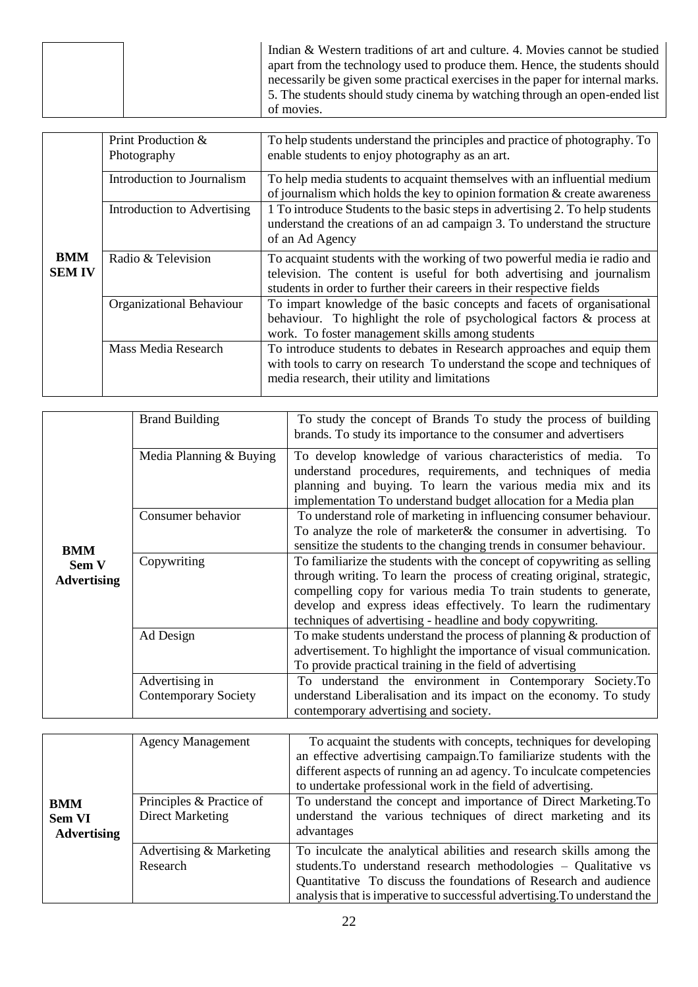| Indian & Western traditions of art and culture. 4. Movies cannot be studied<br>apart from the technology used to produce them. Hence, the students should<br>necessarily be given some practical exercises in the paper for internal marks.<br>5. The students should study cinema by watching through an open-ended list |
|---------------------------------------------------------------------------------------------------------------------------------------------------------------------------------------------------------------------------------------------------------------------------------------------------------------------------|
| of movies.                                                                                                                                                                                                                                                                                                                |

|                             | Print Production &<br>Photography | To help students understand the principles and practice of photography. To<br>enable students to enjoy photography as an art.                                                                                              |
|-----------------------------|-----------------------------------|----------------------------------------------------------------------------------------------------------------------------------------------------------------------------------------------------------------------------|
|                             | Introduction to Journalism        | To help media students to acquaint themselves with an influential medium<br>of journalism which holds the key to opinion formation $&$ create awareness                                                                    |
|                             | Introduction to Advertising       | 1 To introduce Students to the basic steps in advertising 2. To help students<br>understand the creations of an ad campaign 3. To understand the structure<br>of an Ad Agency                                              |
| <b>BMM</b><br><b>SEM IV</b> | Radio & Television                | To acquaint students with the working of two powerful media ie radio and<br>television. The content is useful for both advertising and journalism<br>students in order to further their careers in their respective fields |
|                             | Organizational Behaviour          | To impart knowledge of the basic concepts and facets of organisational<br>behaviour. To highlight the role of psychological factors & process at<br>work. To foster management skills among students                       |
|                             | Mass Media Research               | To introduce students to debates in Research approaches and equip them<br>with tools to carry on research To understand the scope and techniques of<br>media research, their utility and limitations                       |

| <b>BMM</b><br>Sem V<br><b>Advertising</b> | <b>Brand Building</b>                         | To study the concept of Brands To study the process of building<br>brands. To study its importance to the consumer and advertisers                                                                                                                                                                                                                    |
|-------------------------------------------|-----------------------------------------------|-------------------------------------------------------------------------------------------------------------------------------------------------------------------------------------------------------------------------------------------------------------------------------------------------------------------------------------------------------|
|                                           | Media Planning & Buying                       | To develop knowledge of various characteristics of media. To<br>understand procedures, requirements, and techniques of media<br>planning and buying. To learn the various media mix and its<br>implementation To understand budget allocation for a Media plan                                                                                        |
|                                           | Consumer behavior                             | To understand role of marketing in influencing consumer behaviour.<br>To analyze the role of marketer & the consumer in advertising. To<br>sensitize the students to the changing trends in consumer behaviour.                                                                                                                                       |
|                                           | Copywriting                                   | To familiarize the students with the concept of copywriting as selling<br>through writing. To learn the process of creating original, strategic,<br>compelling copy for various media To train students to generate,<br>develop and express ideas effectively. To learn the rudimentary<br>techniques of advertising - headline and body copywriting. |
|                                           | Ad Design                                     | To make students understand the process of planning $\&$ production of<br>advertisement. To highlight the importance of visual communication.<br>To provide practical training in the field of advertising                                                                                                                                            |
|                                           | Advertising in<br><b>Contemporary Society</b> | To understand the environment in Contemporary Society.To<br>understand Liberalisation and its impact on the economy. To study<br>contemporary advertising and society.                                                                                                                                                                                |

|                             | <b>Agency Management</b>                     | To acquaint the students with concepts, techniques for developing<br>an effective advertising campaign. To familiarize students with the<br>different aspects of running an ad agency. To inculcate competencies<br>to undertake professional work in the field of advertising.        |
|-----------------------------|----------------------------------------------|----------------------------------------------------------------------------------------------------------------------------------------------------------------------------------------------------------------------------------------------------------------------------------------|
| <b>BMM</b><br><b>Sem VI</b> | Principles & Practice of<br>Direct Marketing | To understand the concept and importance of Direct Marketing. To<br>understand the various techniques of direct marketing and its                                                                                                                                                      |
| <b>Advertising</b>          |                                              | advantages                                                                                                                                                                                                                                                                             |
|                             | Advertising & Marketing<br>Research          | To inculcate the analytical abilities and research skills among the<br>students. To understand research methodologies – Qualitative vs<br>Quantitative To discuss the foundations of Research and audience<br>analysis that is imperative to successful advertising. To understand the |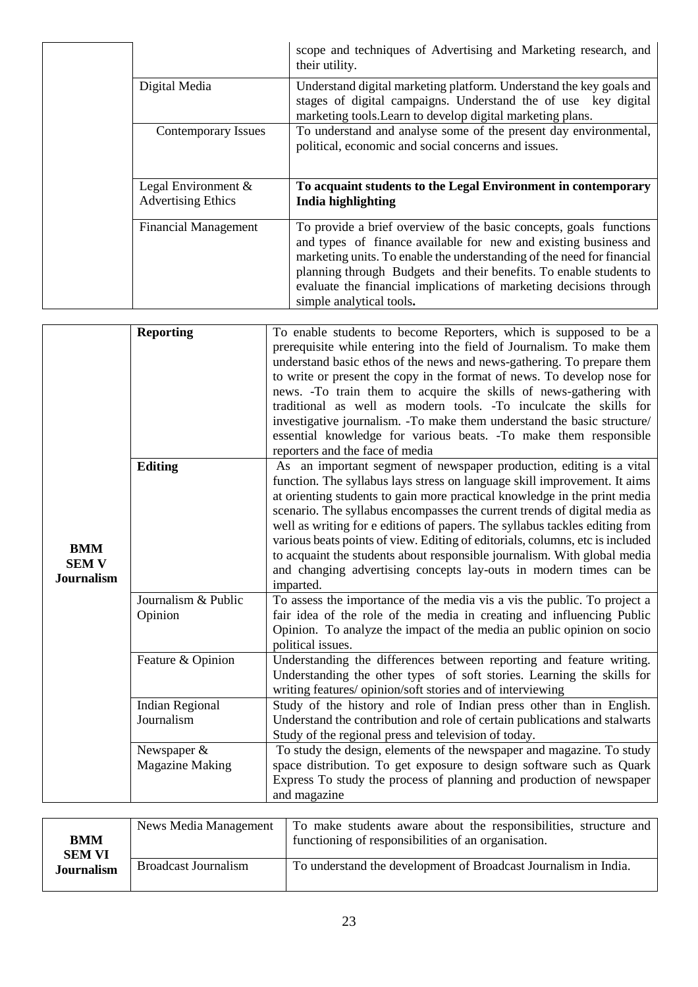|  |                                                     | scope and techniques of Advertising and Marketing research, and<br>their utility.                                                                                                                                                                                                                                                                                                        |
|--|-----------------------------------------------------|------------------------------------------------------------------------------------------------------------------------------------------------------------------------------------------------------------------------------------------------------------------------------------------------------------------------------------------------------------------------------------------|
|  | Digital Media                                       | Understand digital marketing platform. Understand the key goals and<br>stages of digital campaigns. Understand the of use key digital<br>marketing tools. Learn to develop digital marketing plans.                                                                                                                                                                                      |
|  | Contemporary Issues                                 | To understand and analyse some of the present day environmental,<br>political, economic and social concerns and issues.                                                                                                                                                                                                                                                                  |
|  | Legal Environment $\&$<br><b>Advertising Ethics</b> | To acquaint students to the Legal Environment in contemporary<br>India highlighting                                                                                                                                                                                                                                                                                                      |
|  | <b>Financial Management</b>                         | To provide a brief overview of the basic concepts, goals functions<br>and types of finance available for new and existing business and<br>marketing units. To enable the understanding of the need for financial<br>planning through Budgets and their benefits. To enable students to<br>evaluate the financial implications of marketing decisions through<br>simple analytical tools. |

| <b>BMM</b><br><b>SEM V</b><br><b>Journalism</b> | <b>Reporting</b>                        | To enable students to become Reporters, which is supposed to be a<br>prerequisite while entering into the field of Journalism. To make them<br>understand basic ethos of the news and news-gathering. To prepare them<br>to write or present the copy in the format of news. To develop nose for<br>news. -To train them to acquire the skills of news-gathering with<br>traditional as well as modern tools. -To inculcate the skills for<br>investigative journalism. -To make them understand the basic structure/<br>essential knowledge for various beats. -To make them responsible<br>reporters and the face of media             |
|-------------------------------------------------|-----------------------------------------|------------------------------------------------------------------------------------------------------------------------------------------------------------------------------------------------------------------------------------------------------------------------------------------------------------------------------------------------------------------------------------------------------------------------------------------------------------------------------------------------------------------------------------------------------------------------------------------------------------------------------------------|
|                                                 | <b>Editing</b>                          | As an important segment of newspaper production, editing is a vital<br>function. The syllabus lays stress on language skill improvement. It aims<br>at orienting students to gain more practical knowledge in the print media<br>scenario. The syllabus encompasses the current trends of digital media as<br>well as writing for e editions of papers. The syllabus tackles editing from<br>various beats points of view. Editing of editorials, columns, etc is included<br>to acquaint the students about responsible journalism. With global media<br>and changing advertising concepts lay-outs in modern times can be<br>imparted. |
|                                                 | Journalism & Public<br>Opinion          | To assess the importance of the media vis a vis the public. To project a<br>fair idea of the role of the media in creating and influencing Public<br>Opinion. To analyze the impact of the media an public opinion on socio<br>political issues.                                                                                                                                                                                                                                                                                                                                                                                         |
|                                                 | Feature & Opinion                       | Understanding the differences between reporting and feature writing.<br>Understanding the other types of soft stories. Learning the skills for<br>writing features/ opinion/soft stories and of interviewing                                                                                                                                                                                                                                                                                                                                                                                                                             |
|                                                 | Indian Regional<br>Journalism           | Study of the history and role of Indian press other than in English.<br>Understand the contribution and role of certain publications and stalwarts<br>Study of the regional press and television of today.                                                                                                                                                                                                                                                                                                                                                                                                                               |
|                                                 | Newspaper $&$<br><b>Magazine Making</b> | To study the design, elements of the newspaper and magazine. To study<br>space distribution. To get exposure to design software such as Quark<br>Express To study the process of planning and production of newspaper<br>and magazine                                                                                                                                                                                                                                                                                                                                                                                                    |

| <b>BMM</b><br><b>SEM VI</b> | News Media Management       | To make students aware about the responsibilities, structure and<br>functioning of responsibilities of an organisation. |
|-----------------------------|-----------------------------|-------------------------------------------------------------------------------------------------------------------------|
| <b>Journalism</b>           | <b>Broadcast Journalism</b> | To understand the development of Broadcast Journalism in India.                                                         |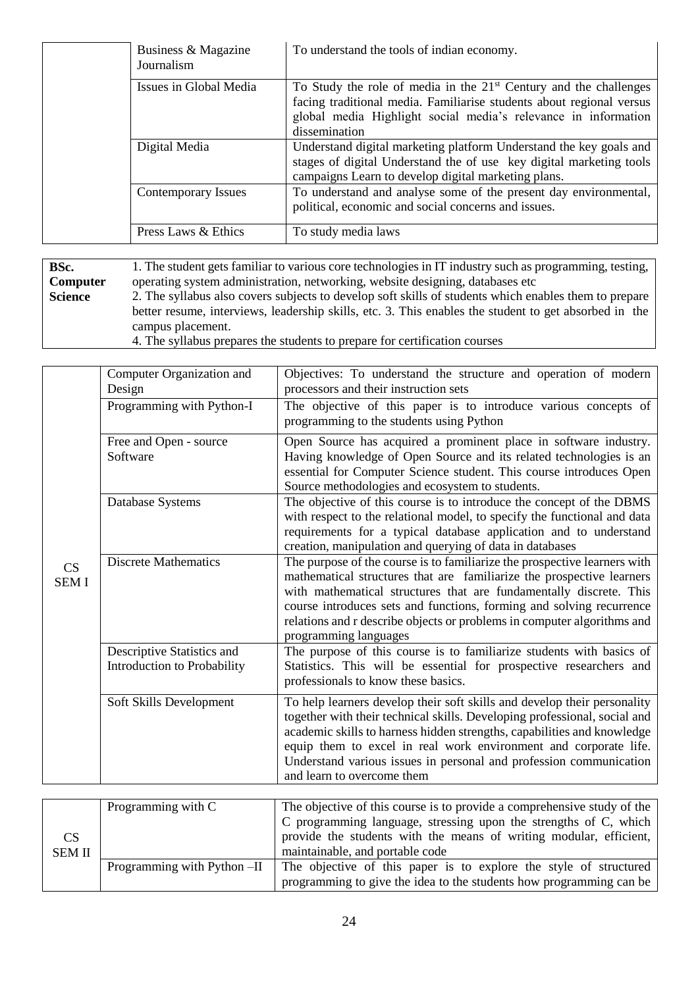| Business & Magazine<br>Journalism | To understand the tools of indian economy.                                                                                                                                                                                     |
|-----------------------------------|--------------------------------------------------------------------------------------------------------------------------------------------------------------------------------------------------------------------------------|
| Issues in Global Media            | To Study the role of media in the $21st$ Century and the challenges<br>facing traditional media. Familiarise students about regional versus<br>global media Highlight social media's relevance in information<br>dissemination |
| Digital Media                     | Understand digital marketing platform Understand the key goals and<br>stages of digital Understand the of use key digital marketing tools<br>campaigns Learn to develop digital marketing plans.                               |
| Contemporary Issues               | To understand and analyse some of the present day environmental,<br>political, economic and social concerns and issues.                                                                                                        |
| Press Laws & Ethics               | To study media laws                                                                                                                                                                                                            |

**BSc. Computer Science**  1. The student gets familiar to various core technologies in IT industry such as programming, testing, operating system administration, networking, website designing, databases etc 2. The syllabus also covers subjects to develop soft skills of students which enables them to prepare better resume, interviews, leadership skills, etc. 3. This enables the student to get absorbed in the campus placement. 4. The syllabus prepares the students to prepare for certification courses

| CS<br><b>SEMI</b> | Computer Organization and<br>Design                       | Objectives: To understand the structure and operation of modern<br>processors and their instruction sets                                                                                                                                                                                                                                                                                                 |
|-------------------|-----------------------------------------------------------|----------------------------------------------------------------------------------------------------------------------------------------------------------------------------------------------------------------------------------------------------------------------------------------------------------------------------------------------------------------------------------------------------------|
|                   | Programming with Python-I                                 | The objective of this paper is to introduce various concepts of<br>programming to the students using Python                                                                                                                                                                                                                                                                                              |
|                   | Free and Open - source<br>Software                        | Open Source has acquired a prominent place in software industry.<br>Having knowledge of Open Source and its related technologies is an<br>essential for Computer Science student. This course introduces Open<br>Source methodologies and ecosystem to students.                                                                                                                                         |
|                   | Database Systems                                          | The objective of this course is to introduce the concept of the DBMS<br>with respect to the relational model, to specify the functional and data<br>requirements for a typical database application and to understand<br>creation, manipulation and querying of data in databases                                                                                                                        |
|                   | <b>Discrete Mathematics</b>                               | The purpose of the course is to familiarize the prospective learners with<br>mathematical structures that are familiarize the prospective learners<br>with mathematical structures that are fundamentally discrete. This<br>course introduces sets and functions, forming and solving recurrence<br>relations and r describe objects or problems in computer algorithms and<br>programming languages     |
|                   | Descriptive Statistics and<br>Introduction to Probability | The purpose of this course is to familiarize students with basics of<br>Statistics. This will be essential for prospective researchers and<br>professionals to know these basics.                                                                                                                                                                                                                        |
|                   | Soft Skills Development                                   | To help learners develop their soft skills and develop their personality<br>together with their technical skills. Developing professional, social and<br>academic skills to harness hidden strengths, capabilities and knowledge<br>equip them to excel in real work environment and corporate life.<br>Understand various issues in personal and profession communication<br>and learn to overcome them |

|               | Programming with C          | The objective of this course is to provide a comprehensive study of the |
|---------------|-----------------------------|-------------------------------------------------------------------------|
|               |                             | C programming language, stressing upon the strengths of C, which        |
| <b>CS</b>     |                             | provide the students with the means of writing modular, efficient,      |
| <b>SEM II</b> |                             | maintainable, and portable code                                         |
|               | Programming with Python -II | The objective of this paper is to explore the style of structured       |
|               |                             | programming to give the idea to the students how programming can be     |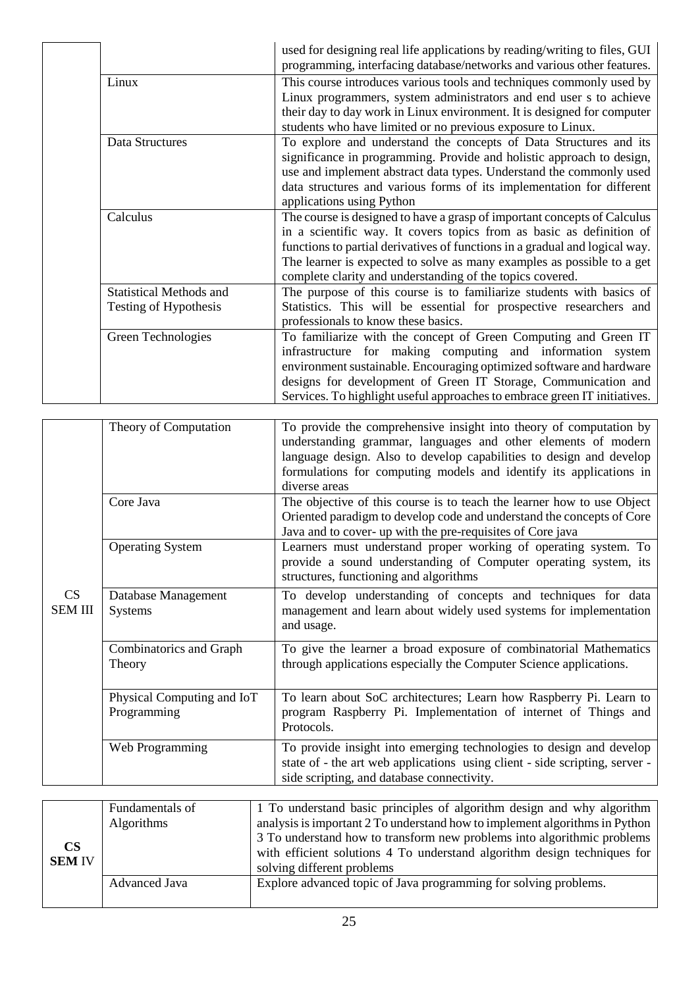|                                | used for designing real life applications by reading/writing to files, GUI<br>programming, interfacing database/networks and various other features. |
|--------------------------------|------------------------------------------------------------------------------------------------------------------------------------------------------|
| Linux                          | This course introduces various tools and techniques commonly used by                                                                                 |
|                                | Linux programmers, system administrators and end user s to achieve                                                                                   |
|                                | their day to day work in Linux environment. It is designed for computer                                                                              |
|                                | students who have limited or no previous exposure to Linux.                                                                                          |
| Data Structures                | To explore and understand the concepts of Data Structures and its                                                                                    |
|                                | significance in programming. Provide and holistic approach to design,                                                                                |
|                                | use and implement abstract data types. Understand the commonly used                                                                                  |
|                                | data structures and various forms of its implementation for different                                                                                |
|                                | applications using Python                                                                                                                            |
| Calculus                       | The course is designed to have a grasp of important concepts of Calculus                                                                             |
|                                | in a scientific way. It covers topics from as basic as definition of                                                                                 |
|                                | functions to partial derivatives of functions in a gradual and logical way.                                                                          |
|                                | The learner is expected to solve as many examples as possible to a get                                                                               |
|                                | complete clarity and understanding of the topics covered.                                                                                            |
| <b>Statistical Methods and</b> | The purpose of this course is to familiarize students with basics of                                                                                 |
| Testing of Hypothesis          | Statistics. This will be essential for prospective researchers and                                                                                   |
|                                | professionals to know these basics.                                                                                                                  |
| Green Technologies             | To familiarize with the concept of Green Computing and Green IT                                                                                      |
|                                | infrastructure for making computing and information system                                                                                           |
|                                | environment sustainable. Encouraging optimized software and hardware                                                                                 |
|                                | designs for development of Green IT Storage, Communication and                                                                                       |
|                                | Services. To highlight useful approaches to embrace green IT initiatives.                                                                            |

| CS<br>SEM III | Theory of Computation                     | To provide the comprehensive insight into theory of computation by<br>understanding grammar, languages and other elements of modern<br>language design. Also to develop capabilities to design and develop<br>formulations for computing models and identify its applications in<br>diverse areas |
|---------------|-------------------------------------------|---------------------------------------------------------------------------------------------------------------------------------------------------------------------------------------------------------------------------------------------------------------------------------------------------|
|               | Core Java                                 | The objective of this course is to teach the learner how to use Object<br>Oriented paradigm to develop code and understand the concepts of Core<br>Java and to cover- up with the pre-requisites of Core java                                                                                     |
|               | <b>Operating System</b>                   | Learners must understand proper working of operating system. To<br>provide a sound understanding of Computer operating system, its<br>structures, functioning and algorithms                                                                                                                      |
|               | Database Management<br><b>Systems</b>     | To develop understanding of concepts and techniques for data<br>management and learn about widely used systems for implementation<br>and usage.                                                                                                                                                   |
|               | Combinatorics and Graph<br>Theory         | To give the learner a broad exposure of combinatorial Mathematics<br>through applications especially the Computer Science applications.                                                                                                                                                           |
|               | Physical Computing and IoT<br>Programming | To learn about SoC architectures; Learn how Raspberry Pi. Learn to<br>program Raspberry Pi. Implementation of internet of Things and<br>Protocols.                                                                                                                                                |
|               | Web Programming                           | To provide insight into emerging technologies to design and develop<br>state of - the art web applications using client - side scripting, server -<br>side scripting, and database connectivity.                                                                                                  |

| $\mathbf{CS}$<br><b>SEM IV</b> | Fundamentals of<br>Algorithms | 1 To understand basic principles of algorithm design and why algorithm<br>analysis is important 2 To understand how to implement algorithms in Python<br>3 To understand how to transform new problems into algorithmic problems<br>with efficient solutions 4 To understand algorithm design techniques for<br>solving different problems |
|--------------------------------|-------------------------------|--------------------------------------------------------------------------------------------------------------------------------------------------------------------------------------------------------------------------------------------------------------------------------------------------------------------------------------------|
|                                | Advanced Java                 | Explore advanced topic of Java programming for solving problems.                                                                                                                                                                                                                                                                           |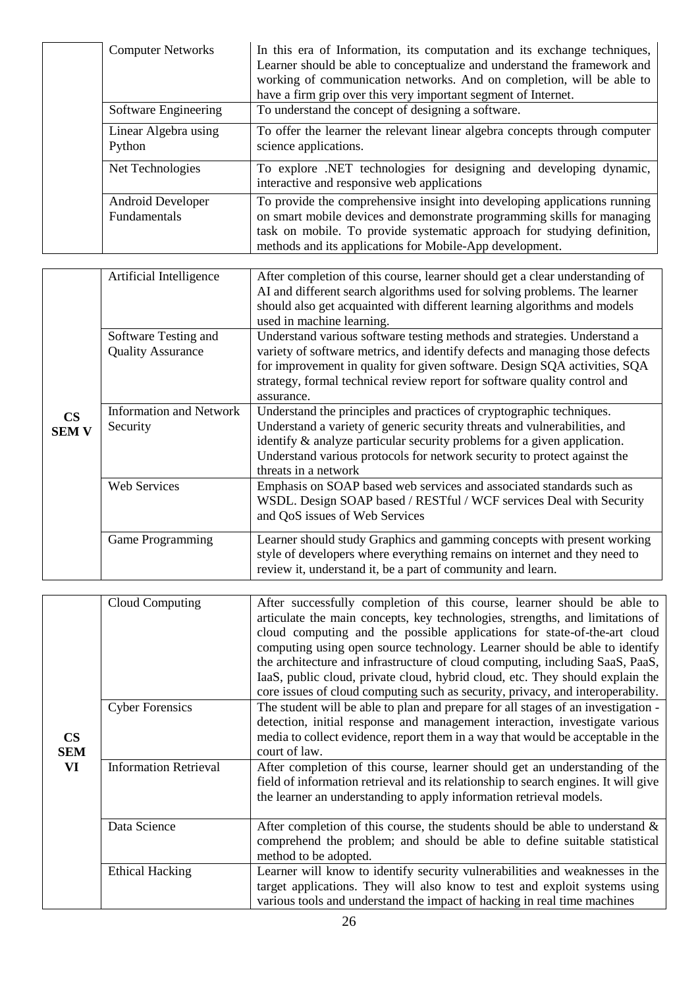| <b>Computer Networks</b>          | In this era of Information, its computation and its exchange techniques,<br>Learner should be able to conceptualize and understand the framework and<br>working of communication networks. And on completion, will be able to<br>have a firm grip over this very important segment of Internet. |
|-----------------------------------|-------------------------------------------------------------------------------------------------------------------------------------------------------------------------------------------------------------------------------------------------------------------------------------------------|
| Software Engineering              | To understand the concept of designing a software.                                                                                                                                                                                                                                              |
| Linear Algebra using<br>Python    | To offer the learner the relevant linear algebra concepts through computer<br>science applications.                                                                                                                                                                                             |
| Net Technologies                  | To explore .NET technologies for designing and developing dynamic,<br>interactive and responsive web applications                                                                                                                                                                               |
| Android Developer<br>Fundamentals | To provide the comprehensive insight into developing applications running<br>on smart mobile devices and demonstrate programming skills for managing<br>task on mobile. To provide systematic approach for studying definition,<br>methods and its applications for Mobile-App development.     |

| $\mathbf{CS}$<br><b>SEM V</b> | Artificial Intelligence                          | After completion of this course, learner should get a clear understanding of<br>AI and different search algorithms used for solving problems. The learner<br>should also get acquainted with different learning algorithms and models<br>used in machine learning.                                                                   |
|-------------------------------|--------------------------------------------------|--------------------------------------------------------------------------------------------------------------------------------------------------------------------------------------------------------------------------------------------------------------------------------------------------------------------------------------|
|                               | Software Testing and<br><b>Quality Assurance</b> | Understand various software testing methods and strategies. Understand a<br>variety of software metrics, and identify defects and managing those defects<br>for improvement in quality for given software. Design SQA activities, SQA<br>strategy, formal technical review report for software quality control and<br>assurance.     |
|                               | <b>Information and Network</b><br>Security       | Understand the principles and practices of cryptographic techniques.<br>Understand a variety of generic security threats and vulnerabilities, and<br>identify $\&$ analyze particular security problems for a given application.<br>Understand various protocols for network security to protect against the<br>threats in a network |
|                               | <b>Web Services</b>                              | Emphasis on SOAP based web services and associated standards such as<br>WSDL. Design SOAP based / RESTful / WCF services Deal with Security<br>and QoS issues of Web Services                                                                                                                                                        |
|                               | Game Programming                                 | Learner should study Graphics and gamming concepts with present working<br>style of developers where everything remains on internet and they need to<br>review it, understand it, be a part of community and learn.                                                                                                                  |

| $\mathbf{CS}$<br><b>SEM</b><br>VI | Cloud Computing              | After successfully completion of this course, learner should be able to<br>articulate the main concepts, key technologies, strengths, and limitations of<br>cloud computing and the possible applications for state-of-the-art cloud<br>computing using open source technology. Learner should be able to identify<br>the architecture and infrastructure of cloud computing, including SaaS, PaaS,<br>IaaS, public cloud, private cloud, hybrid cloud, etc. They should explain the<br>core issues of cloud computing such as security, privacy, and interoperability. |
|-----------------------------------|------------------------------|-------------------------------------------------------------------------------------------------------------------------------------------------------------------------------------------------------------------------------------------------------------------------------------------------------------------------------------------------------------------------------------------------------------------------------------------------------------------------------------------------------------------------------------------------------------------------|
|                                   | <b>Cyber Forensics</b>       | The student will be able to plan and prepare for all stages of an investigation -<br>detection, initial response and management interaction, investigate various<br>media to collect evidence, report them in a way that would be acceptable in the<br>court of law.                                                                                                                                                                                                                                                                                                    |
|                                   | <b>Information Retrieval</b> | After completion of this course, learner should get an understanding of the<br>field of information retrieval and its relationship to search engines. It will give<br>the learner an understanding to apply information retrieval models.                                                                                                                                                                                                                                                                                                                               |
|                                   | Data Science                 | After completion of this course, the students should be able to understand $\&$<br>comprehend the problem; and should be able to define suitable statistical<br>method to be adopted.                                                                                                                                                                                                                                                                                                                                                                                   |
|                                   | <b>Ethical Hacking</b>       | Learner will know to identify security vulnerabilities and weaknesses in the<br>target applications. They will also know to test and exploit systems using<br>various tools and understand the impact of hacking in real time machines                                                                                                                                                                                                                                                                                                                                  |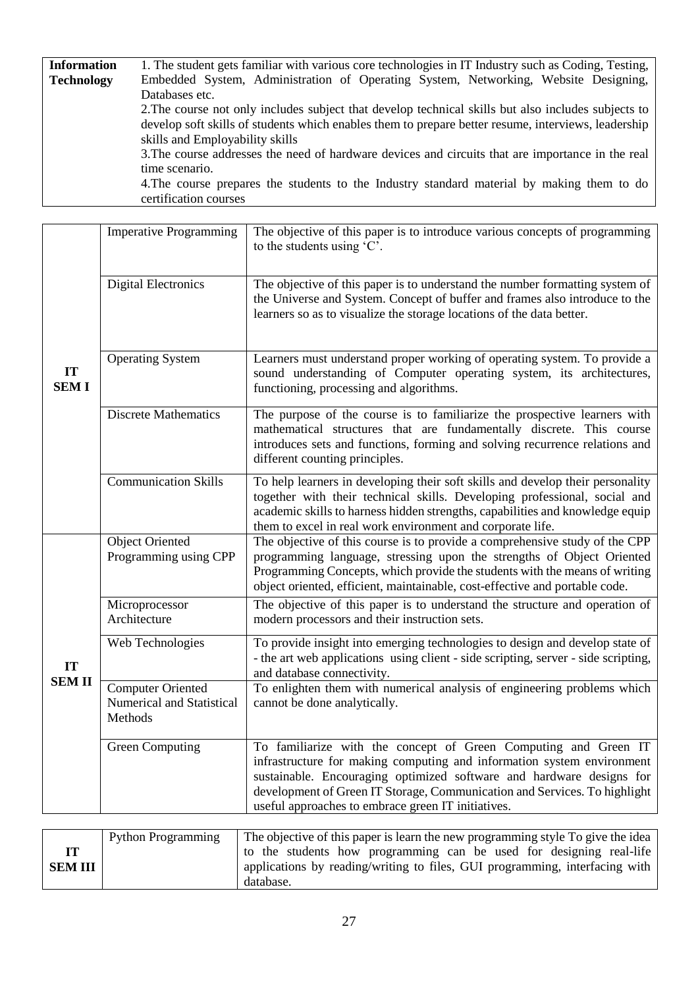| <b>Information</b>                                                                         | 1. The student gets familiar with various core technologies in IT Industry such as Coding, Testing, |  |  |
|--------------------------------------------------------------------------------------------|-----------------------------------------------------------------------------------------------------|--|--|
| <b>Technology</b>                                                                          | Embedded System, Administration of Operating System, Networking, Website Designing,                 |  |  |
|                                                                                            | Databases etc.                                                                                      |  |  |
|                                                                                            | 2. The course not only includes subject that develop technical skills but also includes subjects to |  |  |
|                                                                                            | develop soft skills of students which enables them to prepare better resume, interviews, leadership |  |  |
|                                                                                            | skills and Employability skills                                                                     |  |  |
|                                                                                            | 3. The course addresses the need of hardware devices and circuits that are importance in the real   |  |  |
|                                                                                            | time scenario.                                                                                      |  |  |
| 4. The course prepares the students to the Industry standard material by making them to do |                                                                                                     |  |  |
|                                                                                            | certification courses                                                                               |  |  |

| IT<br><b>SEMI</b>  | <b>Imperative Programming</b>                                    | The objective of this paper is to introduce various concepts of programming<br>to the students using 'C'.                                                                                                                                                                                                                                            |
|--------------------|------------------------------------------------------------------|------------------------------------------------------------------------------------------------------------------------------------------------------------------------------------------------------------------------------------------------------------------------------------------------------------------------------------------------------|
|                    | <b>Digital Electronics</b>                                       | The objective of this paper is to understand the number formatting system of<br>the Universe and System. Concept of buffer and frames also introduce to the<br>learners so as to visualize the storage locations of the data better.                                                                                                                 |
|                    | <b>Operating System</b>                                          | Learners must understand proper working of operating system. To provide a<br>sound understanding of Computer operating system, its architectures,<br>functioning, processing and algorithms.                                                                                                                                                         |
|                    | <b>Discrete Mathematics</b>                                      | The purpose of the course is to familiarize the prospective learners with<br>mathematical structures that are fundamentally discrete. This course<br>introduces sets and functions, forming and solving recurrence relations and<br>different counting principles.                                                                                   |
|                    | <b>Communication Skills</b>                                      | To help learners in developing their soft skills and develop their personality<br>together with their technical skills. Developing professional, social and<br>academic skills to harness hidden strengths, capabilities and knowledge equip<br>them to excel in real work environment and corporate life.                                           |
|                    | <b>Object Oriented</b><br>Programming using CPP                  | The objective of this course is to provide a comprehensive study of the CPP<br>programming language, stressing upon the strengths of Object Oriented<br>Programming Concepts, which provide the students with the means of writing<br>object oriented, efficient, maintainable, cost-effective and portable code.                                    |
|                    | Microprocessor<br>Architecture                                   | The objective of this paper is to understand the structure and operation of<br>modern processors and their instruction sets.                                                                                                                                                                                                                         |
| IT<br><b>SEMII</b> | Web Technologies                                                 | To provide insight into emerging technologies to design and develop state of<br>- the art web applications using client - side scripting, server - side scripting,<br>and database connectivity.                                                                                                                                                     |
|                    | <b>Computer Oriented</b><br>Numerical and Statistical<br>Methods | To enlighten them with numerical analysis of engineering problems which<br>cannot be done analytically.                                                                                                                                                                                                                                              |
|                    | <b>Green Computing</b>                                           | To familiarize with the concept of Green Computing and Green IT<br>infrastructure for making computing and information system environment<br>sustainable. Encouraging optimized software and hardware designs for<br>development of Green IT Storage, Communication and Services. To highlight<br>useful approaches to embrace green IT initiatives. |

|         | <b>Python Programming</b> | The objective of this paper is learn the new programming style To give the idea |
|---------|---------------------------|---------------------------------------------------------------------------------|
|         |                           | to the students how programming can be used for designing real-life             |
| SEM III |                           | applications by reading/writing to files, GUI programming, interfacing with     |
|         |                           | database.                                                                       |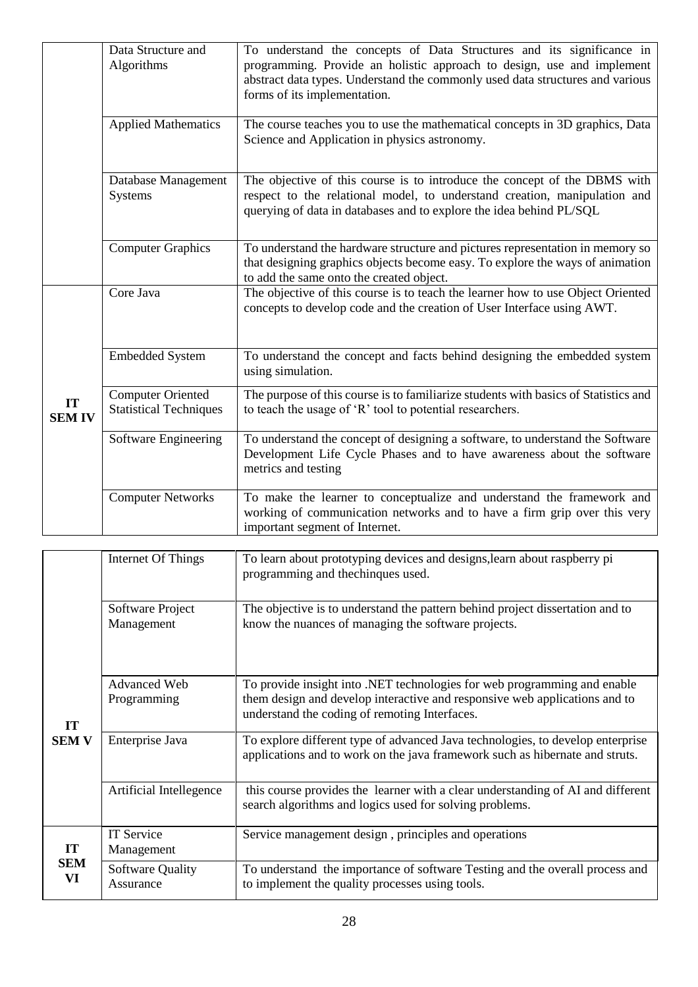|                    | Data Structure and<br>Algorithms                          | To understand the concepts of Data Structures and its significance in<br>programming. Provide an holistic approach to design, use and implement<br>abstract data types. Understand the commonly used data structures and various<br>forms of its implementation. |
|--------------------|-----------------------------------------------------------|------------------------------------------------------------------------------------------------------------------------------------------------------------------------------------------------------------------------------------------------------------------|
|                    | <b>Applied Mathematics</b>                                | The course teaches you to use the mathematical concepts in 3D graphics, Data<br>Science and Application in physics astronomy.                                                                                                                                    |
|                    | Database Management<br><b>Systems</b>                     | The objective of this course is to introduce the concept of the DBMS with<br>respect to the relational model, to understand creation, manipulation and<br>querying of data in databases and to explore the idea behind PL/SQL                                    |
|                    | <b>Computer Graphics</b>                                  | To understand the hardware structure and pictures representation in memory so<br>that designing graphics objects become easy. To explore the ways of animation<br>to add the same onto the created object.                                                       |
|                    | Core Java                                                 | The objective of this course is to teach the learner how to use Object Oriented<br>concepts to develop code and the creation of User Interface using AWT.                                                                                                        |
| IT<br><b>SEMIV</b> | <b>Embedded System</b>                                    | To understand the concept and facts behind designing the embedded system<br>using simulation.                                                                                                                                                                    |
|                    | <b>Computer Oriented</b><br><b>Statistical Techniques</b> | The purpose of this course is to familiarize students with basics of Statistics and<br>to teach the usage of 'R' tool to potential researchers.                                                                                                                  |
|                    | Software Engineering                                      | To understand the concept of designing a software, to understand the Software<br>Development Life Cycle Phases and to have awareness about the software<br>metrics and testing                                                                                   |
|                    | <b>Computer Networks</b>                                  | To make the learner to conceptualize and understand the framework and<br>working of communication networks and to have a firm grip over this very<br>important segment of Internet.                                                                              |

|                           | Internet Of Things                   | To learn about prototyping devices and designs, learn about raspberry pi<br>programming and the chinques used.                                                                                          |  |
|---------------------------|--------------------------------------|---------------------------------------------------------------------------------------------------------------------------------------------------------------------------------------------------------|--|
| <b>IT</b><br><b>SEM V</b> | Software Project<br>Management       | The objective is to understand the pattern behind project dissertation and to<br>know the nuances of managing the software projects.                                                                    |  |
|                           | Advanced Web<br>Programming          | To provide insight into .NET technologies for web programming and enable<br>them design and develop interactive and responsive web applications and to<br>understand the coding of remoting Interfaces. |  |
|                           | Enterprise Java                      | To explore different type of advanced Java technologies, to develop enterprise<br>applications and to work on the java framework such as hibernate and struts.                                          |  |
|                           | Artificial Intellegence              | this course provides the learner with a clear understanding of AI and different<br>search algorithms and logics used for solving problems.                                                              |  |
| IT<br><b>SEM</b><br>VI    | <b>IT Service</b><br>Management      | Service management design, principles and operations                                                                                                                                                    |  |
|                           | <b>Software Quality</b><br>Assurance | To understand the importance of software Testing and the overall process and<br>to implement the quality processes using tools.                                                                         |  |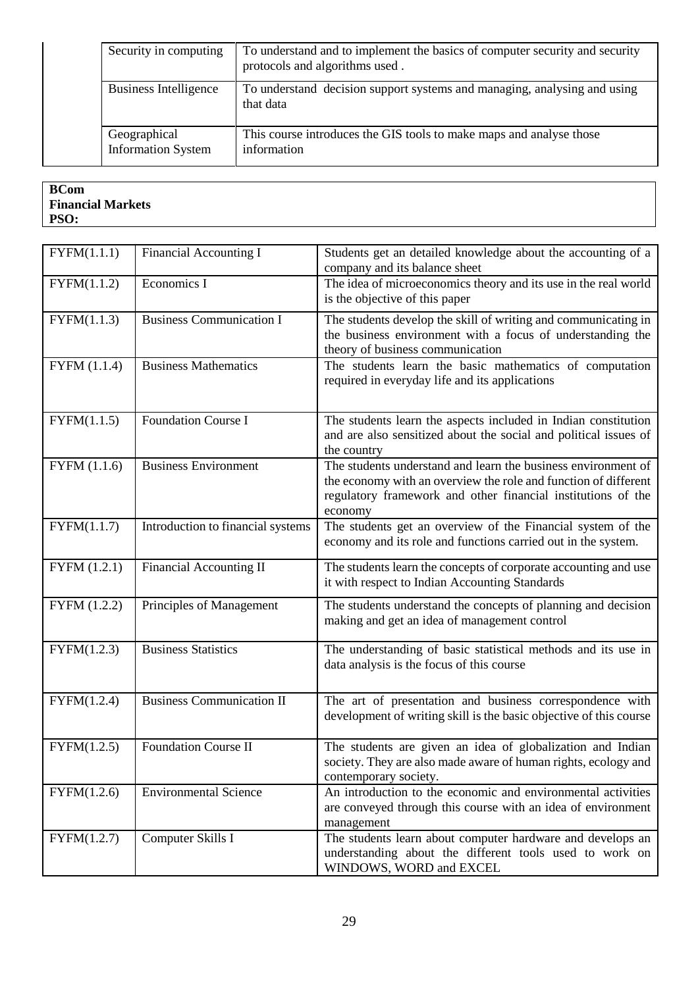| Security in computing                     | To understand and to implement the basics of computer security and security<br>protocols and algorithms used. |
|-------------------------------------------|---------------------------------------------------------------------------------------------------------------|
| Business Intelligence                     | To understand decision support systems and managing, analysing and using<br>that data                         |
| Geographical<br><b>Information System</b> | This course introduces the GIS tools to make maps and analyse those<br>information                            |

| <b>BCom</b>              |
|--------------------------|
| <b>Financial Markets</b> |
| PSO:                     |

| FYFM(1.1.1)    | <b>Financial Accounting I</b>     | Students get an detailed knowledge about the accounting of a<br>company and its balance sheet                                                                                                               |  |
|----------------|-----------------------------------|-------------------------------------------------------------------------------------------------------------------------------------------------------------------------------------------------------------|--|
| FYFM(1.1.2)    | Economics I                       | The idea of microeconomics theory and its use in the real world<br>is the objective of this paper                                                                                                           |  |
| FYFM(1.1.3)    | <b>Business Communication I</b>   | The students develop the skill of writing and communicating in<br>the business environment with a focus of understanding the<br>theory of business communication                                            |  |
| FYFM (1.1.4)   | <b>Business Mathematics</b>       | The students learn the basic mathematics of computation<br>required in everyday life and its applications                                                                                                   |  |
| FYFM(1.1.5)    | <b>Foundation Course I</b>        | The students learn the aspects included in Indian constitution<br>and are also sensitized about the social and political issues of<br>the country                                                           |  |
| FYFM $(1.1.6)$ | <b>Business Environment</b>       | The students understand and learn the business environment of<br>the economy with an overview the role and function of different<br>regulatory framework and other financial institutions of the<br>economy |  |
| FYFM(1.1.7)    | Introduction to financial systems | The students get an overview of the Financial system of the<br>economy and its role and functions carried out in the system.                                                                                |  |
| FYFM (1.2.1)   | <b>Financial Accounting II</b>    | The students learn the concepts of corporate accounting and use<br>it with respect to Indian Accounting Standards                                                                                           |  |
| FYFM (1.2.2)   | Principles of Management          | The students understand the concepts of planning and decision<br>making and get an idea of management control                                                                                               |  |
| FYFM(1.2.3)    | <b>Business Statistics</b>        | The understanding of basic statistical methods and its use in<br>data analysis is the focus of this course                                                                                                  |  |
| FYFM(1.2.4)    | <b>Business Communication II</b>  | The art of presentation and business correspondence with<br>development of writing skill is the basic objective of this course                                                                              |  |
| FYFM(1.2.5)    | <b>Foundation Course II</b>       | The students are given an idea of globalization and Indian<br>society. They are also made aware of human rights, ecology and<br>contemporary society.                                                       |  |
| FYFM(1.2.6)    | <b>Environmental Science</b>      | An introduction to the economic and environmental activities<br>are conveyed through this course with an idea of environment<br>management                                                                  |  |
| FYFM(1.2.7)    | Computer Skills I                 | The students learn about computer hardware and develops an<br>understanding about the different tools used to work on<br>WINDOWS, WORD and EXCEL                                                            |  |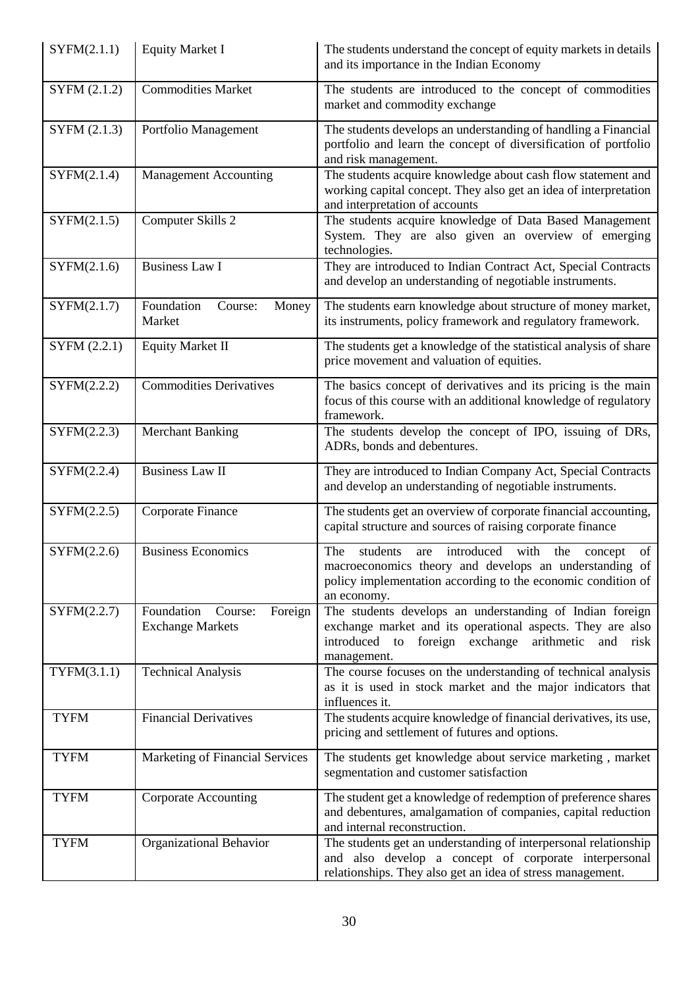| SYFM(2.1.1)  | <b>Equity Market I</b>                                      | The students understand the concept of equity markets in details<br>and its importance in the Indian Economy                                                                                                  |  |
|--------------|-------------------------------------------------------------|---------------------------------------------------------------------------------------------------------------------------------------------------------------------------------------------------------------|--|
| SYFM (2.1.2) | <b>Commodities Market</b>                                   | The students are introduced to the concept of commodities<br>market and commodity exchange                                                                                                                    |  |
| SYFM (2.1.3) | Portfolio Management                                        | The students develops an understanding of handling a Financial<br>portfolio and learn the concept of diversification of portfolio<br>and risk management.                                                     |  |
| SYFM(2.1.4)  | <b>Management Accounting</b>                                | The students acquire knowledge about cash flow statement and<br>working capital concept. They also get an idea of interpretation<br>and interpretation of accounts                                            |  |
| SYFM(2.1.5)  | Computer Skills 2                                           | The students acquire knowledge of Data Based Management<br>System. They are also given an overview of emerging<br>technologies.                                                                               |  |
| SYFM(2.1.6)  | <b>Business Law I</b>                                       | They are introduced to Indian Contract Act, Special Contracts<br>and develop an understanding of negotiable instruments.                                                                                      |  |
| SYFM(2.1.7)  | Foundation<br>Course:<br>Money<br>Market                    | The students earn knowledge about structure of money market,<br>its instruments, policy framework and regulatory framework.                                                                                   |  |
| SYFM (2.2.1) | <b>Equity Market II</b>                                     | The students get a knowledge of the statistical analysis of share<br>price movement and valuation of equities.                                                                                                |  |
| SYFM(2.2.2)  | <b>Commodities Derivatives</b>                              | The basics concept of derivatives and its pricing is the main<br>focus of this course with an additional knowledge of regulatory<br>framework.                                                                |  |
| SYFM(2.2.3)  | <b>Merchant Banking</b>                                     | The students develop the concept of IPO, issuing of DRs,<br>ADRs, bonds and debentures.                                                                                                                       |  |
| SYFM(2.2.4)  | <b>Business Law II</b>                                      | They are introduced to Indian Company Act, Special Contracts<br>and develop an understanding of negotiable instruments.                                                                                       |  |
| SYFM(2.2.5)  | Corporate Finance                                           | The students get an overview of corporate financial accounting,<br>capital structure and sources of raising corporate finance                                                                                 |  |
| SYFM(2.2.6)  | <b>Business Economics</b>                                   | introduced<br>students<br>with<br>The<br>the<br>are<br>concept<br>of<br>macroeconomics theory and develops an understanding of<br>policy implementation according to the economic condition of<br>an economy. |  |
| SYFM(2.2.7)  | Foundation<br>Course:<br>Foreign<br><b>Exchange Markets</b> | The students develops an understanding of Indian foreign<br>exchange market and its operational aspects. They are also<br>introduced to foreign exchange<br>arithmetic<br>and<br>risk<br>management.          |  |
| TYFM(3.1.1)  | <b>Technical Analysis</b>                                   | The course focuses on the understanding of technical analysis<br>as it is used in stock market and the major indicators that<br>influences it.                                                                |  |
| <b>TYFM</b>  | <b>Financial Derivatives</b>                                | The students acquire knowledge of financial derivatives, its use,<br>pricing and settlement of futures and options.                                                                                           |  |
| <b>TYFM</b>  | Marketing of Financial Services                             | The students get knowledge about service marketing, market<br>segmentation and customer satisfaction                                                                                                          |  |
| <b>TYFM</b>  | <b>Corporate Accounting</b>                                 | The student get a knowledge of redemption of preference shares<br>and debentures, amalgamation of companies, capital reduction<br>and internal reconstruction.                                                |  |
| <b>TYFM</b>  | Organizational Behavior                                     | The students get an understanding of interpersonal relationship<br>and also develop a concept of corporate interpersonal<br>relationships. They also get an idea of stress management.                        |  |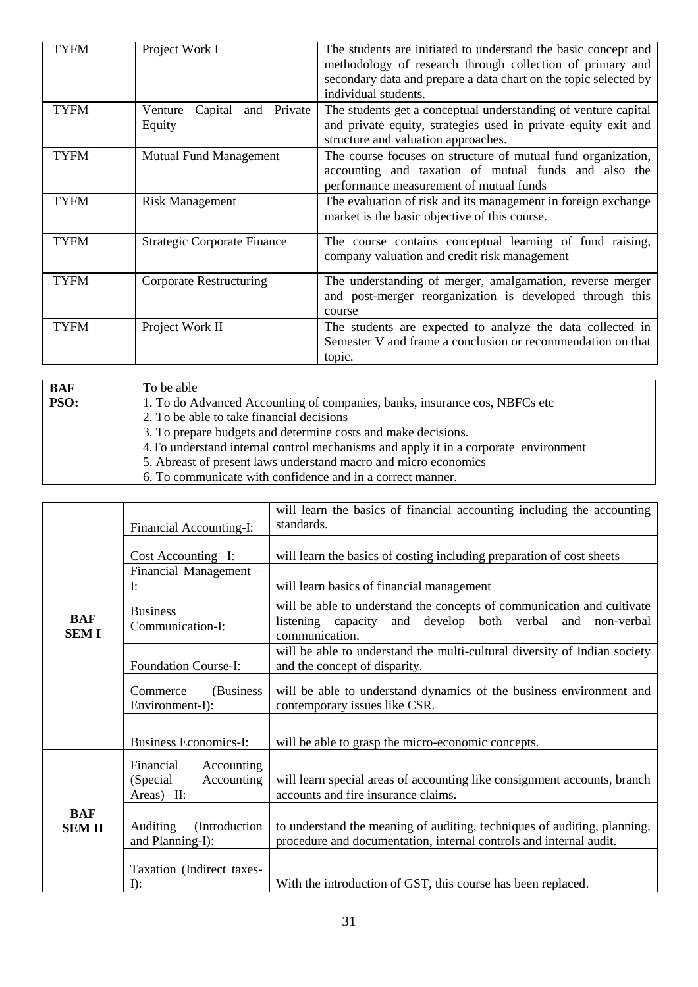| <b>TYFM</b> | Project Work I                              | The students are initiated to understand the basic concept and<br>methodology of research through collection of primary and<br>secondary data and prepare a data chart on the topic selected by<br>individual students. |
|-------------|---------------------------------------------|-------------------------------------------------------------------------------------------------------------------------------------------------------------------------------------------------------------------------|
| <b>TYFM</b> | Capital<br>and Private<br>Venture<br>Equity | The students get a conceptual understanding of venture capital<br>and private equity, strategies used in private equity exit and<br>structure and valuation approaches.                                                 |
| <b>TYFM</b> | <b>Mutual Fund Management</b>               | The course focuses on structure of mutual fund organization,<br>accounting and taxation of mutual funds and also the<br>performance measurement of mutual funds                                                         |
| <b>TYFM</b> | <b>Risk Management</b>                      | The evaluation of risk and its management in foreign exchange<br>market is the basic objective of this course.                                                                                                          |
| <b>TYFM</b> | <b>Strategic Corporate Finance</b>          | The course contains conceptual learning of fund raising,<br>company valuation and credit risk management                                                                                                                |
| <b>TYFM</b> | Corporate Restructuring                     | The understanding of merger, amalgamation, reverse merger<br>and post-merger reorganization is developed through this<br>course                                                                                         |
| <b>TYFM</b> | Project Work II                             | The students are expected to analyze the data collected in<br>Semester V and frame a conclusion or recommendation on that<br>topic.                                                                                     |

**BAF PSO:** To be able 1. To do Advanced Accounting of companies, banks, insurance cos, NBFCs etc 2. To be able to take financial decisions 3. To prepare budgets and determine costs and make decisions.

4.To understand internal control mechanisms and apply it in a corporate environment

- 5. Abreast of present laws understand macro and micro economics
- 6. To communicate with confidence and in a correct manner.

|                            | will learn the basics of financial accounting including the accounting |                                                                                                                                                          |
|----------------------------|------------------------------------------------------------------------|----------------------------------------------------------------------------------------------------------------------------------------------------------|
|                            | Financial Accounting-I:                                                | standards.                                                                                                                                               |
|                            | Cost Accounting -I:                                                    | will learn the basics of costing including preparation of cost sheets                                                                                    |
|                            | Financial Management -<br>I:                                           | will learn basics of financial management                                                                                                                |
| <b>BAF</b><br><b>SEMI</b>  | <b>Business</b><br>Communication-I:                                    | will be able to understand the concepts of communication and cultivate<br>listening capacity and develop both verbal and<br>non-verbal<br>communication. |
|                            | <b>Foundation Course-I:</b>                                            | will be able to understand the multi-cultural diversity of Indian society<br>and the concept of disparity.                                               |
|                            | (Business)<br>Commerce<br>Environment-I):                              | will be able to understand dynamics of the business environment and<br>contemporary issues like CSR.                                                     |
|                            | <b>Business Economics-I:</b>                                           | will be able to grasp the micro-economic concepts.                                                                                                       |
|                            | Financial<br>Accounting<br>Accounting<br>(Special)<br>Areas $)-$ II:   | will learn special areas of accounting like consignment accounts, branch<br>accounts and fire insurance claims.                                          |
| <b>BAF</b><br><b>SEMII</b> | <b>Auditing</b><br>(Introduction)<br>and Planning-I):                  | to understand the meaning of auditing, techniques of auditing, planning,<br>procedure and documentation, internal controls and internal audit.           |
|                            | Taxation (Indirect taxes-<br>$I$ :                                     | With the introduction of GST, this course has been replaced.                                                                                             |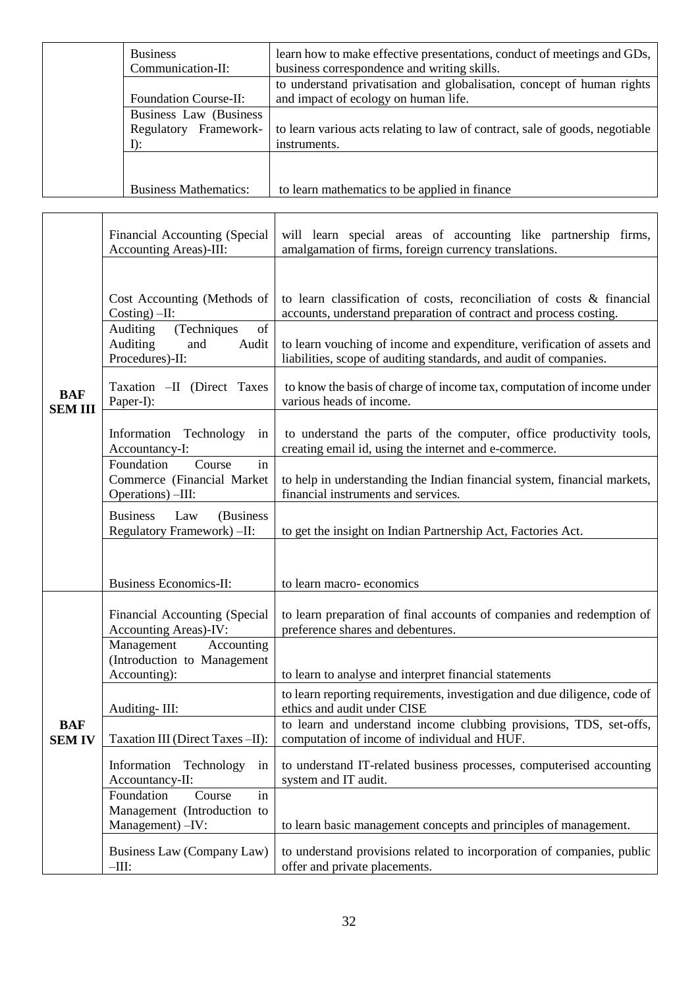| <b>Business</b><br>Communication-II: | learn how to make effective presentations, conduct of meetings and GDs,<br>business correspondence and writing skills. |
|--------------------------------------|------------------------------------------------------------------------------------------------------------------------|
|                                      | to understand privatisation and globalisation, concept of human rights                                                 |
| <b>Foundation Course-II:</b>         | and impact of ecology on human life.                                                                                   |
| Business Law (Business               |                                                                                                                        |
| Framework-<br>Regulatory             | to learn various acts relating to law of contract, sale of goods, negotiable                                           |
| $\Gamma$ :                           | instruments.                                                                                                           |
|                                      |                                                                                                                        |
|                                      |                                                                                                                        |
| <b>Business Mathematics:</b>         | to learn mathematics to be applied in finance                                                                          |

|                              | Financial Accounting (Special<br>Accounting Areas)-III:                                                                                                                                                                                                                                                                                               | will learn special areas of accounting like partnership firms,<br>amalgamation of firms, foreign currency translations.                                                                                                                                                                                                                                                                                                                                                                                                                                                                                                                             |
|------------------------------|-------------------------------------------------------------------------------------------------------------------------------------------------------------------------------------------------------------------------------------------------------------------------------------------------------------------------------------------------------|-----------------------------------------------------------------------------------------------------------------------------------------------------------------------------------------------------------------------------------------------------------------------------------------------------------------------------------------------------------------------------------------------------------------------------------------------------------------------------------------------------------------------------------------------------------------------------------------------------------------------------------------------------|
| <b>BAF</b><br><b>SEM III</b> | Cost Accounting (Methods of<br>$Costing) - II:$<br>Auditing<br>of<br>(Techniques<br>Auditing<br>Audit<br>and<br>Procedures)-II:<br>Taxation - II (Direct Taxes<br>Paper-I):<br>Information Technology<br>in<br>Accountancy-I:<br>Foundation<br>Course<br>in<br>Commerce (Financial Market<br>Operations) -III:<br><b>Business</b><br>(Business<br>Law | to learn classification of costs, reconciliation of costs & financial<br>accounts, understand preparation of contract and process costing.<br>to learn vouching of income and expenditure, verification of assets and<br>liabilities, scope of auditing standards, and audit of companies.<br>to know the basis of charge of income tax, computation of income under<br>various heads of income.<br>to understand the parts of the computer, office productivity tools,<br>creating email id, using the internet and e-commerce.<br>to help in understanding the Indian financial system, financial markets,<br>financial instruments and services. |
|                              | Regulatory Framework) -II:<br><b>Business Economics-II:</b>                                                                                                                                                                                                                                                                                           | to get the insight on Indian Partnership Act, Factories Act.<br>to learn macro-economics                                                                                                                                                                                                                                                                                                                                                                                                                                                                                                                                                            |
|                              | Financial Accounting (Special<br>Accounting Areas)-IV:                                                                                                                                                                                                                                                                                                | to learn preparation of final accounts of companies and redemption of<br>preference shares and debentures.                                                                                                                                                                                                                                                                                                                                                                                                                                                                                                                                          |
| BAF<br><b>SEM IV</b>         | Management<br>Accounting<br>(Introduction to Management<br>Accounting):                                                                                                                                                                                                                                                                               | to learn to analyse and interpret financial statements                                                                                                                                                                                                                                                                                                                                                                                                                                                                                                                                                                                              |
|                              | Auditing-III:                                                                                                                                                                                                                                                                                                                                         | to learn reporting requirements, investigation and due diligence, code of<br>ethics and audit under CISE                                                                                                                                                                                                                                                                                                                                                                                                                                                                                                                                            |
|                              | Taxation III (Direct Taxes -II):                                                                                                                                                                                                                                                                                                                      | to learn and understand income clubbing provisions, TDS, set-offs,<br>computation of income of individual and HUF.                                                                                                                                                                                                                                                                                                                                                                                                                                                                                                                                  |
|                              | Information Technology<br>in<br>Accountancy-II:                                                                                                                                                                                                                                                                                                       | to understand IT-related business processes, computerised accounting<br>system and IT audit.                                                                                                                                                                                                                                                                                                                                                                                                                                                                                                                                                        |
|                              | Foundation<br>Course<br>in<br>Management (Introduction to<br>Management) -IV:                                                                                                                                                                                                                                                                         | to learn basic management concepts and principles of management.                                                                                                                                                                                                                                                                                                                                                                                                                                                                                                                                                                                    |
|                              | Business Law (Company Law)<br>$-III$ :                                                                                                                                                                                                                                                                                                                | to understand provisions related to incorporation of companies, public<br>offer and private placements.                                                                                                                                                                                                                                                                                                                                                                                                                                                                                                                                             |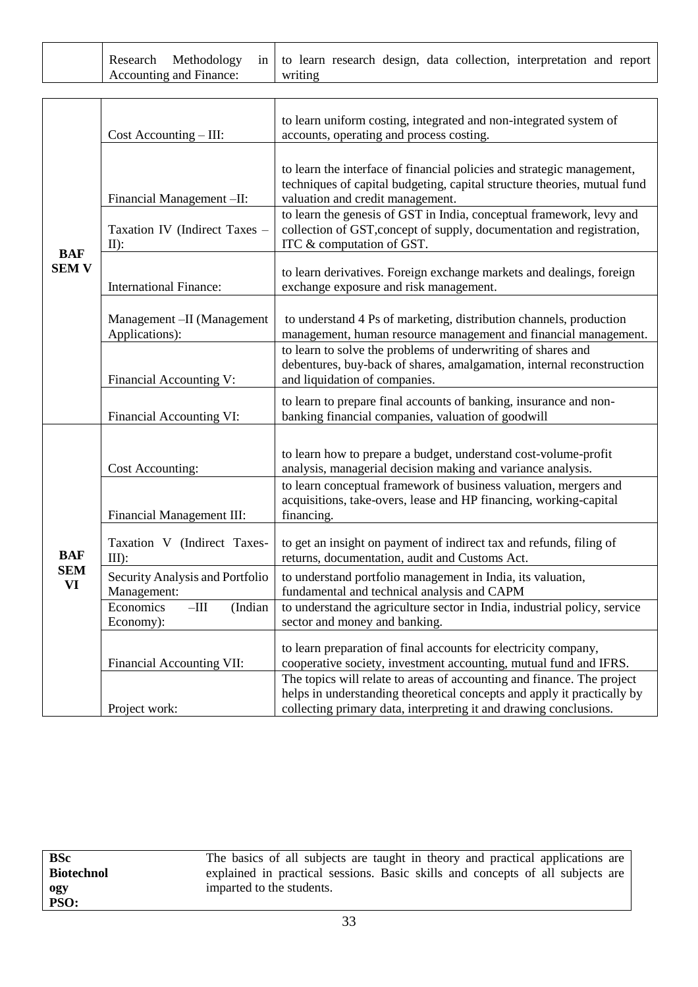| Accounting and Finance: |  | Research Methodology in to learn research design, data collection, interpretation and report<br>writing |  |
|-------------------------|--|---------------------------------------------------------------------------------------------------------|--|
|-------------------------|--|---------------------------------------------------------------------------------------------------------|--|

|                            | $Cost$ Accounting $-$ III:                           | to learn uniform costing, integrated and non-integrated system of<br>accounts, operating and process costing.                                                                                                          |
|----------------------------|------------------------------------------------------|------------------------------------------------------------------------------------------------------------------------------------------------------------------------------------------------------------------------|
|                            | Financial Management -II:                            | to learn the interface of financial policies and strategic management,<br>techniques of capital budgeting, capital structure theories, mutual fund<br>valuation and credit management.                                 |
|                            | Taxation IV (Indirect Taxes -<br>$II)$ :             | to learn the genesis of GST in India, conceptual framework, levy and<br>collection of GST, concept of supply, documentation and registration,<br>ITC & computation of GST.                                             |
| <b>BAF</b><br><b>SEM V</b> | <b>International Finance:</b>                        | to learn derivatives. Foreign exchange markets and dealings, foreign<br>exchange exposure and risk management.                                                                                                         |
|                            | Management - II (Management<br>Applications):        | to understand 4 Ps of marketing, distribution channels, production<br>management, human resource management and financial management.                                                                                  |
|                            | Financial Accounting V:                              | to learn to solve the problems of underwriting of shares and<br>debentures, buy-back of shares, amalgamation, internal reconstruction<br>and liquidation of companies.                                                 |
|                            | Financial Accounting VI:                             | to learn to prepare final accounts of banking, insurance and non-<br>banking financial companies, valuation of goodwill                                                                                                |
|                            | Cost Accounting:                                     | to learn how to prepare a budget, understand cost-volume-profit<br>analysis, managerial decision making and variance analysis.                                                                                         |
|                            | Financial Management III:                            | to learn conceptual framework of business valuation, mergers and<br>acquisitions, take-overs, lease and HP financing, working-capital<br>financing.                                                                    |
| <b>BAF</b>                 | Taxation V (Indirect Taxes-<br>$III$ :               | to get an insight on payment of indirect tax and refunds, filing of<br>returns, documentation, audit and Customs Act.                                                                                                  |
| <b>SEM</b><br>VI           | Security Analysis and Portfolio<br>Management:       | to understand portfolio management in India, its valuation,<br>fundamental and technical analysis and CAPM                                                                                                             |
|                            | Economics<br>$-\mathrm{III}$<br>(Indian<br>Economy): | to understand the agriculture sector in India, industrial policy, service<br>sector and money and banking.                                                                                                             |
|                            | Financial Accounting VII:                            | to learn preparation of final accounts for electricity company,<br>cooperative society, investment accounting, mutual fund and IFRS.                                                                                   |
|                            | Project work:                                        | The topics will relate to areas of accounting and finance. The project<br>helps in understanding theoretical concepts and apply it practically by<br>collecting primary data, interpreting it and drawing conclusions. |

| <b>BSc</b>        | The basics of all subjects are taught in theory and practical applications are |
|-------------------|--------------------------------------------------------------------------------|
| <b>Biotechnol</b> | explained in practical sessions. Basic skills and concepts of all subjects are |
| ogy               | imparted to the students.                                                      |
| PSO:              |                                                                                |
|                   | $\sim$ $\sim$                                                                  |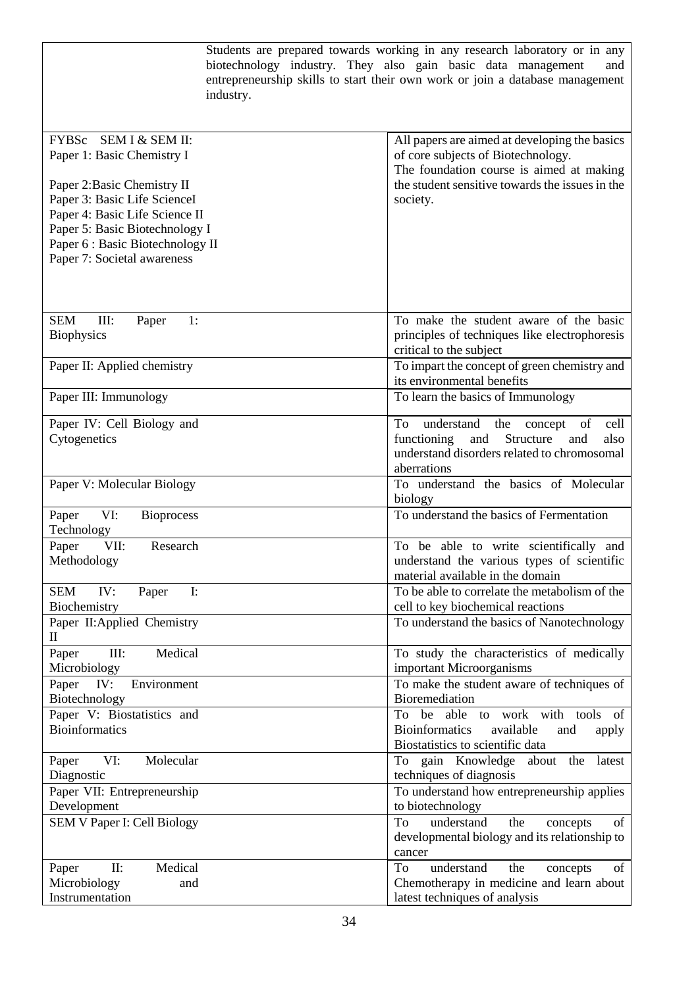| FYBSc SEM I & SEM II:<br>All papers are aimed at developing the basics<br>Paper 1: Basic Chemistry I<br>of core subjects of Biotechnology.<br>The foundation course is aimed at making<br>the student sensitive towards the issues in the<br>Paper 2: Basic Chemistry II<br>Paper 3: Basic Life ScienceI<br>society.<br>Paper 4: Basic Life Science II<br>Paper 5: Basic Biotechnology I<br>Paper 6 : Basic Biotechnology II<br>Paper 7: Societal awareness<br><b>SEM</b><br>III:<br>1:<br>To make the student aware of the basic<br>Paper<br>principles of techniques like electrophoresis<br><b>Biophysics</b><br>critical to the subject<br>To impart the concept of green chemistry and<br>Paper II: Applied chemistry<br>its environmental benefits<br>Paper III: Immunology<br>To learn the basics of Immunology<br>Paper IV: Cell Biology and<br>understand<br>To<br>the<br>of<br>cell<br>concept<br>Structure<br>Cytogenetics<br>functioning<br>and<br>also<br>and<br>understand disorders related to chromosomal<br>aberrations<br>To understand the basics of Molecular<br>Paper V: Molecular Biology<br>biology<br>To understand the basics of Fermentation<br>VI:<br>Paper<br><b>Bioprocess</b><br>Technology<br>VII:<br>Paper<br>Research<br>be able to write scientifically and<br>To<br>Methodology<br>understand the various types of scientific<br>material available in the domain<br>To be able to correlate the metabolism of the<br><b>SEM</b><br>IV:<br>$\mathbf{I}$ :<br>Paper<br>Biochemistry<br>cell to key biochemical reactions<br>Paper II: Applied Chemistry<br>To understand the basics of Nanotechnology<br>$\mathbf{I}$<br>III:<br>Medical<br>To study the characteristics of medically<br>Paper<br>Microbiology<br>important Microorganisms<br>IV:<br>To make the student aware of techniques of<br>Paper<br>Environment<br><b>Bioremediation</b><br>Biotechnology<br>Paper V: Biostatistics and<br>be able to work with tools of<br>To<br><b>Bioinformatics</b><br><b>Bioinformatics</b><br>available<br>and<br>apply<br>Biostatistics to scientific data<br>VI:<br>Molecular<br>gain Knowledge<br>Paper<br>about<br>the<br>latest<br>To<br>Diagnostic<br>techniques of diagnosis<br>Paper VII: Entrepreneurship<br>To understand how entrepreneurship applies<br>Development<br>to biotechnology<br>SEM V Paper I: Cell Biology<br>To<br>understand<br>the<br>of<br>concepts<br>developmental biology and its relationship to<br>cancer<br>Medical<br>understand<br>II:<br>To<br>the<br>of<br>Paper<br>concepts<br>Chemotherapy in medicine and learn about<br>Microbiology<br>and<br>Instrumentation<br>latest techniques of analysis | industry. | Students are prepared towards working in any research laboratory or in any<br>biotechnology industry. They also gain basic data management<br>and<br>entrepreneurship skills to start their own work or join a database management |
|---------------------------------------------------------------------------------------------------------------------------------------------------------------------------------------------------------------------------------------------------------------------------------------------------------------------------------------------------------------------------------------------------------------------------------------------------------------------------------------------------------------------------------------------------------------------------------------------------------------------------------------------------------------------------------------------------------------------------------------------------------------------------------------------------------------------------------------------------------------------------------------------------------------------------------------------------------------------------------------------------------------------------------------------------------------------------------------------------------------------------------------------------------------------------------------------------------------------------------------------------------------------------------------------------------------------------------------------------------------------------------------------------------------------------------------------------------------------------------------------------------------------------------------------------------------------------------------------------------------------------------------------------------------------------------------------------------------------------------------------------------------------------------------------------------------------------------------------------------------------------------------------------------------------------------------------------------------------------------------------------------------------------------------------------------------------------------------------------------------------------------------------------------------------------------------------------------------------------------------------------------------------------------------------------------------------------------------------------------------------------------------------------------------------------------------------------------------------------------------------------------------------------------------------------------------------------------------------------------------------------------------------------------------------------|-----------|------------------------------------------------------------------------------------------------------------------------------------------------------------------------------------------------------------------------------------|
|                                                                                                                                                                                                                                                                                                                                                                                                                                                                                                                                                                                                                                                                                                                                                                                                                                                                                                                                                                                                                                                                                                                                                                                                                                                                                                                                                                                                                                                                                                                                                                                                                                                                                                                                                                                                                                                                                                                                                                                                                                                                                                                                                                                                                                                                                                                                                                                                                                                                                                                                                                                                                                                                           |           |                                                                                                                                                                                                                                    |
|                                                                                                                                                                                                                                                                                                                                                                                                                                                                                                                                                                                                                                                                                                                                                                                                                                                                                                                                                                                                                                                                                                                                                                                                                                                                                                                                                                                                                                                                                                                                                                                                                                                                                                                                                                                                                                                                                                                                                                                                                                                                                                                                                                                                                                                                                                                                                                                                                                                                                                                                                                                                                                                                           |           |                                                                                                                                                                                                                                    |
|                                                                                                                                                                                                                                                                                                                                                                                                                                                                                                                                                                                                                                                                                                                                                                                                                                                                                                                                                                                                                                                                                                                                                                                                                                                                                                                                                                                                                                                                                                                                                                                                                                                                                                                                                                                                                                                                                                                                                                                                                                                                                                                                                                                                                                                                                                                                                                                                                                                                                                                                                                                                                                                                           |           |                                                                                                                                                                                                                                    |
|                                                                                                                                                                                                                                                                                                                                                                                                                                                                                                                                                                                                                                                                                                                                                                                                                                                                                                                                                                                                                                                                                                                                                                                                                                                                                                                                                                                                                                                                                                                                                                                                                                                                                                                                                                                                                                                                                                                                                                                                                                                                                                                                                                                                                                                                                                                                                                                                                                                                                                                                                                                                                                                                           |           |                                                                                                                                                                                                                                    |
|                                                                                                                                                                                                                                                                                                                                                                                                                                                                                                                                                                                                                                                                                                                                                                                                                                                                                                                                                                                                                                                                                                                                                                                                                                                                                                                                                                                                                                                                                                                                                                                                                                                                                                                                                                                                                                                                                                                                                                                                                                                                                                                                                                                                                                                                                                                                                                                                                                                                                                                                                                                                                                                                           |           |                                                                                                                                                                                                                                    |
|                                                                                                                                                                                                                                                                                                                                                                                                                                                                                                                                                                                                                                                                                                                                                                                                                                                                                                                                                                                                                                                                                                                                                                                                                                                                                                                                                                                                                                                                                                                                                                                                                                                                                                                                                                                                                                                                                                                                                                                                                                                                                                                                                                                                                                                                                                                                                                                                                                                                                                                                                                                                                                                                           |           |                                                                                                                                                                                                                                    |
|                                                                                                                                                                                                                                                                                                                                                                                                                                                                                                                                                                                                                                                                                                                                                                                                                                                                                                                                                                                                                                                                                                                                                                                                                                                                                                                                                                                                                                                                                                                                                                                                                                                                                                                                                                                                                                                                                                                                                                                                                                                                                                                                                                                                                                                                                                                                                                                                                                                                                                                                                                                                                                                                           |           |                                                                                                                                                                                                                                    |
|                                                                                                                                                                                                                                                                                                                                                                                                                                                                                                                                                                                                                                                                                                                                                                                                                                                                                                                                                                                                                                                                                                                                                                                                                                                                                                                                                                                                                                                                                                                                                                                                                                                                                                                                                                                                                                                                                                                                                                                                                                                                                                                                                                                                                                                                                                                                                                                                                                                                                                                                                                                                                                                                           |           |                                                                                                                                                                                                                                    |
|                                                                                                                                                                                                                                                                                                                                                                                                                                                                                                                                                                                                                                                                                                                                                                                                                                                                                                                                                                                                                                                                                                                                                                                                                                                                                                                                                                                                                                                                                                                                                                                                                                                                                                                                                                                                                                                                                                                                                                                                                                                                                                                                                                                                                                                                                                                                                                                                                                                                                                                                                                                                                                                                           |           |                                                                                                                                                                                                                                    |
|                                                                                                                                                                                                                                                                                                                                                                                                                                                                                                                                                                                                                                                                                                                                                                                                                                                                                                                                                                                                                                                                                                                                                                                                                                                                                                                                                                                                                                                                                                                                                                                                                                                                                                                                                                                                                                                                                                                                                                                                                                                                                                                                                                                                                                                                                                                                                                                                                                                                                                                                                                                                                                                                           |           |                                                                                                                                                                                                                                    |
|                                                                                                                                                                                                                                                                                                                                                                                                                                                                                                                                                                                                                                                                                                                                                                                                                                                                                                                                                                                                                                                                                                                                                                                                                                                                                                                                                                                                                                                                                                                                                                                                                                                                                                                                                                                                                                                                                                                                                                                                                                                                                                                                                                                                                                                                                                                                                                                                                                                                                                                                                                                                                                                                           |           |                                                                                                                                                                                                                                    |
|                                                                                                                                                                                                                                                                                                                                                                                                                                                                                                                                                                                                                                                                                                                                                                                                                                                                                                                                                                                                                                                                                                                                                                                                                                                                                                                                                                                                                                                                                                                                                                                                                                                                                                                                                                                                                                                                                                                                                                                                                                                                                                                                                                                                                                                                                                                                                                                                                                                                                                                                                                                                                                                                           |           |                                                                                                                                                                                                                                    |
|                                                                                                                                                                                                                                                                                                                                                                                                                                                                                                                                                                                                                                                                                                                                                                                                                                                                                                                                                                                                                                                                                                                                                                                                                                                                                                                                                                                                                                                                                                                                                                                                                                                                                                                                                                                                                                                                                                                                                                                                                                                                                                                                                                                                                                                                                                                                                                                                                                                                                                                                                                                                                                                                           |           |                                                                                                                                                                                                                                    |
|                                                                                                                                                                                                                                                                                                                                                                                                                                                                                                                                                                                                                                                                                                                                                                                                                                                                                                                                                                                                                                                                                                                                                                                                                                                                                                                                                                                                                                                                                                                                                                                                                                                                                                                                                                                                                                                                                                                                                                                                                                                                                                                                                                                                                                                                                                                                                                                                                                                                                                                                                                                                                                                                           |           |                                                                                                                                                                                                                                    |
|                                                                                                                                                                                                                                                                                                                                                                                                                                                                                                                                                                                                                                                                                                                                                                                                                                                                                                                                                                                                                                                                                                                                                                                                                                                                                                                                                                                                                                                                                                                                                                                                                                                                                                                                                                                                                                                                                                                                                                                                                                                                                                                                                                                                                                                                                                                                                                                                                                                                                                                                                                                                                                                                           |           |                                                                                                                                                                                                                                    |
|                                                                                                                                                                                                                                                                                                                                                                                                                                                                                                                                                                                                                                                                                                                                                                                                                                                                                                                                                                                                                                                                                                                                                                                                                                                                                                                                                                                                                                                                                                                                                                                                                                                                                                                                                                                                                                                                                                                                                                                                                                                                                                                                                                                                                                                                                                                                                                                                                                                                                                                                                                                                                                                                           |           |                                                                                                                                                                                                                                    |
|                                                                                                                                                                                                                                                                                                                                                                                                                                                                                                                                                                                                                                                                                                                                                                                                                                                                                                                                                                                                                                                                                                                                                                                                                                                                                                                                                                                                                                                                                                                                                                                                                                                                                                                                                                                                                                                                                                                                                                                                                                                                                                                                                                                                                                                                                                                                                                                                                                                                                                                                                                                                                                                                           |           |                                                                                                                                                                                                                                    |
|                                                                                                                                                                                                                                                                                                                                                                                                                                                                                                                                                                                                                                                                                                                                                                                                                                                                                                                                                                                                                                                                                                                                                                                                                                                                                                                                                                                                                                                                                                                                                                                                                                                                                                                                                                                                                                                                                                                                                                                                                                                                                                                                                                                                                                                                                                                                                                                                                                                                                                                                                                                                                                                                           |           |                                                                                                                                                                                                                                    |
|                                                                                                                                                                                                                                                                                                                                                                                                                                                                                                                                                                                                                                                                                                                                                                                                                                                                                                                                                                                                                                                                                                                                                                                                                                                                                                                                                                                                                                                                                                                                                                                                                                                                                                                                                                                                                                                                                                                                                                                                                                                                                                                                                                                                                                                                                                                                                                                                                                                                                                                                                                                                                                                                           |           |                                                                                                                                                                                                                                    |
|                                                                                                                                                                                                                                                                                                                                                                                                                                                                                                                                                                                                                                                                                                                                                                                                                                                                                                                                                                                                                                                                                                                                                                                                                                                                                                                                                                                                                                                                                                                                                                                                                                                                                                                                                                                                                                                                                                                                                                                                                                                                                                                                                                                                                                                                                                                                                                                                                                                                                                                                                                                                                                                                           |           |                                                                                                                                                                                                                                    |
|                                                                                                                                                                                                                                                                                                                                                                                                                                                                                                                                                                                                                                                                                                                                                                                                                                                                                                                                                                                                                                                                                                                                                                                                                                                                                                                                                                                                                                                                                                                                                                                                                                                                                                                                                                                                                                                                                                                                                                                                                                                                                                                                                                                                                                                                                                                                                                                                                                                                                                                                                                                                                                                                           |           |                                                                                                                                                                                                                                    |
|                                                                                                                                                                                                                                                                                                                                                                                                                                                                                                                                                                                                                                                                                                                                                                                                                                                                                                                                                                                                                                                                                                                                                                                                                                                                                                                                                                                                                                                                                                                                                                                                                                                                                                                                                                                                                                                                                                                                                                                                                                                                                                                                                                                                                                                                                                                                                                                                                                                                                                                                                                                                                                                                           |           |                                                                                                                                                                                                                                    |
|                                                                                                                                                                                                                                                                                                                                                                                                                                                                                                                                                                                                                                                                                                                                                                                                                                                                                                                                                                                                                                                                                                                                                                                                                                                                                                                                                                                                                                                                                                                                                                                                                                                                                                                                                                                                                                                                                                                                                                                                                                                                                                                                                                                                                                                                                                                                                                                                                                                                                                                                                                                                                                                                           |           |                                                                                                                                                                                                                                    |
|                                                                                                                                                                                                                                                                                                                                                                                                                                                                                                                                                                                                                                                                                                                                                                                                                                                                                                                                                                                                                                                                                                                                                                                                                                                                                                                                                                                                                                                                                                                                                                                                                                                                                                                                                                                                                                                                                                                                                                                                                                                                                                                                                                                                                                                                                                                                                                                                                                                                                                                                                                                                                                                                           |           |                                                                                                                                                                                                                                    |
|                                                                                                                                                                                                                                                                                                                                                                                                                                                                                                                                                                                                                                                                                                                                                                                                                                                                                                                                                                                                                                                                                                                                                                                                                                                                                                                                                                                                                                                                                                                                                                                                                                                                                                                                                                                                                                                                                                                                                                                                                                                                                                                                                                                                                                                                                                                                                                                                                                                                                                                                                                                                                                                                           |           |                                                                                                                                                                                                                                    |
|                                                                                                                                                                                                                                                                                                                                                                                                                                                                                                                                                                                                                                                                                                                                                                                                                                                                                                                                                                                                                                                                                                                                                                                                                                                                                                                                                                                                                                                                                                                                                                                                                                                                                                                                                                                                                                                                                                                                                                                                                                                                                                                                                                                                                                                                                                                                                                                                                                                                                                                                                                                                                                                                           |           |                                                                                                                                                                                                                                    |
|                                                                                                                                                                                                                                                                                                                                                                                                                                                                                                                                                                                                                                                                                                                                                                                                                                                                                                                                                                                                                                                                                                                                                                                                                                                                                                                                                                                                                                                                                                                                                                                                                                                                                                                                                                                                                                                                                                                                                                                                                                                                                                                                                                                                                                                                                                                                                                                                                                                                                                                                                                                                                                                                           |           |                                                                                                                                                                                                                                    |
|                                                                                                                                                                                                                                                                                                                                                                                                                                                                                                                                                                                                                                                                                                                                                                                                                                                                                                                                                                                                                                                                                                                                                                                                                                                                                                                                                                                                                                                                                                                                                                                                                                                                                                                                                                                                                                                                                                                                                                                                                                                                                                                                                                                                                                                                                                                                                                                                                                                                                                                                                                                                                                                                           |           |                                                                                                                                                                                                                                    |
|                                                                                                                                                                                                                                                                                                                                                                                                                                                                                                                                                                                                                                                                                                                                                                                                                                                                                                                                                                                                                                                                                                                                                                                                                                                                                                                                                                                                                                                                                                                                                                                                                                                                                                                                                                                                                                                                                                                                                                                                                                                                                                                                                                                                                                                                                                                                                                                                                                                                                                                                                                                                                                                                           |           |                                                                                                                                                                                                                                    |
|                                                                                                                                                                                                                                                                                                                                                                                                                                                                                                                                                                                                                                                                                                                                                                                                                                                                                                                                                                                                                                                                                                                                                                                                                                                                                                                                                                                                                                                                                                                                                                                                                                                                                                                                                                                                                                                                                                                                                                                                                                                                                                                                                                                                                                                                                                                                                                                                                                                                                                                                                                                                                                                                           |           |                                                                                                                                                                                                                                    |
|                                                                                                                                                                                                                                                                                                                                                                                                                                                                                                                                                                                                                                                                                                                                                                                                                                                                                                                                                                                                                                                                                                                                                                                                                                                                                                                                                                                                                                                                                                                                                                                                                                                                                                                                                                                                                                                                                                                                                                                                                                                                                                                                                                                                                                                                                                                                                                                                                                                                                                                                                                                                                                                                           |           |                                                                                                                                                                                                                                    |
|                                                                                                                                                                                                                                                                                                                                                                                                                                                                                                                                                                                                                                                                                                                                                                                                                                                                                                                                                                                                                                                                                                                                                                                                                                                                                                                                                                                                                                                                                                                                                                                                                                                                                                                                                                                                                                                                                                                                                                                                                                                                                                                                                                                                                                                                                                                                                                                                                                                                                                                                                                                                                                                                           |           |                                                                                                                                                                                                                                    |
|                                                                                                                                                                                                                                                                                                                                                                                                                                                                                                                                                                                                                                                                                                                                                                                                                                                                                                                                                                                                                                                                                                                                                                                                                                                                                                                                                                                                                                                                                                                                                                                                                                                                                                                                                                                                                                                                                                                                                                                                                                                                                                                                                                                                                                                                                                                                                                                                                                                                                                                                                                                                                                                                           |           |                                                                                                                                                                                                                                    |
|                                                                                                                                                                                                                                                                                                                                                                                                                                                                                                                                                                                                                                                                                                                                                                                                                                                                                                                                                                                                                                                                                                                                                                                                                                                                                                                                                                                                                                                                                                                                                                                                                                                                                                                                                                                                                                                                                                                                                                                                                                                                                                                                                                                                                                                                                                                                                                                                                                                                                                                                                                                                                                                                           |           |                                                                                                                                                                                                                                    |
|                                                                                                                                                                                                                                                                                                                                                                                                                                                                                                                                                                                                                                                                                                                                                                                                                                                                                                                                                                                                                                                                                                                                                                                                                                                                                                                                                                                                                                                                                                                                                                                                                                                                                                                                                                                                                                                                                                                                                                                                                                                                                                                                                                                                                                                                                                                                                                                                                                                                                                                                                                                                                                                                           |           |                                                                                                                                                                                                                                    |
|                                                                                                                                                                                                                                                                                                                                                                                                                                                                                                                                                                                                                                                                                                                                                                                                                                                                                                                                                                                                                                                                                                                                                                                                                                                                                                                                                                                                                                                                                                                                                                                                                                                                                                                                                                                                                                                                                                                                                                                                                                                                                                                                                                                                                                                                                                                                                                                                                                                                                                                                                                                                                                                                           |           |                                                                                                                                                                                                                                    |
|                                                                                                                                                                                                                                                                                                                                                                                                                                                                                                                                                                                                                                                                                                                                                                                                                                                                                                                                                                                                                                                                                                                                                                                                                                                                                                                                                                                                                                                                                                                                                                                                                                                                                                                                                                                                                                                                                                                                                                                                                                                                                                                                                                                                                                                                                                                                                                                                                                                                                                                                                                                                                                                                           |           |                                                                                                                                                                                                                                    |
|                                                                                                                                                                                                                                                                                                                                                                                                                                                                                                                                                                                                                                                                                                                                                                                                                                                                                                                                                                                                                                                                                                                                                                                                                                                                                                                                                                                                                                                                                                                                                                                                                                                                                                                                                                                                                                                                                                                                                                                                                                                                                                                                                                                                                                                                                                                                                                                                                                                                                                                                                                                                                                                                           |           |                                                                                                                                                                                                                                    |
|                                                                                                                                                                                                                                                                                                                                                                                                                                                                                                                                                                                                                                                                                                                                                                                                                                                                                                                                                                                                                                                                                                                                                                                                                                                                                                                                                                                                                                                                                                                                                                                                                                                                                                                                                                                                                                                                                                                                                                                                                                                                                                                                                                                                                                                                                                                                                                                                                                                                                                                                                                                                                                                                           |           |                                                                                                                                                                                                                                    |
|                                                                                                                                                                                                                                                                                                                                                                                                                                                                                                                                                                                                                                                                                                                                                                                                                                                                                                                                                                                                                                                                                                                                                                                                                                                                                                                                                                                                                                                                                                                                                                                                                                                                                                                                                                                                                                                                                                                                                                                                                                                                                                                                                                                                                                                                                                                                                                                                                                                                                                                                                                                                                                                                           |           |                                                                                                                                                                                                                                    |
|                                                                                                                                                                                                                                                                                                                                                                                                                                                                                                                                                                                                                                                                                                                                                                                                                                                                                                                                                                                                                                                                                                                                                                                                                                                                                                                                                                                                                                                                                                                                                                                                                                                                                                                                                                                                                                                                                                                                                                                                                                                                                                                                                                                                                                                                                                                                                                                                                                                                                                                                                                                                                                                                           |           |                                                                                                                                                                                                                                    |
|                                                                                                                                                                                                                                                                                                                                                                                                                                                                                                                                                                                                                                                                                                                                                                                                                                                                                                                                                                                                                                                                                                                                                                                                                                                                                                                                                                                                                                                                                                                                                                                                                                                                                                                                                                                                                                                                                                                                                                                                                                                                                                                                                                                                                                                                                                                                                                                                                                                                                                                                                                                                                                                                           |           |                                                                                                                                                                                                                                    |
|                                                                                                                                                                                                                                                                                                                                                                                                                                                                                                                                                                                                                                                                                                                                                                                                                                                                                                                                                                                                                                                                                                                                                                                                                                                                                                                                                                                                                                                                                                                                                                                                                                                                                                                                                                                                                                                                                                                                                                                                                                                                                                                                                                                                                                                                                                                                                                                                                                                                                                                                                                                                                                                                           |           |                                                                                                                                                                                                                                    |
|                                                                                                                                                                                                                                                                                                                                                                                                                                                                                                                                                                                                                                                                                                                                                                                                                                                                                                                                                                                                                                                                                                                                                                                                                                                                                                                                                                                                                                                                                                                                                                                                                                                                                                                                                                                                                                                                                                                                                                                                                                                                                                                                                                                                                                                                                                                                                                                                                                                                                                                                                                                                                                                                           |           |                                                                                                                                                                                                                                    |
|                                                                                                                                                                                                                                                                                                                                                                                                                                                                                                                                                                                                                                                                                                                                                                                                                                                                                                                                                                                                                                                                                                                                                                                                                                                                                                                                                                                                                                                                                                                                                                                                                                                                                                                                                                                                                                                                                                                                                                                                                                                                                                                                                                                                                                                                                                                                                                                                                                                                                                                                                                                                                                                                           |           |                                                                                                                                                                                                                                    |
|                                                                                                                                                                                                                                                                                                                                                                                                                                                                                                                                                                                                                                                                                                                                                                                                                                                                                                                                                                                                                                                                                                                                                                                                                                                                                                                                                                                                                                                                                                                                                                                                                                                                                                                                                                                                                                                                                                                                                                                                                                                                                                                                                                                                                                                                                                                                                                                                                                                                                                                                                                                                                                                                           |           |                                                                                                                                                                                                                                    |
|                                                                                                                                                                                                                                                                                                                                                                                                                                                                                                                                                                                                                                                                                                                                                                                                                                                                                                                                                                                                                                                                                                                                                                                                                                                                                                                                                                                                                                                                                                                                                                                                                                                                                                                                                                                                                                                                                                                                                                                                                                                                                                                                                                                                                                                                                                                                                                                                                                                                                                                                                                                                                                                                           |           |                                                                                                                                                                                                                                    |
|                                                                                                                                                                                                                                                                                                                                                                                                                                                                                                                                                                                                                                                                                                                                                                                                                                                                                                                                                                                                                                                                                                                                                                                                                                                                                                                                                                                                                                                                                                                                                                                                                                                                                                                                                                                                                                                                                                                                                                                                                                                                                                                                                                                                                                                                                                                                                                                                                                                                                                                                                                                                                                                                           |           |                                                                                                                                                                                                                                    |
|                                                                                                                                                                                                                                                                                                                                                                                                                                                                                                                                                                                                                                                                                                                                                                                                                                                                                                                                                                                                                                                                                                                                                                                                                                                                                                                                                                                                                                                                                                                                                                                                                                                                                                                                                                                                                                                                                                                                                                                                                                                                                                                                                                                                                                                                                                                                                                                                                                                                                                                                                                                                                                                                           |           |                                                                                                                                                                                                                                    |
|                                                                                                                                                                                                                                                                                                                                                                                                                                                                                                                                                                                                                                                                                                                                                                                                                                                                                                                                                                                                                                                                                                                                                                                                                                                                                                                                                                                                                                                                                                                                                                                                                                                                                                                                                                                                                                                                                                                                                                                                                                                                                                                                                                                                                                                                                                                                                                                                                                                                                                                                                                                                                                                                           |           |                                                                                                                                                                                                                                    |
|                                                                                                                                                                                                                                                                                                                                                                                                                                                                                                                                                                                                                                                                                                                                                                                                                                                                                                                                                                                                                                                                                                                                                                                                                                                                                                                                                                                                                                                                                                                                                                                                                                                                                                                                                                                                                                                                                                                                                                                                                                                                                                                                                                                                                                                                                                                                                                                                                                                                                                                                                                                                                                                                           |           |                                                                                                                                                                                                                                    |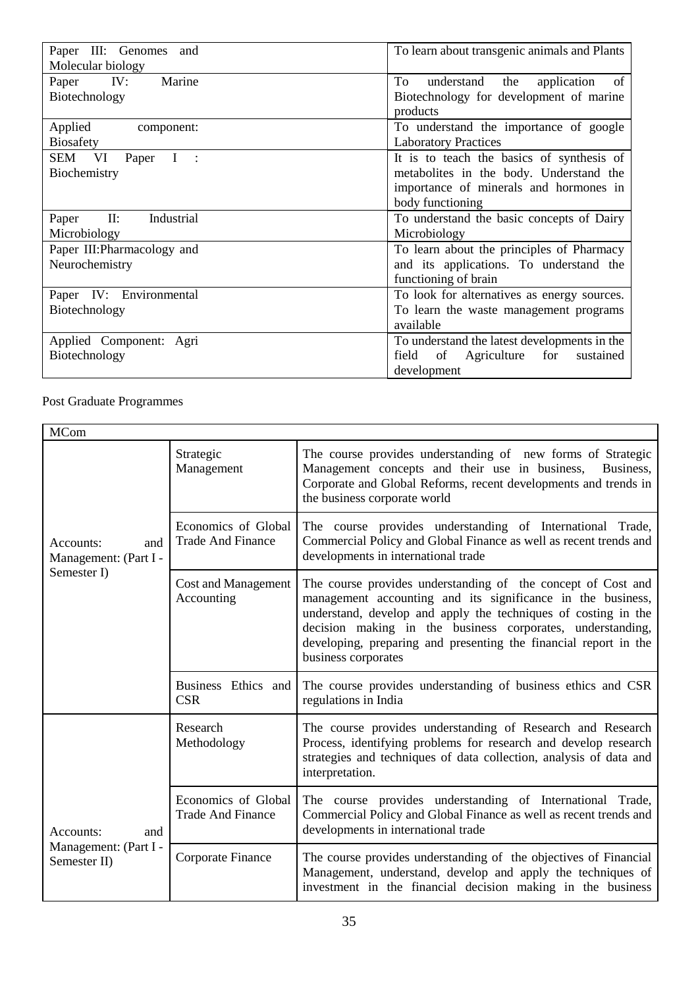| Paper III: Genomes and      | To learn about transgenic animals and Plants |
|-----------------------------|----------------------------------------------|
| Molecular biology           |                                              |
| Marine<br>Paper IV:         | To<br>understand the application of          |
| Biotechnology               | Biotechnology for development of marine      |
|                             | products                                     |
| Applied<br>component:       | To understand the importance of google       |
| <b>Biosafety</b>            | <b>Laboratory Practices</b>                  |
| SEM VI<br>Paper I :         | It is to teach the basics of synthesis of    |
| Biochemistry                | metabolites in the body. Understand the      |
|                             | importance of minerals and hormones in       |
|                             | body functioning                             |
| II:<br>Industrial<br>Paper  | To understand the basic concepts of Dairy    |
| Microbiology                | Microbiology                                 |
| Paper III: Pharmacology and | To learn about the principles of Pharmacy    |
| Neurochemistry              | and its applications. To understand the      |
|                             | functioning of brain                         |
| Paper IV: Environmental     | To look for alternatives as energy sources.  |
| Biotechnology               | To learn the waste management programs       |
|                             | available                                    |
| Applied Component: Agri     | To understand the latest developments in the |
| Biotechnology               | field<br>of Agriculture<br>for<br>sustained  |
|                             | development                                  |

# Post Graduate Programmes

| <b>MCom</b>                               |                                                 |                                                                                                                                                                                                                                                                                                                                                        |  |
|-------------------------------------------|-------------------------------------------------|--------------------------------------------------------------------------------------------------------------------------------------------------------------------------------------------------------------------------------------------------------------------------------------------------------------------------------------------------------|--|
|                                           | Strategic<br>Management                         | The course provides understanding of new forms of Strategic<br>Management concepts and their use in business,<br>Business,<br>Corporate and Global Reforms, recent developments and trends in<br>the business corporate world                                                                                                                          |  |
| Accounts:<br>and<br>Management: (Part I - | Economics of Global<br><b>Trade And Finance</b> | The course provides understanding of International Trade,<br>Commercial Policy and Global Finance as well as recent trends and<br>developments in international trade                                                                                                                                                                                  |  |
| Semester I)                               | <b>Cost and Management</b><br>Accounting        | The course provides understanding of the concept of Cost and<br>management accounting and its significance in the business,<br>understand, develop and apply the techniques of costing in the<br>decision making in the business corporates, understanding,<br>developing, preparing and presenting the financial report in the<br>business corporates |  |
|                                           | Business Ethics and<br><b>CSR</b>               | The course provides understanding of business ethics and CSR<br>regulations in India                                                                                                                                                                                                                                                                   |  |
|                                           | Research<br>Methodology                         | The course provides understanding of Research and Research<br>Process, identifying problems for research and develop research<br>strategies and techniques of data collection, analysis of data and<br>interpretation.                                                                                                                                 |  |
| Accounts:<br>and                          | Economics of Global<br><b>Trade And Finance</b> | The course provides understanding of International Trade,<br>Commercial Policy and Global Finance as well as recent trends and<br>developments in international trade                                                                                                                                                                                  |  |
| Management: (Part I -<br>Semester II)     | Corporate Finance                               | The course provides understanding of the objectives of Financial<br>Management, understand, develop and apply the techniques of<br>investment in the financial decision making in the business                                                                                                                                                         |  |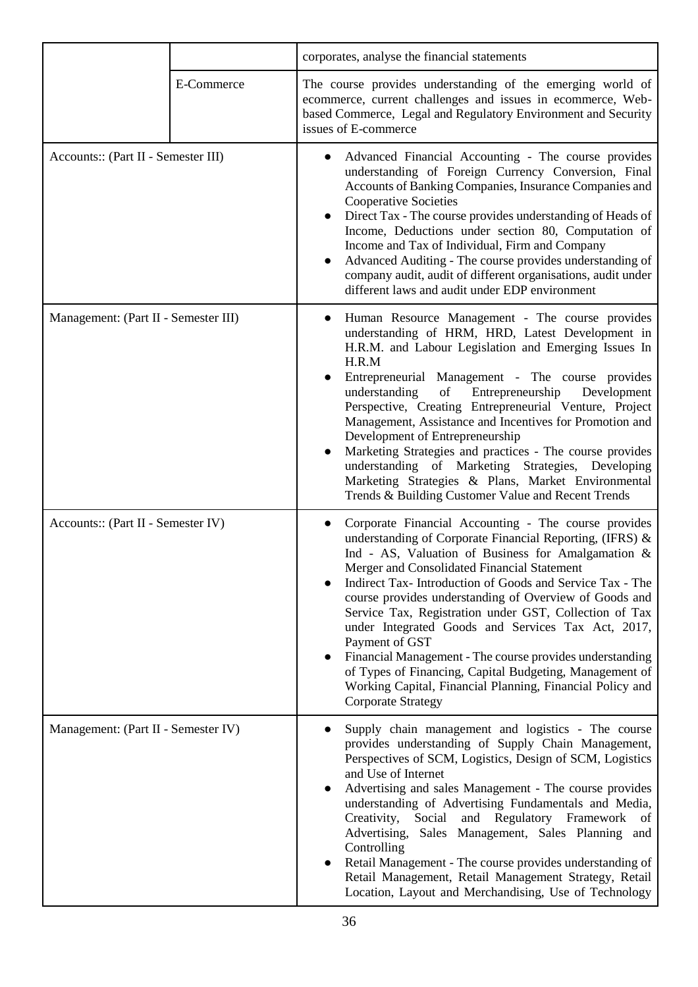|                                      |            | corporates, analyse the financial statements                                                                                                                                                                                                                                                                                                                                                                                                                                                                                                                                                                                                                                                   |
|--------------------------------------|------------|------------------------------------------------------------------------------------------------------------------------------------------------------------------------------------------------------------------------------------------------------------------------------------------------------------------------------------------------------------------------------------------------------------------------------------------------------------------------------------------------------------------------------------------------------------------------------------------------------------------------------------------------------------------------------------------------|
|                                      | E-Commerce | The course provides understanding of the emerging world of<br>ecommerce, current challenges and issues in ecommerce, Web-<br>based Commerce, Legal and Regulatory Environment and Security<br>issues of E-commerce                                                                                                                                                                                                                                                                                                                                                                                                                                                                             |
| Accounts:: (Part II - Semester III)  |            | Advanced Financial Accounting - The course provides<br>understanding of Foreign Currency Conversion, Final<br>Accounts of Banking Companies, Insurance Companies and<br><b>Cooperative Societies</b><br>Direct Tax - The course provides understanding of Heads of<br>Income, Deductions under section 80, Computation of<br>Income and Tax of Individual, Firm and Company<br>Advanced Auditing - The course provides understanding of<br>company audit, audit of different organisations, audit under<br>different laws and audit under EDP environment                                                                                                                                      |
| Management: (Part II - Semester III) |            | Human Resource Management - The course provides<br>understanding of HRM, HRD, Latest Development in<br>H.R.M. and Labour Legislation and Emerging Issues In<br>H.R.M<br>Entrepreneurial Management - The course provides<br>of<br>Entrepreneurship<br>Development<br>understanding<br>Perspective, Creating Entrepreneurial Venture, Project<br>Management, Assistance and Incentives for Promotion and<br>Development of Entrepreneurship<br>Marketing Strategies and practices - The course provides<br>understanding of Marketing Strategies, Developing<br>Marketing Strategies & Plans, Market Environmental<br>Trends & Building Customer Value and Recent Trends                        |
| Accounts:: (Part II - Semester IV)   |            | Corporate Financial Accounting - The course provides<br>understanding of Corporate Financial Reporting, (IFRS) &<br>Ind - AS, Valuation of Business for Amalgamation &<br>Merger and Consolidated Financial Statement<br>Indirect Tax-Introduction of Goods and Service Tax - The<br>course provides understanding of Overview of Goods and<br>Service Tax, Registration under GST, Collection of Tax<br>under Integrated Goods and Services Tax Act, 2017,<br>Payment of GST<br>Financial Management - The course provides understanding<br>of Types of Financing, Capital Budgeting, Management of<br>Working Capital, Financial Planning, Financial Policy and<br><b>Corporate Strategy</b> |
| Management: (Part II - Semester IV)  |            | Supply chain management and logistics - The course<br>provides understanding of Supply Chain Management,<br>Perspectives of SCM, Logistics, Design of SCM, Logistics<br>and Use of Internet<br>Advertising and sales Management - The course provides<br>$\bullet$<br>understanding of Advertising Fundamentals and Media,<br>Creativity,<br>Social<br>and Regulatory Framework<br>- of<br>Advertising, Sales Management, Sales Planning and<br>Controlling<br>Retail Management - The course provides understanding of<br>Retail Management, Retail Management Strategy, Retail<br>Location, Layout and Merchandising, Use of Technology                                                      |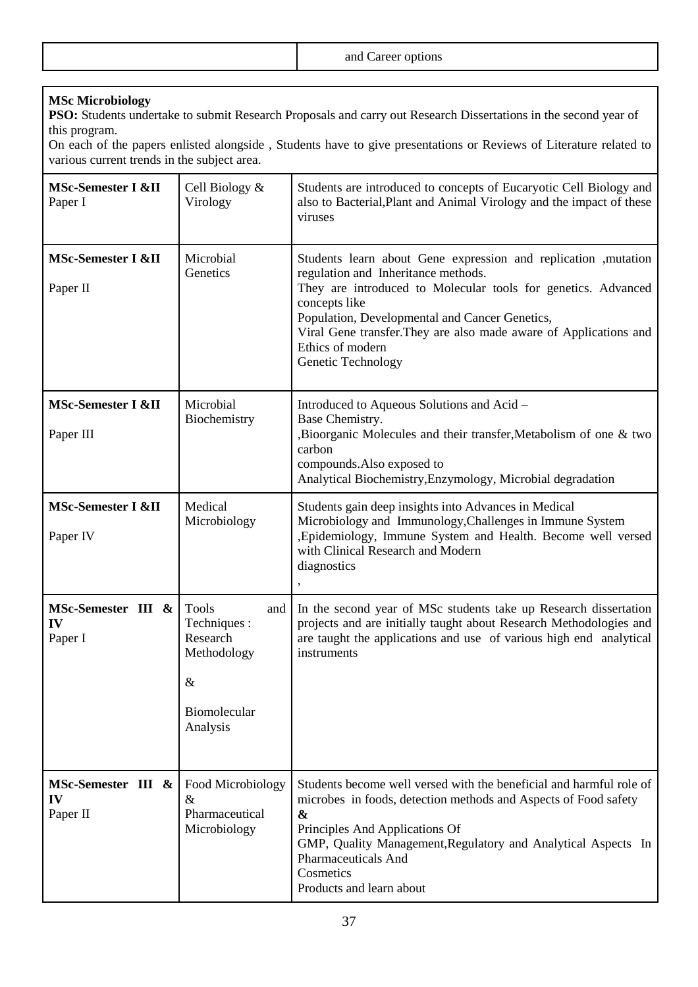| and and and<br>2n <sub>0</sub><br>$\sim$<br>'OLIONS-<br>.<br>$\cdots$ . The contract of the contract of the contract of the contract of the contract of the contract of the contract of the contract of the contract of the contract of the contract of the contract of the contract of the c<br>. . |
|------------------------------------------------------------------------------------------------------------------------------------------------------------------------------------------------------------------------------------------------------------------------------------------------------|
|                                                                                                                                                                                                                                                                                                      |

# **MSc Microbiology**

**PSO:** Students undertake to submit Research Proposals and carry out Research Dissertations in the second year of this program.

On each of the papers enlisted alongside , Students have to give presentations or Reviews of Literature related to various current trends in the subject area.

| MSc-Semester I &II<br>Paper I        | Cell Biology &<br>Virology                                                                      | Students are introduced to concepts of Eucaryotic Cell Biology and<br>also to Bacterial, Plant and Animal Virology and the impact of these<br>viruses                                                                                                                                                                                                     |
|--------------------------------------|-------------------------------------------------------------------------------------------------|-----------------------------------------------------------------------------------------------------------------------------------------------------------------------------------------------------------------------------------------------------------------------------------------------------------------------------------------------------------|
| MSc-Semester I &II<br>Paper II       | Microbial<br>Genetics                                                                           | Students learn about Gene expression and replication , mutation<br>regulation and Inheritance methods.<br>They are introduced to Molecular tools for genetics. Advanced<br>concepts like<br>Population, Developmental and Cancer Genetics,<br>Viral Gene transfer. They are also made aware of Applications and<br>Ethics of modern<br>Genetic Technology |
| MSc-Semester I &II<br>Paper III      | Microbial<br>Biochemistry                                                                       | Introduced to Aqueous Solutions and Acid -<br>Base Chemistry.<br>,Bioorganic Molecules and their transfer, Metabolism of one & two<br>carbon<br>compounds. Also exposed to<br>Analytical Biochemistry, Enzymology, Microbial degradation                                                                                                                  |
| MSc-Semester I &II<br>Paper IV       | Medical<br>Microbiology                                                                         | Students gain deep insights into Advances in Medical<br>Microbiology and Immunology, Challenges in Immune System<br>, Epidemiology, Immune System and Health. Become well versed<br>with Clinical Research and Modern<br>diagnostics                                                                                                                      |
| MSc-Semester III &<br>IV<br>Paper I  | <b>Tools</b><br>and<br>Techniques :<br>Research<br>Methodology<br>&<br>Biomolecular<br>Analysis | In the second year of MSc students take up Research dissertation<br>projects and are initially taught about Research Methodologies and<br>are taught the applications and use of various high end analytical<br>instruments                                                                                                                               |
| MSc-Semester III &<br>IV<br>Paper II | Food Microbiology<br>&<br>Pharmaceutical<br>Microbiology                                        | Students become well versed with the beneficial and harmful role of<br>microbes in foods, detection methods and Aspects of Food safety<br>$\boldsymbol{\&}$<br>Principles And Applications Of<br>GMP, Quality Management, Regulatory and Analytical Aspects In<br>Pharmaceuticals And<br>Cosmetics<br>Products and learn about                            |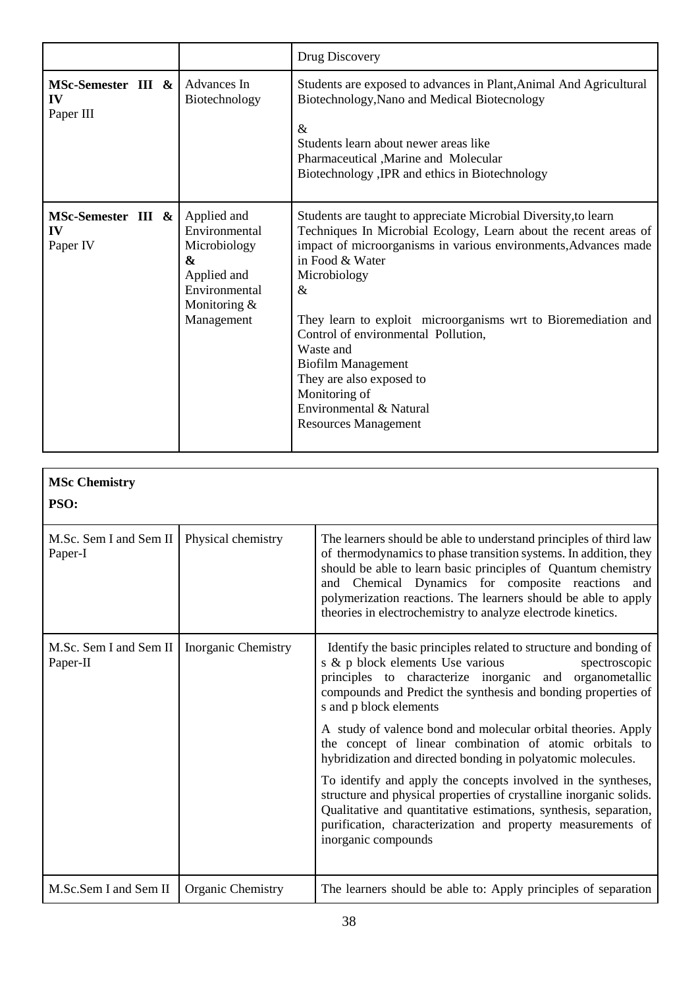| Advances In<br>Biotechnology                                                                                    | Students are exposed to advances in Plant, Animal And Agricultural<br>Biotechnology, Nano and Medical Biotecnology<br>$\&$                                                                                                                                                                                                                                                                                                                                                                                  |
|-----------------------------------------------------------------------------------------------------------------|-------------------------------------------------------------------------------------------------------------------------------------------------------------------------------------------------------------------------------------------------------------------------------------------------------------------------------------------------------------------------------------------------------------------------------------------------------------------------------------------------------------|
|                                                                                                                 | Students learn about newer areas like<br>Pharmaceutical , Marine and Molecular<br>Biotechnology , IPR and ethics in Biotechnology                                                                                                                                                                                                                                                                                                                                                                           |
| Applied and<br>Environmental<br>Microbiology<br>&<br>Applied and<br>Environmental<br>Monitoring &<br>Management | Students are taught to appreciate Microbial Diversity, to learn<br>Techniques In Microbial Ecology, Learn about the recent areas of<br>impact of microorganisms in various environments, Advances made<br>in Food & Water<br>Microbiology<br>$\&$<br>They learn to exploit microorganisms wrt to Bioremediation and<br>Control of environmental Pollution,<br>Waste and<br><b>Biofilm Management</b><br>They are also exposed to<br>Monitoring of<br>Environmental & Natural<br><b>Resources Management</b> |
|                                                                                                                 |                                                                                                                                                                                                                                                                                                                                                                                                                                                                                                             |

| <b>MSc Chemistry</b>               |                     |                                                                                                                                                                                                                                                                                                                                                                                                 |
|------------------------------------|---------------------|-------------------------------------------------------------------------------------------------------------------------------------------------------------------------------------------------------------------------------------------------------------------------------------------------------------------------------------------------------------------------------------------------|
| PSO:                               |                     |                                                                                                                                                                                                                                                                                                                                                                                                 |
| M.Sc. Sem I and Sem II<br>Paper-I  | Physical chemistry  | The learners should be able to understand principles of third law<br>of thermodynamics to phase transition systems. In addition, they<br>should be able to learn basic principles of Quantum chemistry<br>and Chemical Dynamics for composite reactions<br>and<br>polymerization reactions. The learners should be able to apply<br>theories in electrochemistry to analyze electrode kinetics. |
| M.Sc. Sem I and Sem II<br>Paper-II | Inorganic Chemistry | Identify the basic principles related to structure and bonding of<br>s & p block elements Use various<br>spectroscopic<br>principles to characterize inorganic and organometallic<br>compounds and Predict the synthesis and bonding properties of<br>s and p block elements                                                                                                                    |
|                                    |                     | A study of valence bond and molecular orbital theories. Apply<br>the concept of linear combination of atomic orbitals to<br>hybridization and directed bonding in polyatomic molecules.                                                                                                                                                                                                         |
|                                    |                     | To identify and apply the concepts involved in the syntheses,<br>structure and physical properties of crystalline inorganic solids.<br>Qualitative and quantitative estimations, synthesis, separation,<br>purification, characterization and property measurements of<br>inorganic compounds                                                                                                   |
| M.Sc.Sem I and Sem II              | Organic Chemistry   | The learners should be able to: Apply principles of separation                                                                                                                                                                                                                                                                                                                                  |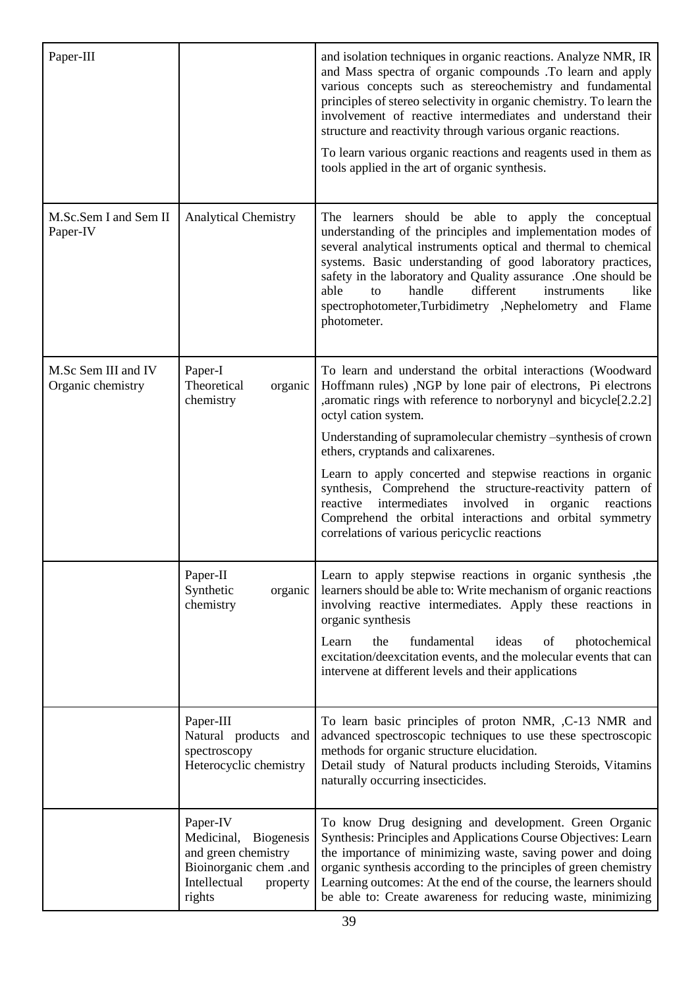| Paper-III                                |                                                                                                                                    | and isolation techniques in organic reactions. Analyze NMR, IR<br>and Mass spectra of organic compounds .To learn and apply<br>various concepts such as stereochemistry and fundamental<br>principles of stereo selectivity in organic chemistry. To learn the<br>involvement of reactive intermediates and understand their<br>structure and reactivity through various organic reactions.<br>To learn various organic reactions and reagents used in them as<br>tools applied in the art of organic synthesis.                                                                                                                            |
|------------------------------------------|------------------------------------------------------------------------------------------------------------------------------------|---------------------------------------------------------------------------------------------------------------------------------------------------------------------------------------------------------------------------------------------------------------------------------------------------------------------------------------------------------------------------------------------------------------------------------------------------------------------------------------------------------------------------------------------------------------------------------------------------------------------------------------------|
| M.Sc.Sem I and Sem II<br>Paper-IV        | <b>Analytical Chemistry</b>                                                                                                        | The learners should be able to apply the conceptual<br>understanding of the principles and implementation modes of<br>several analytical instruments optical and thermal to chemical<br>systems. Basic understanding of good laboratory practices,<br>safety in the laboratory and Quality assurance .One should be<br>handle<br>different<br>able<br>instruments<br>like<br>to<br>spectrophotometer,Turbidimetry ,Nephelometry and Flame<br>photometer.                                                                                                                                                                                    |
| M.Sc Sem III and IV<br>Organic chemistry | Paper-I<br>Theoretical<br>organic<br>chemistry                                                                                     | To learn and understand the orbital interactions (Woodward<br>Hoffmann rules), NGP by lone pair of electrons, Pi electrons<br>, aromatic rings with reference to norborynyl and bicycle[2.2.2]<br>octyl cation system.<br>Understanding of supramolecular chemistry -synthesis of crown<br>ethers, cryptands and calixarenes.<br>Learn to apply concerted and stepwise reactions in organic<br>synthesis, Comprehend the structure-reactivity pattern of<br>intermediates<br>involved<br>in<br>organic<br>reactive<br>reactions<br>Comprehend the orbital interactions and orbital symmetry<br>correlations of various pericyclic reactions |
|                                          | Paper-II<br>Synthetic<br>organic<br>chemistry                                                                                      | Learn to apply stepwise reactions in organic synthesis, the<br>learners should be able to: Write mechanism of organic reactions<br>involving reactive intermediates. Apply these reactions in<br>organic synthesis<br>the<br>fundamental<br>ideas<br>of<br>photochemical<br>Learn<br>excitation/deexcitation events, and the molecular events that can<br>intervene at different levels and their applications                                                                                                                                                                                                                              |
|                                          | Paper-III<br>Natural products and<br>spectroscopy<br>Heterocyclic chemistry                                                        | To learn basic principles of proton NMR, ,C-13 NMR and<br>advanced spectroscopic techniques to use these spectroscopic<br>methods for organic structure elucidation.<br>Detail study of Natural products including Steroids, Vitamins<br>naturally occurring insecticides.                                                                                                                                                                                                                                                                                                                                                                  |
|                                          | Paper-IV<br>Medicinal,<br><b>Biogenesis</b><br>and green chemistry<br>Bioinorganic chem .and<br>Intellectual<br>property<br>rights | To know Drug designing and development. Green Organic<br>Synthesis: Principles and Applications Course Objectives: Learn<br>the importance of minimizing waste, saving power and doing<br>organic synthesis according to the principles of green chemistry<br>Learning outcomes: At the end of the course, the learners should<br>be able to: Create awareness for reducing waste, minimizing                                                                                                                                                                                                                                               |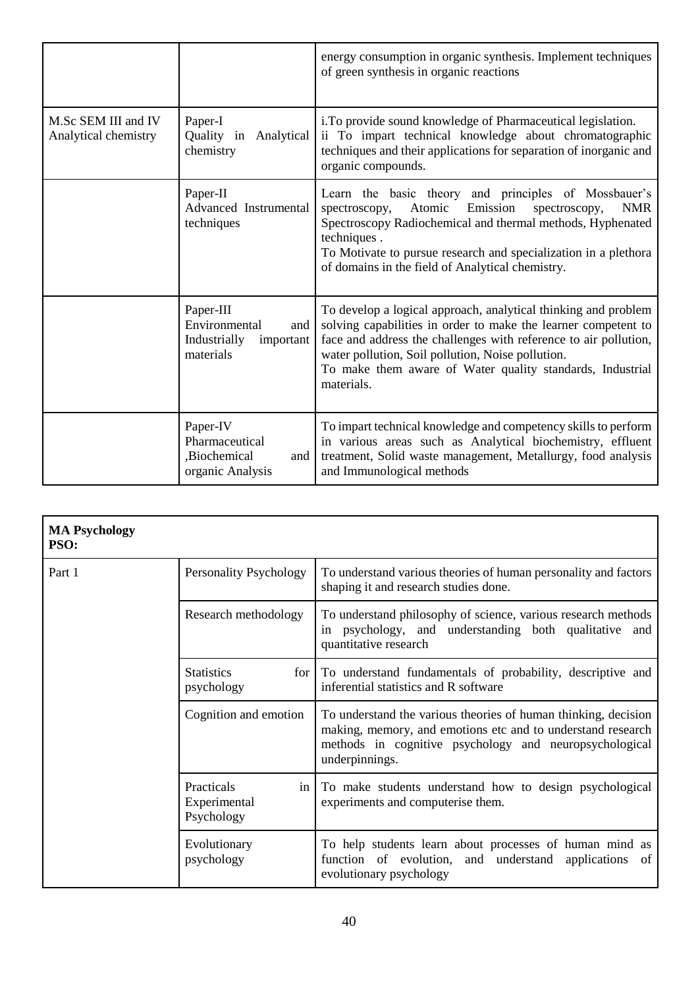|                                             |                                                                             | energy consumption in organic synthesis. Implement techniques<br>of green synthesis in organic reactions                                                                                                                                                                                                                             |
|---------------------------------------------|-----------------------------------------------------------------------------|--------------------------------------------------------------------------------------------------------------------------------------------------------------------------------------------------------------------------------------------------------------------------------------------------------------------------------------|
| M.Sc SEM III and IV<br>Analytical chemistry | Paper-I<br>Quality in<br>Analytical<br>chemistry                            | i. To provide sound knowledge of Pharmaceutical legislation.<br>ii To impart technical knowledge about chromatographic<br>techniques and their applications for separation of inorganic and<br>organic compounds.                                                                                                                    |
|                                             | Paper-II<br>Advanced Instrumental<br>techniques                             | Learn the basic theory and principles of Mossbauer's<br>Atomic<br>Emission<br><b>NMR</b><br>spectroscopy,<br>spectroscopy,<br>Spectroscopy Radiochemical and thermal methods, Hyphenated<br>techniques.<br>To Motivate to pursue research and specialization in a plethora<br>of domains in the field of Analytical chemistry.       |
|                                             | Paper-III<br>Environmental<br>and<br>Industrially<br>important<br>materials | To develop a logical approach, analytical thinking and problem<br>solving capabilities in order to make the learner competent to<br>face and address the challenges with reference to air pollution,<br>water pollution, Soil pollution, Noise pollution.<br>To make them aware of Water quality standards, Industrial<br>materials. |
|                                             | Paper-IV<br>Pharmaceutical<br>,Biochemical<br>and<br>organic Analysis       | To impart technical knowledge and competency skills to perform<br>in various areas such as Analytical biochemistry, effluent<br>treatment, Solid waste management, Metallurgy, food analysis<br>and Immunological methods                                                                                                            |

| <b>MA Psychology</b><br>PSO: |                                                |                                                                                                                                                                                                           |
|------------------------------|------------------------------------------------|-----------------------------------------------------------------------------------------------------------------------------------------------------------------------------------------------------------|
| Part 1                       | Personality Psychology                         | To understand various theories of human personality and factors<br>shaping it and research studies done.                                                                                                  |
|                              | Research methodology                           | To understand philosophy of science, various research methods<br>psychology, and understanding both qualitative<br>and<br>in<br>quantitative research                                                     |
|                              | <b>Statistics</b><br>for 1<br>psychology       | To understand fundamentals of probability, descriptive and<br>inferential statistics and R software                                                                                                       |
|                              | Cognition and emotion                          | To understand the various theories of human thinking, decision<br>making, memory, and emotions etc and to understand research<br>methods in cognitive psychology and neuropsychological<br>underpinnings. |
|                              | Practicals<br>in<br>Experimental<br>Psychology | To make students understand how to design psychological<br>experiments and computerise them.                                                                                                              |
|                              | Evolutionary<br>psychology                     | To help students learn about processes of human mind as<br>function of evolution, and understand<br>applications<br>of<br>evolutionary psychology                                                         |